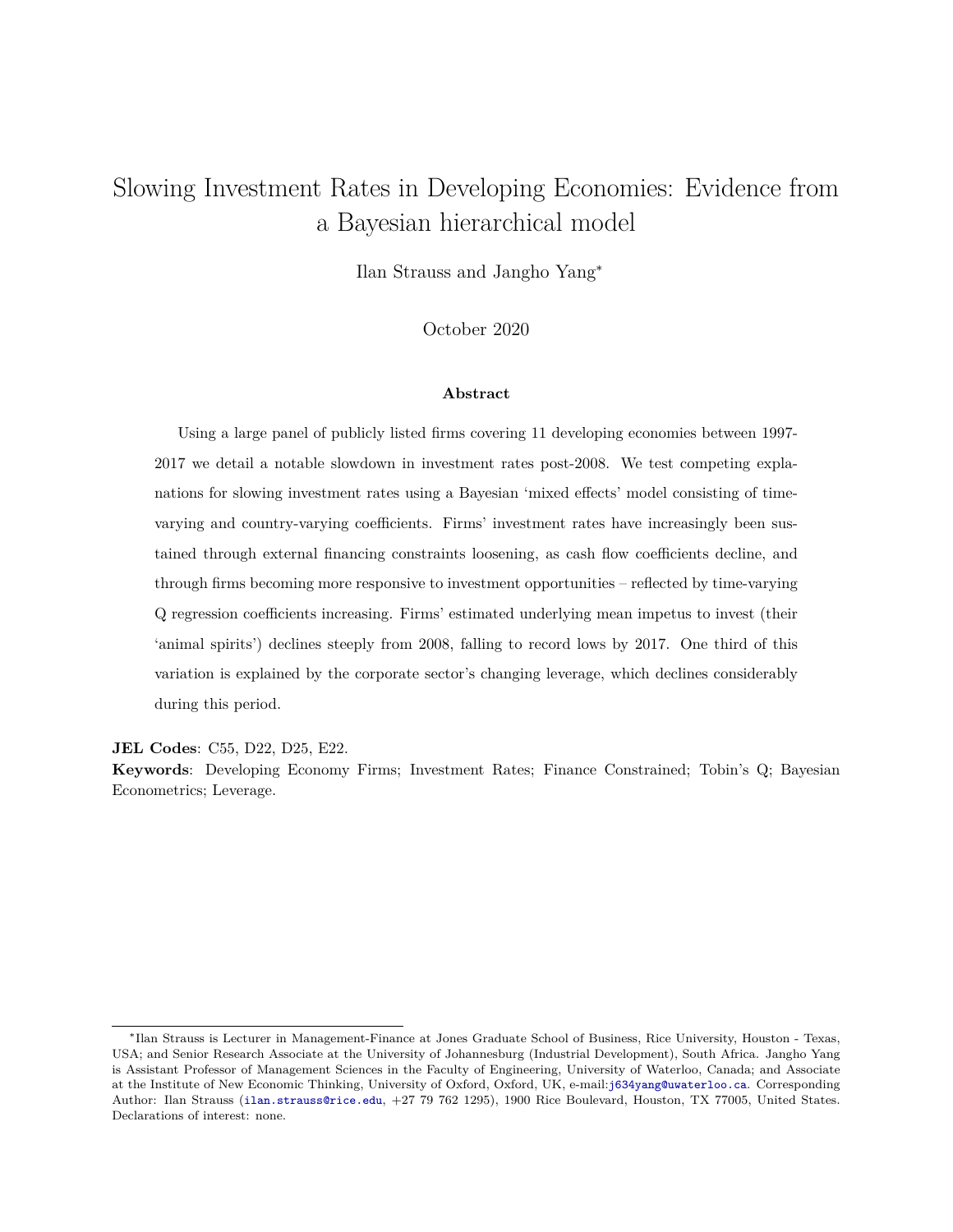## Slowing Investment Rates in Developing Economies: Evidence from a Bayesian hierarchical model

Ilan Strauss and Jangho Yang<sup>∗</sup>

October 2020

### **Abstract**

Using a large panel of publicly listed firms covering 11 developing economies between 1997- 2017 we detail a notable slowdown in investment rates post-2008. We test competing explanations for slowing investment rates using a Bayesian 'mixed effects' model consisting of timevarying and country-varying coefficients. Firms' investment rates have increasingly been sustained through external financing constraints loosening, as cash flow coefficients decline, and through firms becoming more responsive to investment opportunities – reflected by time-varying Q regression coefficients increasing. Firms' estimated underlying mean impetus to invest (their 'animal spirits') declines steeply from 2008, falling to record lows by 2017. One third of this variation is explained by the corporate sector's changing leverage, which declines considerably during this period.

**JEL Codes**: C55, D22, D25, E22.

**Keywords**: Developing Economy Firms; Investment Rates; Finance Constrained; Tobin's Q; Bayesian Econometrics; Leverage.

<sup>∗</sup> Ilan Strauss is Lecturer in Management-Finance at Jones Graduate School of Business, Rice University, Houston - Texas, USA; and Senior Research Associate at the University of Johannesburg (Industrial Development), South Africa. Jangho Yang is Assistant Professor of Management Sciences in the Faculty of Engineering, University of Waterloo, Canada; and Associate at the Institute of New Economic Thinking, University of Oxford, Oxford, UK, e-mail:<j634yang@uwaterloo.ca>. Corresponding Author: Ilan Strauss (<ilan.strauss@rice.edu>, +27 79 762 1295), 1900 Rice Boulevard, Houston, TX 77005, United States. Declarations of interest: none.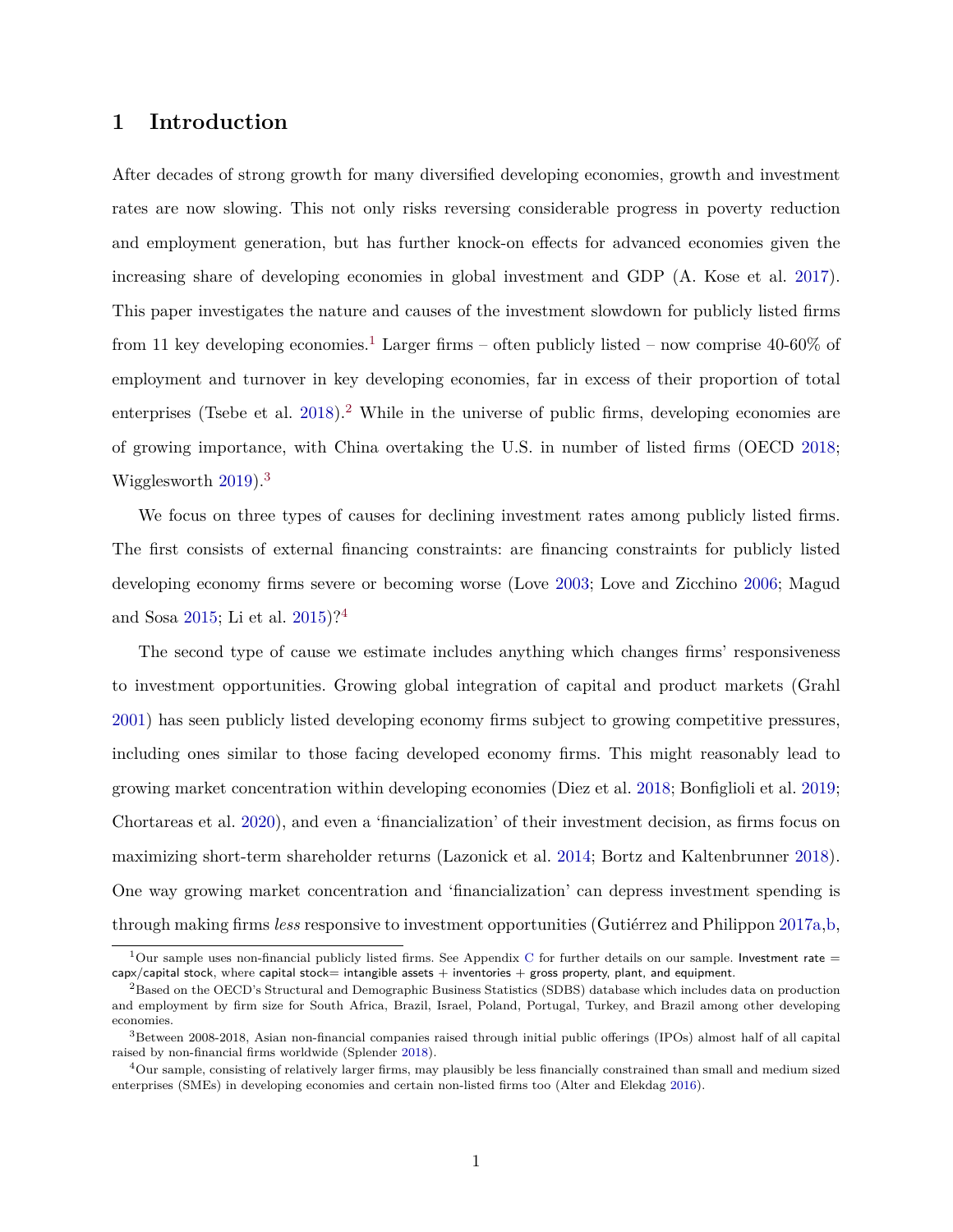## **1 Introduction**

After decades of strong growth for many diversified developing economies, growth and investment rates are now slowing. This not only risks reversing considerable progress in poverty reduction and employment generation, but has further knock-on effects for advanced economies given the increasing share of developing economies in global investment and GDP (A. Kose et al. [2017\)](#page-28-0). This paper investigates the nature and causes of the investment slowdown for publicly listed firms from 11 key developing economies.<sup>1</sup> Larger firms – often publicly listed – now comprise 40-60% of employment and turnover in key developing economies, far in excess of their proportion of total enterprises (Tsebe et al.  $2018$ ).<sup>2</sup> While in the universe of public firms, developing economies are of growing importance, with China overtaking the U.S. in number of listed firms (OECD [2018;](#page-29-1) Wigglesworth [2019\)](#page-30-0).<sup>3</sup>

We focus on three types of causes for declining investment rates among publicly listed firms. The first consists of external financing constraints: are financing constraints for publicly listed developing economy firms severe or becoming worse (Love [2003;](#page-28-1) Love and Zicchino [2006;](#page-28-2) Magud and Sosa [2015;](#page-28-3) Li et al. [2015\)](#page-28-4)?<sup>4</sup>

The second type of cause we estimate includes anything which changes firms' responsiveness to investment opportunities. Growing global integration of capital and product markets (Grahl [2001\)](#page-27-0) has seen publicly listed developing economy firms subject to growing competitive pressures, including ones similar to those facing developed economy firms. This might reasonably lead to growing market concentration within developing economies (Diez et al. [2018;](#page-26-0) Bonfiglioli et al. [2019;](#page-26-1) Chortareas et al. [2020\)](#page-26-2), and even a 'financialization' of their investment decision, as firms focus on maximizing short-term shareholder returns (Lazonick et al. [2014;](#page-28-5) Bortz and Kaltenbrunner [2018\)](#page-26-3). One way growing market concentration and 'financialization' can depress investment spending is through making firms *less* responsive to investment opportunities (Gutiérrez and Philippon [2017a,](#page-27-1)[b,](#page-27-2)

<sup>&</sup>lt;sup>1</sup>Our sample uses non-financial publicly listed firms. See Appendix [C](#page-37-0) for further details on our sample. Investment rate  $=$  $c$ apx/capital stock, where capital stock= intangible assets  $+$  inventories  $+$  gross property, plant, and equipment.

<sup>&</sup>lt;sup>2</sup>Based on the OECD's Structural and Demographic Business Statistics (SDBS) database which includes data on production and employment by firm size for South Africa, Brazil, Israel, Poland, Portugal, Turkey, and Brazil among other developing economies.

<sup>3</sup>Between 2008-2018, Asian non-financial companies raised through initial public offerings (IPOs) almost half of all capital raised by non-financial firms worldwide (Splender [2018\)](#page-29-2).

<sup>4</sup>Our sample, consisting of relatively larger firms, may plausibly be less financially constrained than small and medium sized enterprises (SMEs) in developing economies and certain non-listed firms too (Alter and Elekdag [2016\)](#page-25-0).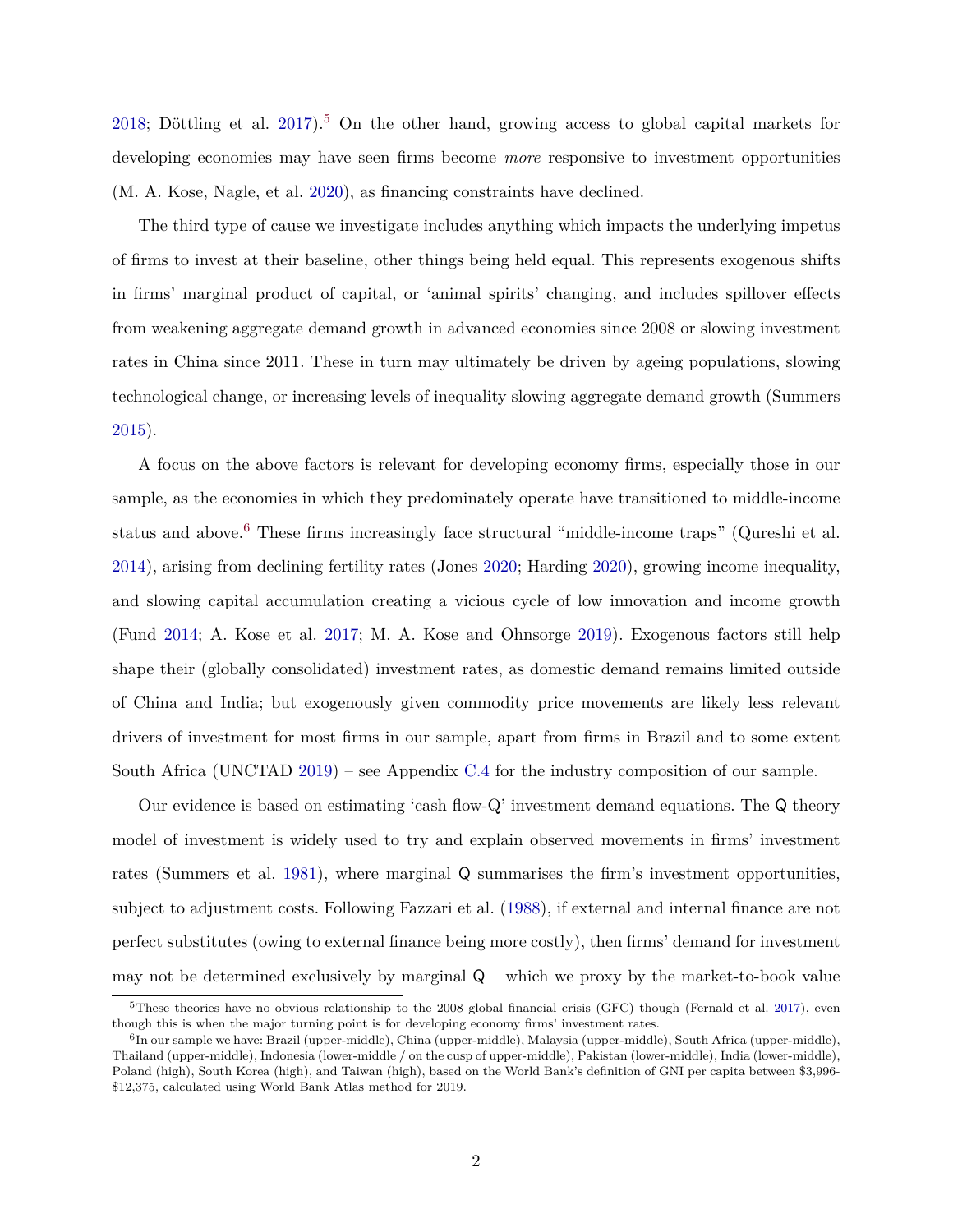[2018;](#page-27-3) Döttling et al.  $2017$ <sup>5</sup> On the other hand, growing access to global capital markets for developing economies may have seen firms become *more* responsive to investment opportunities (M. A. Kose, Nagle, et al. [2020\)](#page-28-6), as financing constraints have declined.

The third type of cause we investigate includes anything which impacts the underlying impetus of firms to invest at their baseline, other things being held equal. This represents exogenous shifts in firms' marginal product of capital, or 'animal spirits' changing, and includes spillover effects from weakening aggregate demand growth in advanced economies since 2008 or slowing investment rates in China since 2011. These in turn may ultimately be driven by ageing populations, slowing technological change, or increasing levels of inequality slowing aggregate demand growth (Summers [2015\)](#page-29-3).

A focus on the above factors is relevant for developing economy firms, especially those in our sample, as the economies in which they predominately operate have transitioned to middle-income status and above.<sup>6</sup> These firms increasingly face structural "middle-income traps" (Qureshi et al. [2014\)](#page-29-4), arising from declining fertility rates (Jones [2020;](#page-28-7) Harding [2020\)](#page-27-4), growing income inequality, and slowing capital accumulation creating a vicious cycle of low innovation and income growth (Fund [2014;](#page-27-5) A. Kose et al. [2017;](#page-28-0) M. A. Kose and Ohnsorge [2019\)](#page-28-8). Exogenous factors still help shape their (globally consolidated) investment rates, as domestic demand remains limited outside of China and India; but exogenously given commodity price movements are likely less relevant drivers of investment for most firms in our sample, apart from firms in Brazil and to some extent South Africa (UNCTAD [2019\)](#page-29-5) – see Appendix [C.4](#page-41-0) for the industry composition of our sample.

Our evidence is based on estimating 'cash flow-Q' investment demand equations. The Q theory model of investment is widely used to try and explain observed movements in firms' investment rates (Summers et al. [1981\)](#page-29-6), where marginal Q summarises the firm's investment opportunities, subject to adjustment costs. Following Fazzari et al. [\(1988\)](#page-27-6), if external and internal finance are not perfect substitutes (owing to external finance being more costly), then firms' demand for investment may not be determined exclusively by marginal  $Q$  – which we proxy by the market-to-book value

 $5$ These theories have no obvious relationship to the 2008 global financial crisis (GFC) though (Fernald et al. [2017\)](#page-27-7), even though this is when the major turning point is for developing economy firms' investment rates.

<sup>&</sup>lt;sup>6</sup>In our sample we have: Brazil (upper-middle), China (upper-middle), Malaysia (upper-middle), South Africa (upper-middle), Thailand (upper-middle), Indonesia (lower-middle / on the cusp of upper-middle), Pakistan (lower-middle), India (lower-middle), Poland (high), South Korea (high), and Taiwan (high), based on the World Bank's definition of GNI per capita between \$3,996- \$12,375, calculated using World Bank Atlas method for 2019.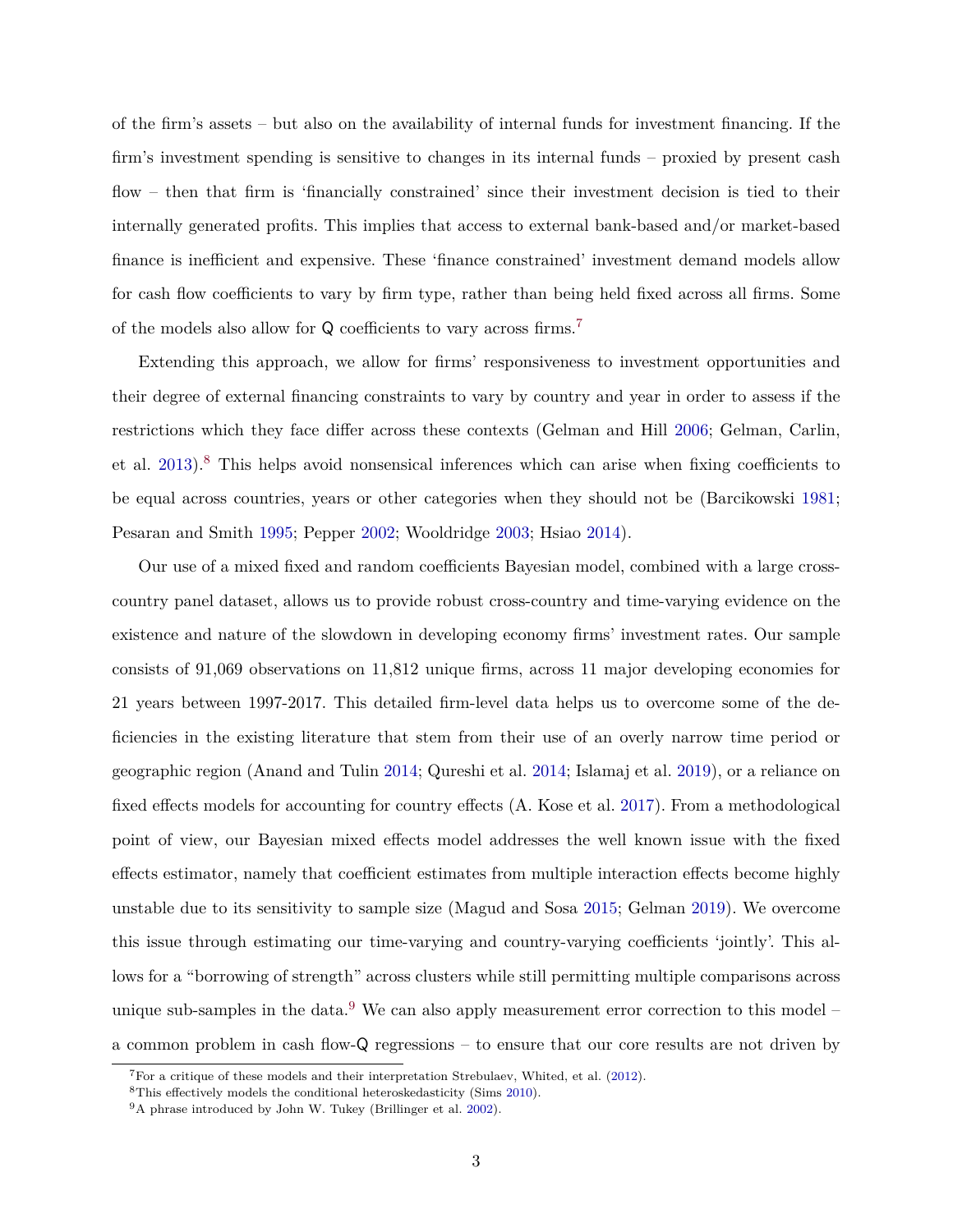of the firm's assets – but also on the availability of internal funds for investment financing. If the firm's investment spending is sensitive to changes in its internal funds – proxied by present cash flow – then that firm is 'financially constrained' since their investment decision is tied to their internally generated profits. This implies that access to external bank-based and/or market-based finance is inefficient and expensive. These 'finance constrained' investment demand models allow for cash flow coefficients to vary by firm type, rather than being held fixed across all firms. Some of the models also allow for Q coefficients to vary across firms.<sup>7</sup>

Extending this approach, we allow for firms' responsiveness to investment opportunities and their degree of external financing constraints to vary by country and year in order to assess if the restrictions which they face differ across these contexts (Gelman and Hill [2006;](#page-27-8) Gelman, Carlin, et al. [2013\)](#page-27-9).<sup>8</sup> This helps avoid nonsensical inferences which can arise when fixing coefficients to be equal across countries, years or other categories when they should not be (Barcikowski [1981;](#page-26-5) Pesaran and Smith [1995;](#page-29-7) Pepper [2002;](#page-29-8) Wooldridge [2003;](#page-30-1) Hsiao [2014\)](#page-27-10).

Our use of a mixed fixed and random coefficients Bayesian model, combined with a large crosscountry panel dataset, allows us to provide robust cross-country and time-varying evidence on the existence and nature of the slowdown in developing economy firms' investment rates. Our sample consists of 91,069 observations on 11,812 unique firms, across 11 major developing economies for 21 years between 1997-2017. This detailed firm-level data helps us to overcome some of the deficiencies in the existing literature that stem from their use of an overly narrow time period or geographic region (Anand and Tulin [2014;](#page-26-6) Qureshi et al. [2014;](#page-29-4) Islamaj et al. [2019\)](#page-27-11), or a reliance on fixed effects models for accounting for country effects (A. Kose et al. [2017\)](#page-28-0). From a methodological point of view, our Bayesian mixed effects model addresses the well known issue with the fixed effects estimator, namely that coefficient estimates from multiple interaction effects become highly unstable due to its sensitivity to sample size (Magud and Sosa [2015;](#page-28-3) Gelman [2019\)](#page-27-12). We overcome this issue through estimating our time-varying and country-varying coefficients 'jointly'. This allows for a "borrowing of strength" across clusters while still permitting multiple comparisons across unique sub-samples in the data. $9$  We can also apply measurement error correction to this model – a common problem in cash flow-Q regressions – to ensure that our core results are not driven by

<sup>7</sup>For a critique of these models and their interpretation Strebulaev, Whited, et al. [\(2012\)](#page-29-9).

<sup>8</sup>This effectively models the conditional heteroskedasticity (Sims [2010\)](#page-29-10).

<sup>9</sup>A phrase introduced by John W. Tukey (Brillinger et al. [2002\)](#page-26-7).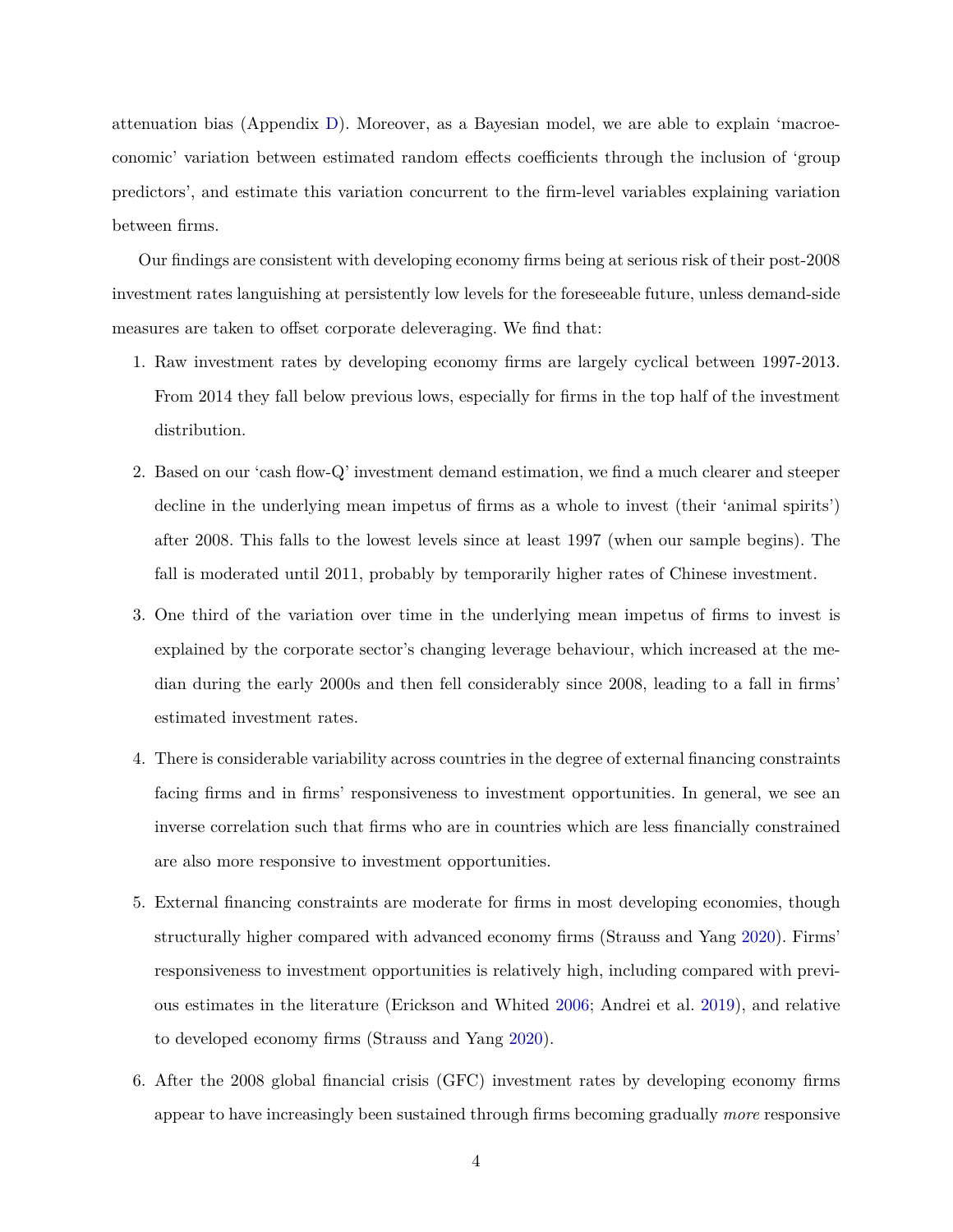attenuation bias (Appendix [D\)](#page-49-0). Moreover, as a Bayesian model, we are able to explain 'macroeconomic' variation between estimated random effects coefficients through the inclusion of 'group predictors', and estimate this variation concurrent to the firm-level variables explaining variation between firms.

Our findings are consistent with developing economy firms being at serious risk of their post-2008 investment rates languishing at persistently low levels for the foreseeable future, unless demand-side measures are taken to offset corporate deleveraging. We find that:

- 1. Raw investment rates by developing economy firms are largely cyclical between 1997-2013. From 2014 they fall below previous lows, especially for firms in the top half of the investment distribution.
- 2. Based on our 'cash flow-Q' investment demand estimation, we find a much clearer and steeper decline in the underlying mean impetus of firms as a whole to invest (their 'animal spirits') after 2008. This falls to the lowest levels since at least 1997 (when our sample begins). The fall is moderated until 2011, probably by temporarily higher rates of Chinese investment.
- 3. One third of the variation over time in the underlying mean impetus of firms to invest is explained by the corporate sector's changing leverage behaviour, which increased at the median during the early 2000s and then fell considerably since 2008, leading to a fall in firms' estimated investment rates.
- 4. There is considerable variability across countries in the degree of external financing constraints facing firms and in firms' responsiveness to investment opportunities. In general, we see an inverse correlation such that firms who are in countries which are less financially constrained are also more responsive to investment opportunities.
- 5. External financing constraints are moderate for firms in most developing economies, though structurally higher compared with advanced economy firms (Strauss and Yang [2020\)](#page-29-11). Firms' responsiveness to investment opportunities is relatively high, including compared with previous estimates in the literature (Erickson and Whited [2006;](#page-26-8) Andrei et al. [2019\)](#page-26-9), and relative to developed economy firms (Strauss and Yang [2020\)](#page-29-11).
- 6. After the 2008 global financial crisis (GFC) investment rates by developing economy firms appear to have increasingly been sustained through firms becoming gradually *more* responsive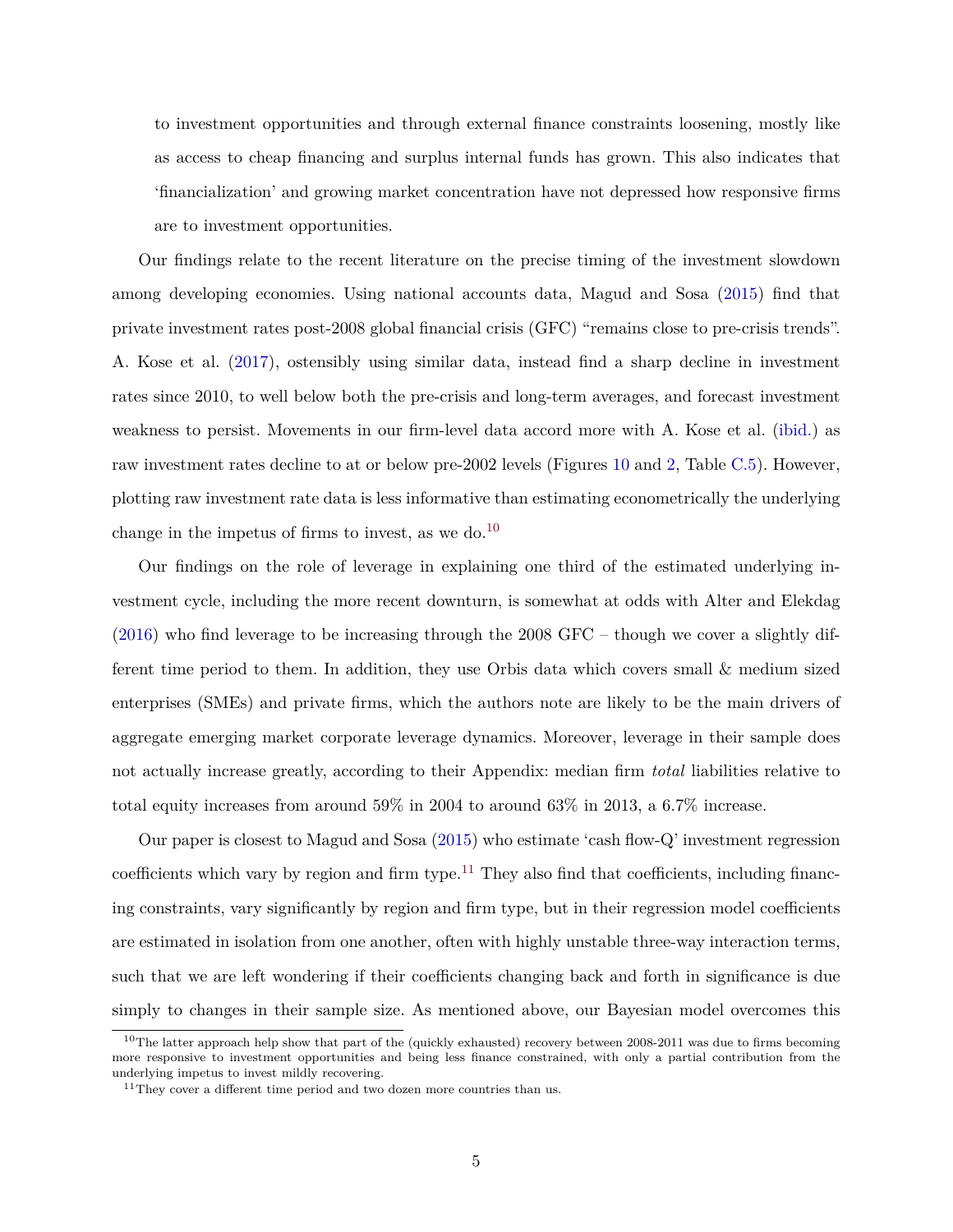to investment opportunities and through external finance constraints loosening, mostly like as access to cheap financing and surplus internal funds has grown. This also indicates that 'financialization' and growing market concentration have not depressed how responsive firms are to investment opportunities.

Our findings relate to the recent literature on the precise timing of the investment slowdown among developing economies. Using national accounts data, Magud and Sosa [\(2015\)](#page-28-3) find that private investment rates post-2008 global financial crisis (GFC) "remains close to pre-crisis trends". A. Kose et al. [\(2017\)](#page-28-0), ostensibly using similar data, instead find a sharp decline in investment rates since 2010, to well below both the pre-crisis and long-term averages, and forecast investment weakness to persist. Movements in our firm-level data accord more with A. Kose et al. [\(ibid.\)](#page-28-0) as raw investment rates decline to at or below pre-2002 levels (Figures [10](#page-44-0) and [2,](#page-10-0) Table [C.5\)](#page-44-1). However, plotting raw investment rate data is less informative than estimating econometrically the underlying change in the impetus of firms to invest, as we do.<sup>10</sup>

Our findings on the role of leverage in explaining one third of the estimated underlying investment cycle, including the more recent downturn, is somewhat at odds with Alter and Elekdag [\(2016\)](#page-25-0) who find leverage to be increasing through the 2008 GFC – though we cover a slightly different time period to them. In addition, they use Orbis data which covers small & medium sized enterprises (SMEs) and private firms, which the authors note are likely to be the main drivers of aggregate emerging market corporate leverage dynamics. Moreover, leverage in their sample does not actually increase greatly, according to their Appendix: median firm *total* liabilities relative to total equity increases from around 59% in 2004 to around 63% in 2013, a 6.7% increase.

Our paper is closest to Magud and Sosa [\(2015\)](#page-28-3) who estimate 'cash flow-Q' investment regression coefficients which vary by region and firm type.<sup>11</sup> They also find that coefficients, including financing constraints, vary significantly by region and firm type, but in their regression model coefficients are estimated in isolation from one another, often with highly unstable three-way interaction terms, such that we are left wondering if their coefficients changing back and forth in significance is due simply to changes in their sample size. As mentioned above, our Bayesian model overcomes this

 $10$ The latter approach help show that part of the (quickly exhausted) recovery between 2008-2011 was due to firms becoming more responsive to investment opportunities and being less finance constrained, with only a partial contribution from the underlying impetus to invest mildly recovering.

 $^{11}\mathrm{They}$  cover a different time period and two dozen more countries than us.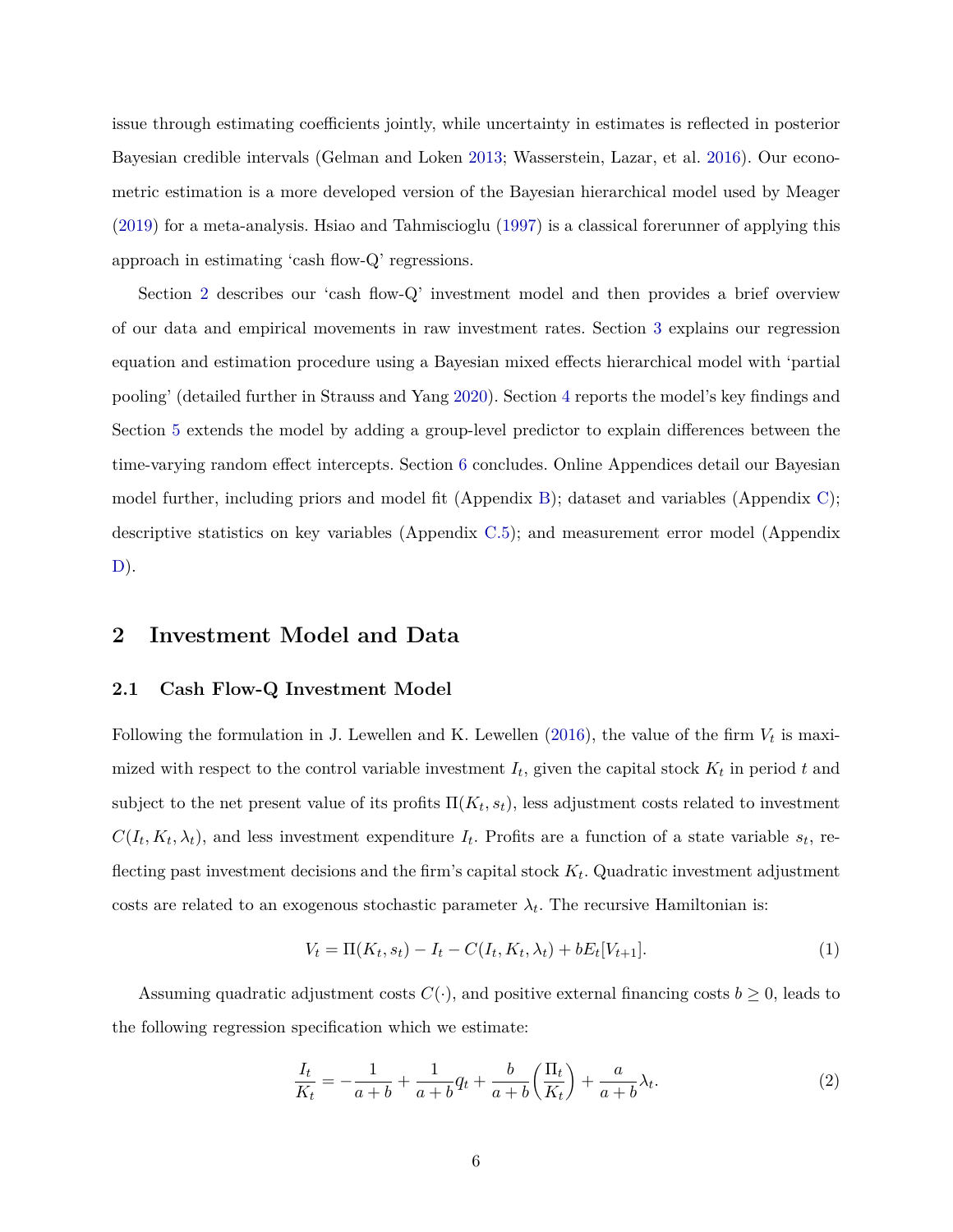issue through estimating coefficients jointly, while uncertainty in estimates is reflected in posterior Bayesian credible intervals (Gelman and Loken [2013;](#page-27-13) Wasserstein, Lazar, et al. [2016\)](#page-30-2). Our econometric estimation is a more developed version of the Bayesian hierarchical model used by Meager [\(2019\)](#page-28-9) for a meta-analysis. Hsiao and Tahmiscioglu [\(1997\)](#page-27-14) is a classical forerunner of applying this approach in estimating 'cash flow-Q' regressions.

Section [2](#page-6-0) describes our 'cash flow-Q' investment model and then provides a brief overview of our data and empirical movements in raw investment rates. Section [3](#page-11-0) explains our regression equation and estimation procedure using a Bayesian mixed effects hierarchical model with 'partial pooling' (detailed further in Strauss and Yang [2020\)](#page-29-11). Section [4](#page-13-0) reports the model's key findings and Section [5](#page-19-0) extends the model by adding a group-level predictor to explain differences between the time-varying random effect intercepts. Section [6](#page-23-0) concludes. Online Appendices detail our Bayesian model further, including priors and model fit (Appendix [B\)](#page-33-0); dataset and variables (Appendix [C\)](#page-37-0); descriptive statistics on key variables (Appendix [C.5\)](#page-44-1); and measurement error model (Appendix  $D$ ).

## <span id="page-6-0"></span>**2 Investment Model and Data**

### **2.1 Cash Flow-Q Investment Model**

Following the formulation in J. Lewellen and K. Lewellen  $(2016)$ , the value of the firm  $V_t$  is maximized with respect to the control variable investment  $I_t$ , given the capital stock  $K_t$  in period  $t$  and subject to the net present value of its profits  $\Pi(K_t, s_t)$ , less adjustment costs related to investment  $C(I_t, K_t, \lambda_t)$ , and less investment expenditure  $I_t$ . Profits are a function of a state variable  $s_t$ , reflecting past investment decisions and the firm's capital stock  $K_t$ . Quadratic investment adjustment costs are related to an exogenous stochastic parameter  $\lambda_t$ . The recursive Hamiltonian is:

<span id="page-6-1"></span>
$$
V_t = \Pi(K_t, s_t) - I_t - C(I_t, K_t, \lambda_t) + bE_t[V_{t+1}].
$$
\n(1)

Assuming quadratic adjustment costs  $C(\cdot)$ , and positive external financing costs  $b \geq 0$ , leads to the following regression specification which we estimate:

$$
\frac{I_t}{K_t} = -\frac{1}{a+b} + \frac{1}{a+b}q_t + \frac{b}{a+b}\left(\frac{\Pi_t}{K_t}\right) + \frac{a}{a+b}\lambda_t.
$$
\n<sup>(2)</sup>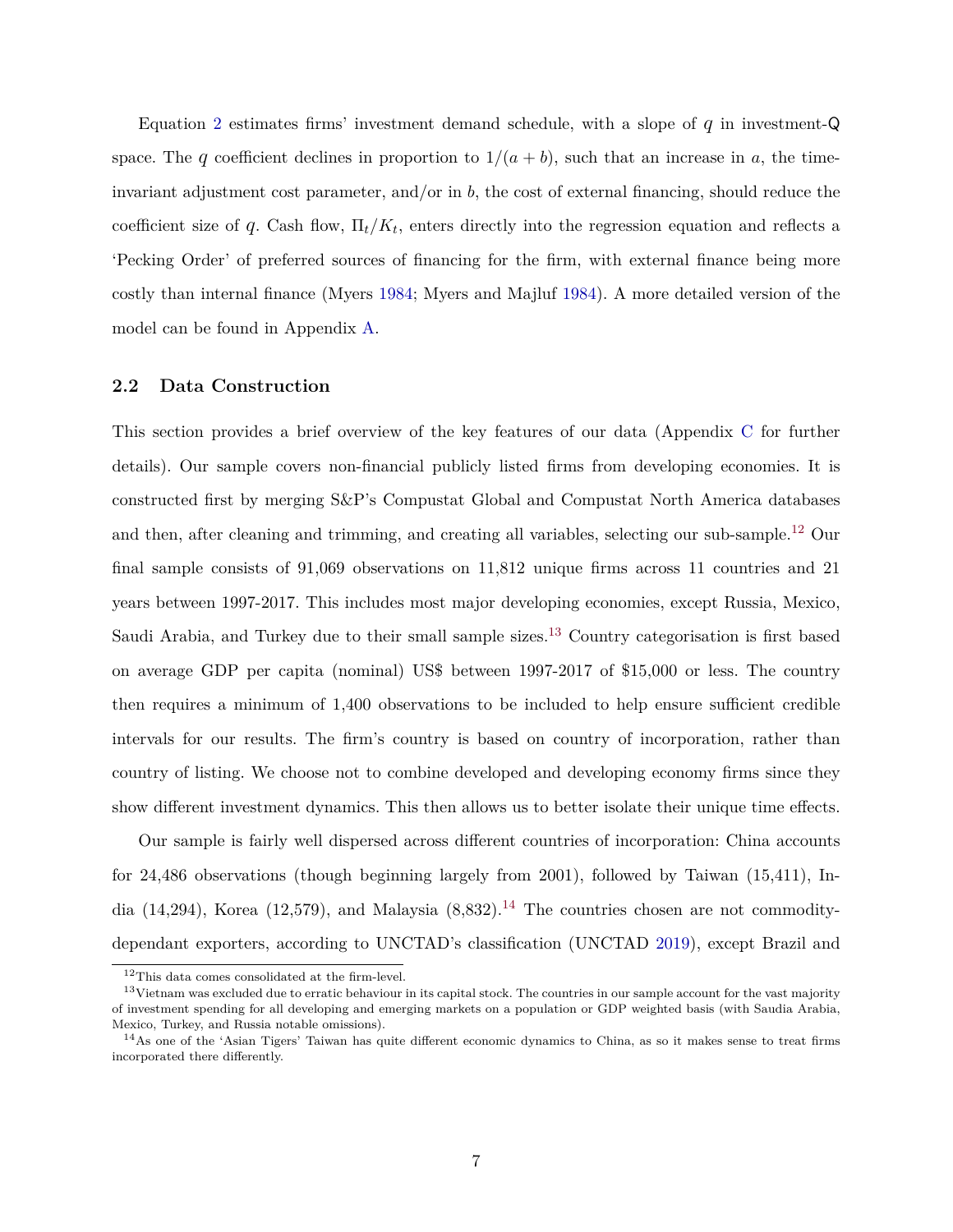Equation [2](#page-6-1) estimates firms' investment demand schedule, with a slope of *q* in investment-Q space. The *q* coefficient declines in proportion to  $1/(a + b)$ , such that an increase in *a*, the timeinvariant adjustment cost parameter, and/or in *b*, the cost of external financing, should reduce the coefficient size of  $q$ . Cash flow,  $\Pi_t/K_t$ , enters directly into the regression equation and reflects a 'Pecking Order' of preferred sources of financing for the firm, with external finance being more costly than internal finance (Myers [1984;](#page-28-11) Myers and Majluf [1984\)](#page-29-12). A more detailed version of the model can be found in Appendix [A.](#page-31-0)

### **2.2 Data Construction**

This section provides a brief overview of the key features of our data (Appendix [C](#page-37-0) for further details). Our sample covers non-financial publicly listed firms from developing economies. It is constructed first by merging S&P's Compustat Global and Compustat North America databases and then, after cleaning and trimming, and creating all variables, selecting our sub-sample.<sup>12</sup> Our final sample consists of 91,069 observations on 11,812 unique firms across 11 countries and 21 years between 1997-2017. This includes most major developing economies, except Russia, Mexico, Saudi Arabia, and Turkey due to their small sample sizes.<sup>13</sup> Country categorisation is first based on average GDP per capita (nominal) US\$ between 1997-2017 of \$15,000 or less. The country then requires a minimum of 1,400 observations to be included to help ensure sufficient credible intervals for our results. The firm's country is based on country of incorporation, rather than country of listing. We choose not to combine developed and developing economy firms since they show different investment dynamics. This then allows us to better isolate their unique time effects.

Our sample is fairly well dispersed across different countries of incorporation: China accounts for 24,486 observations (though beginning largely from 2001), followed by Taiwan (15,411), India (14,294), Korea (12,579), and Malaysia  $(8,832)$ .<sup>14</sup> The countries chosen are not commoditydependant exporters, according to UNCTAD's classification (UNCTAD [2019\)](#page-29-5), except Brazil and

 $^{12}\mathrm{This}$  data comes consolidated at the firm-level.

 $13$ Vietnam was excluded due to erratic behaviour in its capital stock. The countries in our sample account for the vast majority of investment spending for all developing and emerging markets on a population or GDP weighted basis (with Saudia Arabia, Mexico, Turkey, and Russia notable omissions).

<sup>14</sup>As one of the 'Asian Tigers' Taiwan has quite different economic dynamics to China, as so it makes sense to treat firms incorporated there differently.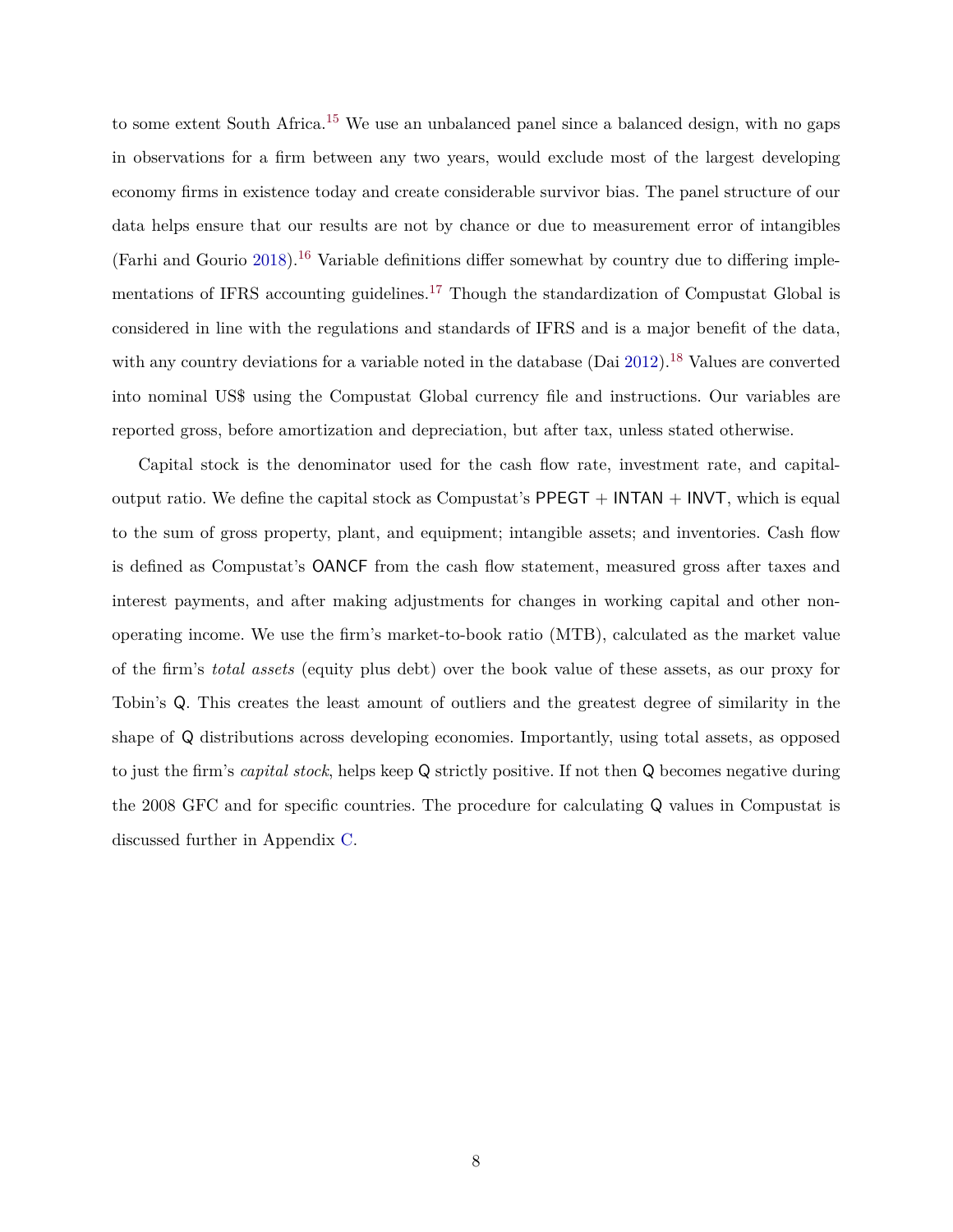to some extent South Africa.<sup>15</sup> We use an unbalanced panel since a balanced design, with no gaps in observations for a firm between any two years, would exclude most of the largest developing economy firms in existence today and create considerable survivor bias. The panel structure of our data helps ensure that our results are not by chance or due to measurement error of intangibles (Farhi and Gourio [2018\)](#page-26-10).<sup>16</sup> Variable definitions differ somewhat by country due to differing implementations of IFRS accounting guidelines.<sup>17</sup> Though the standardization of Compustat Global is considered in line with the regulations and standards of IFRS and is a major benefit of the data, with any country deviations for a variable noted in the database  $(Dai 2012).<sup>18</sup>$  $(Dai 2012).<sup>18</sup>$  $(Dai 2012).<sup>18</sup>$  Values are converted into nominal US\$ using the Compustat Global currency file and instructions. Our variables are reported gross, before amortization and depreciation, but after tax, unless stated otherwise.

Capital stock is the denominator used for the cash flow rate, investment rate, and capitaloutput ratio. We define the capital stock as Compustat's  $PPEGT + INTAN + INVT$ , which is equal to the sum of gross property, plant, and equipment; intangible assets; and inventories. Cash flow is defined as Compustat's OANCF from the cash flow statement, measured gross after taxes and interest payments, and after making adjustments for changes in working capital and other nonoperating income. We use the firm's market-to-book ratio (MTB), calculated as the market value of the firm's *total assets* (equity plus debt) over the book value of these assets, as our proxy for Tobin's Q. This creates the least amount of outliers and the greatest degree of similarity in the shape of Q distributions across developing economies. Importantly, using total assets, as opposed to just the firm's *capital stock*, helps keep Q strictly positive. If not then Q becomes negative during the 2008 GFC and for specific countries. The procedure for calculating Q values in Compustat is discussed further in Appendix [C.](#page-37-0)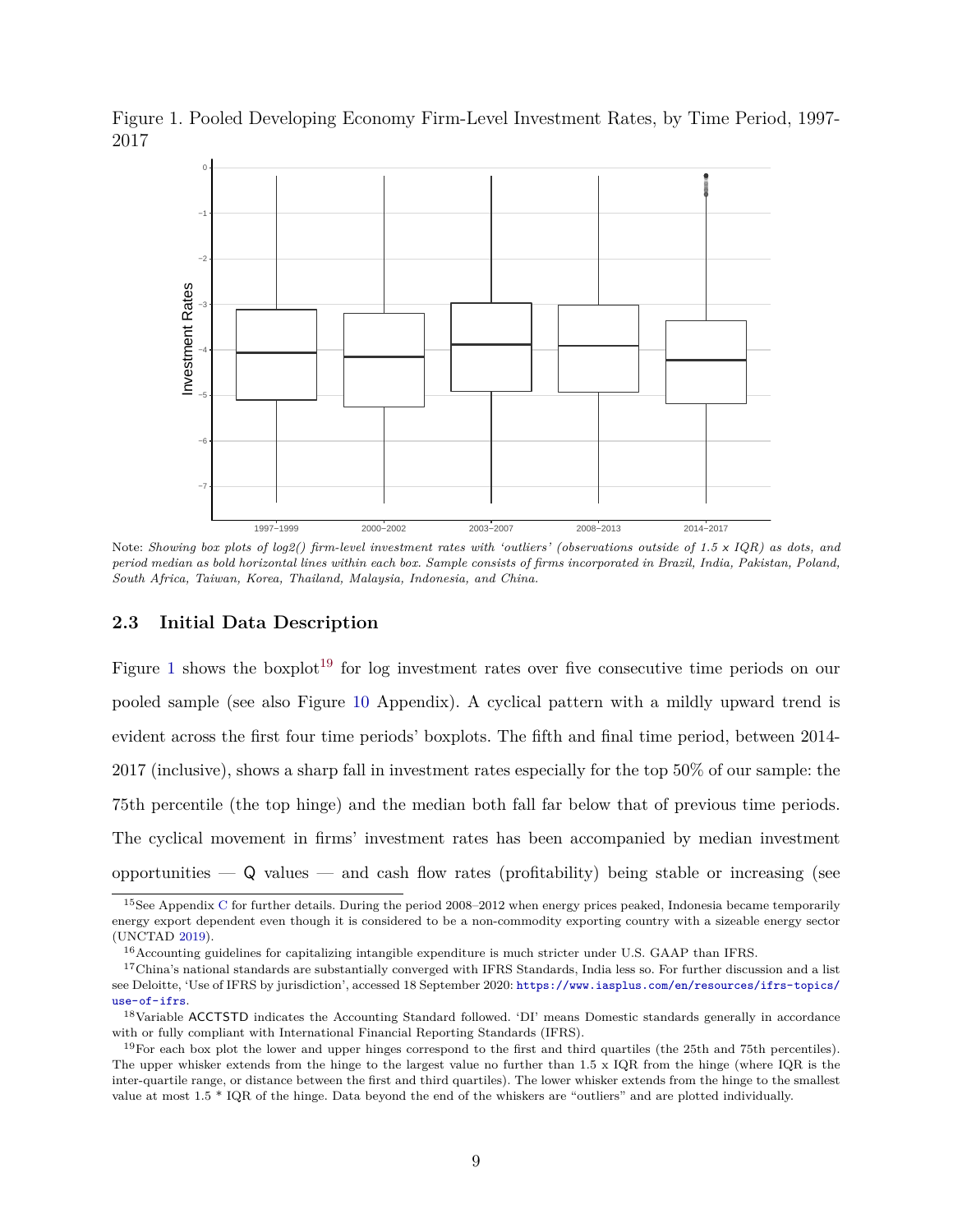<span id="page-9-0"></span>Figure 1. Pooled Developing Economy Firm-Level Investment Rates, by Time Period, 1997- 2017



Note: *Showing box plots of log2() firm-level investment rates with 'outliers' (observations outside of 1.5* x *IQR) as dots, and period median as bold horizontal lines within each box. Sample consists of firms incorporated in Brazil, India, Pakistan, Poland, South Africa, Taiwan, Korea, Thailand, Malaysia, Indonesia, and China.*

### <span id="page-9-1"></span>**2.3 Initial Data Description**

Figure [1](#page-9-0) shows the boxplot<sup>19</sup> for log investment rates over five consecutive time periods on our pooled sample (see also Figure [10](#page-44-0) Appendix). A cyclical pattern with a mildly upward trend is evident across the first four time periods' boxplots. The fifth and final time period, between 2014- 2017 (inclusive), shows a sharp fall in investment rates especially for the top 50% of our sample: the 75th percentile (the top hinge) and the median both fall far below that of previous time periods. The cyclical movement in firms' investment rates has been accompanied by median investment opportunities  $\overline{\phantom{a}}$  and cash flow rates (profitability) being stable or increasing (see

<sup>15</sup>See Appendix [C](#page-37-0) for further details. During the period 2008–2012 when energy prices peaked, Indonesia became temporarily energy export dependent even though it is considered to be a non-commodity exporting country with a sizeable energy sector (UNCTAD [2019\)](#page-29-5).

<sup>16</sup>Accounting guidelines for capitalizing intangible expenditure is much stricter under U.S. GAAP than IFRS.

 $17$ China's national standards are substantially converged with IFRS Standards, India less so. For further discussion and a list see Deloitte, 'Use of IFRS by jurisdiction', accessed 18 September 2020: [https://www.iasplus.com/en/resources/ifrs-topics/](https://www.iasplus.com/en/resources/ifrs-topics/use-of-ifrs) [use-of-ifrs](https://www.iasplus.com/en/resources/ifrs-topics/use-of-ifrs).

<sup>18</sup>Variable ACCTSTD indicates the Accounting Standard followed. 'DI' means Domestic standards generally in accordance with or fully compliant with International Financial Reporting Standards (IFRS).

<sup>19</sup>For each box plot the lower and upper hinges correspond to the first and third quartiles (the 25th and 75th percentiles). The upper whisker extends from the hinge to the largest value no further than 1.5 x IQR from the hinge (where IQR is the inter-quartile range, or distance between the first and third quartiles). The lower whisker extends from the hinge to the smallest value at most 1.5 \* IQR of the hinge. Data beyond the end of the whiskers are "outliers" and are plotted individually.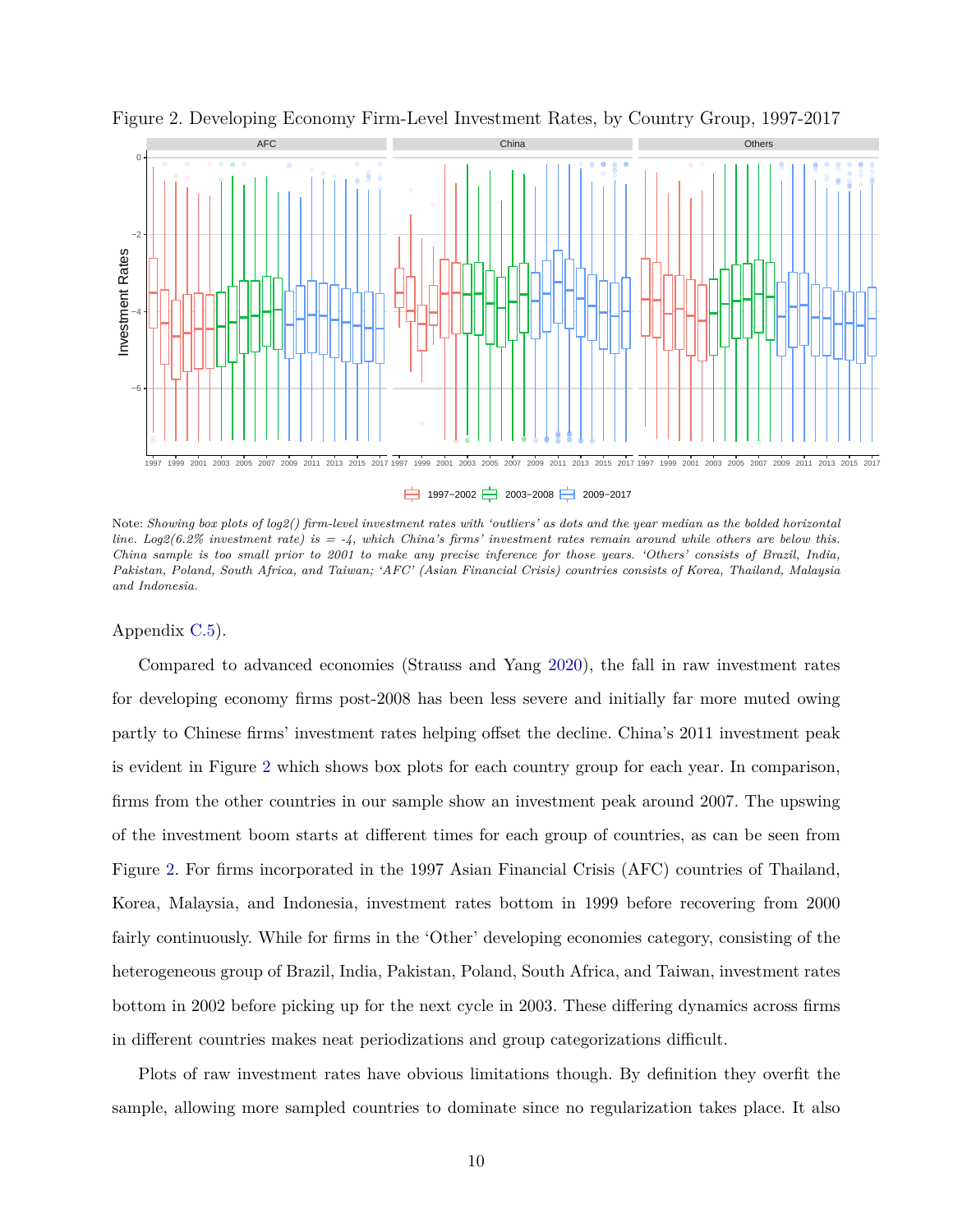

<span id="page-10-0"></span>Figure 2. Developing Economy Firm-Level Investment Rates, by Country Group, 1997-2017

1997−2002 2003−2008 2009−2017

Note: *Showing box plots of log2() firm-level investment rates with 'outliers' as dots and the year median as the bolded horizontal line. Log2(6.2% investment rate) is = -4, which China's firms' investment rates remain around while others are below this. China sample is too small prior to 2001 to make any precise inference for those years. 'Others' consists of Brazil, India, Pakistan, Poland, South Africa, and Taiwan; 'AFC' (Asian Financial Crisis) countries consists of Korea, Thailand, Malaysia and Indonesia.*

#### Appendix [C.5\)](#page-44-1).

Compared to advanced economies (Strauss and Yang [2020\)](#page-29-11), the fall in raw investment rates for developing economy firms post-2008 has been less severe and initially far more muted owing partly to Chinese firms' investment rates helping offset the decline. China's 2011 investment peak is evident in Figure [2](#page-10-0) which shows box plots for each country group for each year. In comparison, firms from the other countries in our sample show an investment peak around 2007. The upswing of the investment boom starts at different times for each group of countries, as can be seen from Figure [2.](#page-10-0) For firms incorporated in the 1997 Asian Financial Crisis (AFC) countries of Thailand, Korea, Malaysia, and Indonesia, investment rates bottom in 1999 before recovering from 2000 fairly continuously. While for firms in the 'Other' developing economies category, consisting of the heterogeneous group of Brazil, India, Pakistan, Poland, South Africa, and Taiwan, investment rates bottom in 2002 before picking up for the next cycle in 2003. These differing dynamics across firms in different countries makes neat periodizations and group categorizations difficult.

Plots of raw investment rates have obvious limitations though. By definition they overfit the sample, allowing more sampled countries to dominate since no regularization takes place. It also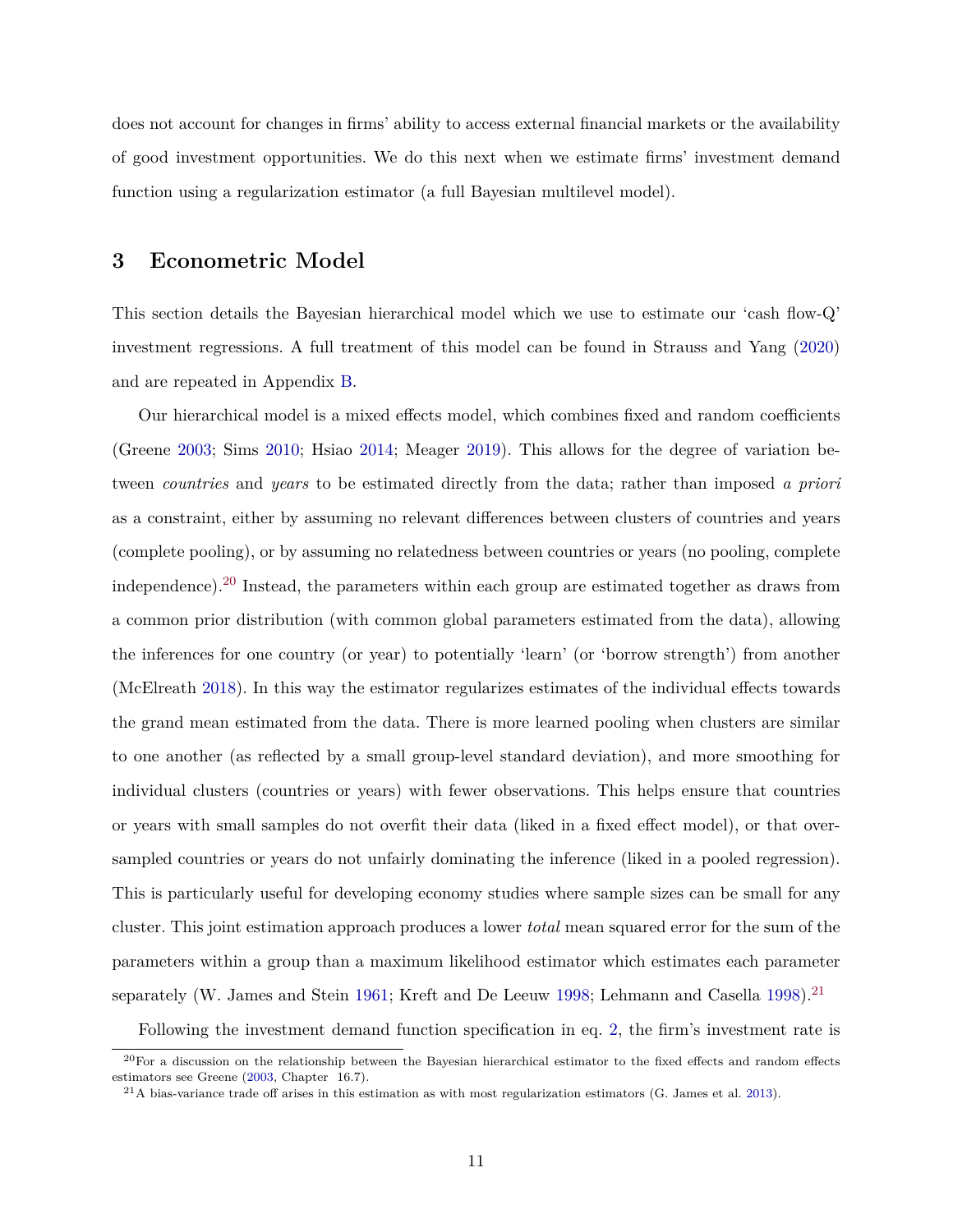does not account for changes in firms' ability to access external financial markets or the availability of good investment opportunities. We do this next when we estimate firms' investment demand function using a regularization estimator (a full Bayesian multilevel model).

### <span id="page-11-0"></span>**3 Econometric Model**

This section details the Bayesian hierarchical model which we use to estimate our 'cash flow-Q' investment regressions. A full treatment of this model can be found in Strauss and Yang [\(2020\)](#page-29-11) and are repeated in Appendix [B.](#page-33-0)

Our hierarchical model is a mixed effects model, which combines fixed and random coefficients (Greene [2003;](#page-27-15) Sims [2010;](#page-29-10) Hsiao [2014;](#page-27-10) Meager [2019\)](#page-28-9). This allows for the degree of variation between *countries* and *years* to be estimated directly from the data; rather than imposed *a priori* as a constraint, either by assuming no relevant differences between clusters of countries and years (complete pooling), or by assuming no relatedness between countries or years (no pooling, complete independence).<sup>20</sup> Instead, the parameters within each group are estimated together as draws from a common prior distribution (with common global parameters estimated from the data), allowing the inferences for one country (or year) to potentially 'learn' (or 'borrow strength') from another (McElreath [2018\)](#page-28-12). In this way the estimator regularizes estimates of the individual effects towards the grand mean estimated from the data. There is more learned pooling when clusters are similar to one another (as reflected by a small group-level standard deviation), and more smoothing for individual clusters (countries or years) with fewer observations. This helps ensure that countries or years with small samples do not overfit their data (liked in a fixed effect model), or that oversampled countries or years do not unfairly dominating the inference (liked in a pooled regression). This is particularly useful for developing economy studies where sample sizes can be small for any cluster. This joint estimation approach produces a lower *total* mean squared error for the sum of the parameters within a group than a maximum likelihood estimator which estimates each parameter separately (W. James and Stein [1961;](#page-27-16) Kreft and De Leeuw [1998;](#page-28-13) Lehmann and Casella [1998\)](#page-28-14).<sup>21</sup>

Following the investment demand function specification in eq. [2,](#page-6-1) the firm's investment rate is

 $^{20}$ For a discussion on the relationship between the Bayesian hierarchical estimator to the fixed effects and random effects estimators see Greene [\(2003,](#page-27-15) Chapter 16.7).

 $^{21}$ A bias-variance trade off arises in this estimation as with most regularization estimators (G. James et al. [2013\)](#page-27-17).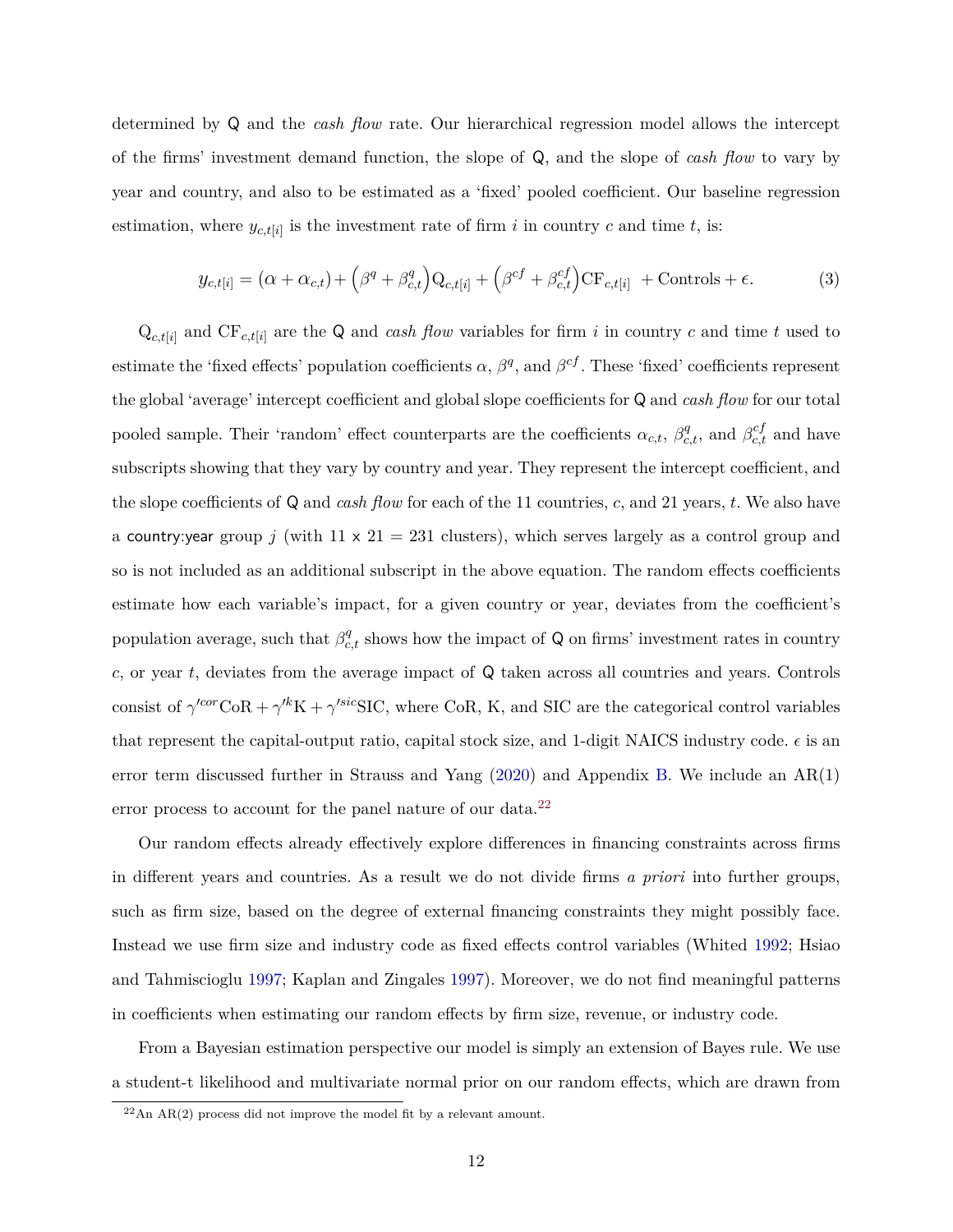determined by Q and the *cash flow* rate. Our hierarchical regression model allows the intercept of the firms' investment demand function, the slope of Q, and the slope of *cash flow* to vary by year and country, and also to be estimated as a 'fixed' pooled coefficient. Our baseline regression estimation, where  $y_{c,t[i]}$  is the investment rate of firm *i* in country *c* and time *t*, is:

<span id="page-12-0"></span>
$$
y_{c,t[i]} = (\alpha + \alpha_{c,t}) + (\beta^q + \beta^q_{c,t})Q_{c,t[i]} + (\beta^{cf} + \beta^{cf}_{c,t})CF_{c,t[i]} + \text{Controls} + \epsilon.
$$
 (3)

 $Q_{c,t[i]}$  and  $CF_{c,t[i]}$  are the Q and *cash flow* variables for firm *i* in country *c* and time *t* used to estimate the 'fixed effects' population coefficients  $\alpha$ ,  $\beta^q$ , and  $\beta^{cf}$ . These 'fixed' coefficients represent the global 'average' intercept coefficient and global slope coefficients for Q and *cash flow* for our total pooled sample. Their 'random' effect counterparts are the coefficients  $\alpha_{c,t}$ ,  $\beta_{c,t}^q$ , and  $\beta_{c,t}^{cf}$  and have subscripts showing that they vary by country and year. They represent the intercept coefficient, and the slope coefficients of Q and *cash flow* for each of the 11 countries, *c*, and 21 years, *t*. We also have a country: year group *j* (with  $11 \times 21 = 231$  clusters), which serves largely as a control group and so is not included as an additional subscript in the above equation. The random effects coefficients estimate how each variable's impact, for a given country or year, deviates from the coefficient's population average, such that  $\beta_{c,t}^q$  shows how the impact of Q on firms' investment rates in country *c*, or year *t*, deviates from the average impact of Q taken across all countries and years. Controls consist of  $\gamma^{\text{cor}}\text{CoR} + \gamma^{\text{kk}}\text{K} + \gamma^{\text{sic}}\text{SIC}$ , where CoR, K, and SIC are the categorical control variables that represent the capital-output ratio, capital stock size, and 1-digit NAICS industry code.  $\epsilon$  is an error term discussed further in Strauss and Yang [\(2020\)](#page-29-11) and Appendix [B.](#page-33-0) We include an AR(1) error process to account for the panel nature of our data.<sup>22</sup>

Our random effects already effectively explore differences in financing constraints across firms in different years and countries. As a result we do not divide firms *a priori* into further groups, such as firm size, based on the degree of external financing constraints they might possibly face. Instead we use firm size and industry code as fixed effects control variables (Whited [1992;](#page-30-3) Hsiao and Tahmiscioglu [1997;](#page-27-14) Kaplan and Zingales [1997\)](#page-28-15). Moreover, we do not find meaningful patterns in coefficients when estimating our random effects by firm size, revenue, or industry code.

From a Bayesian estimation perspective our model is simply an extension of Bayes rule. We use a student-t likelihood and multivariate normal prior on our random effects, which are drawn from

 $22$ An AR(2) process did not improve the model fit by a relevant amount.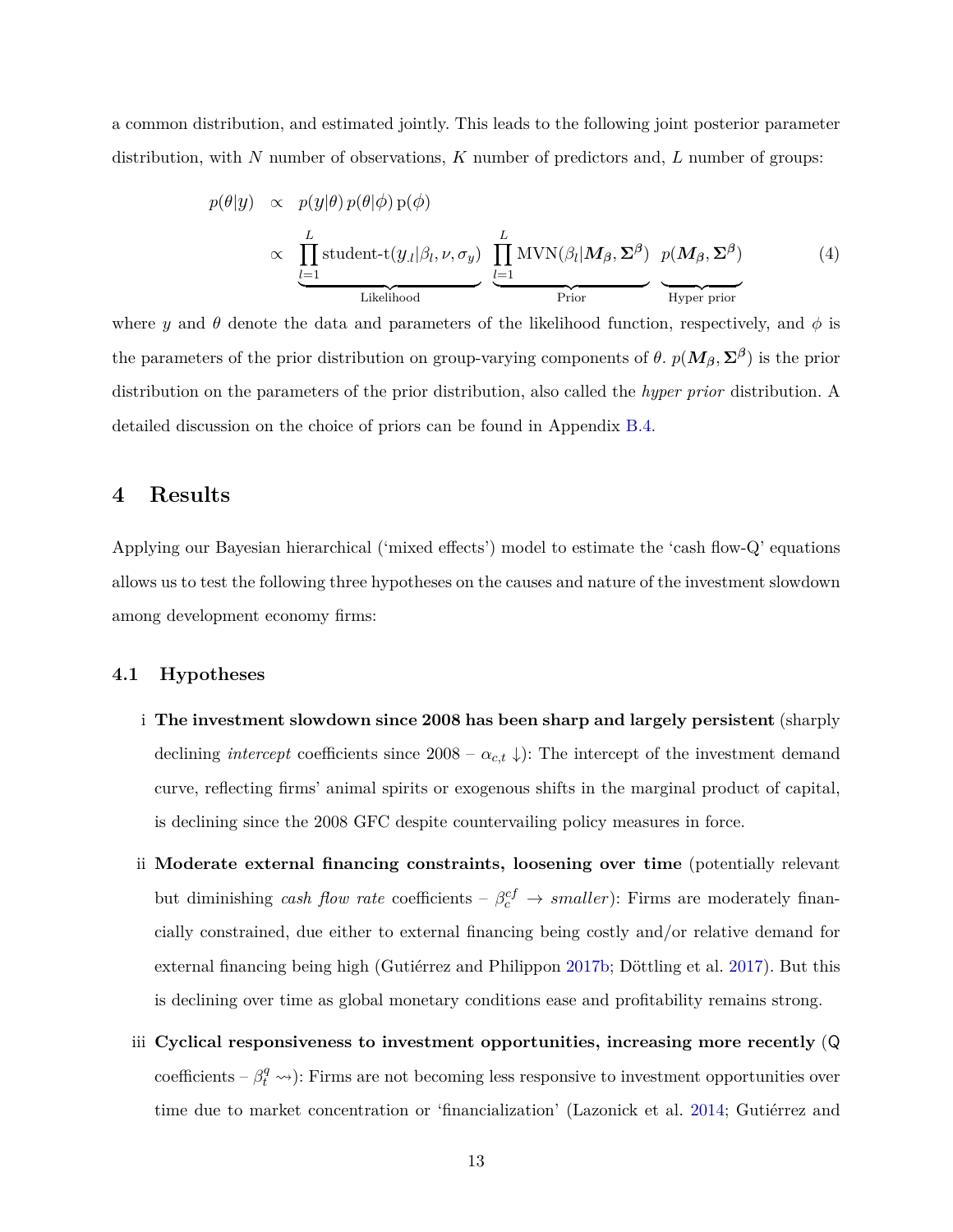a common distribution, and estimated jointly. This leads to the following joint posterior parameter distribution, with *N* number of observations, *K* number of predictors and, *L* number of groups:

$$
p(\theta|y) \propto p(y|\theta) p(\theta|\phi) p(\phi)
$$
  
 
$$
\propto \underbrace{\prod_{l=1}^{L} \text{student-}t(y_{.l}|\beta_{l}, \nu, \sigma_{y})}_{\text{Likelihood}} \underbrace{\prod_{l=1}^{L} \text{MVN}(\beta_{l}|\mathbf{M}_{\beta}, \Sigma^{\beta}) p(\mathbf{M}_{\beta}, \Sigma^{\beta})}_{\text{Prior}} \qquad (4)
$$

where *y* and  $\theta$  denote the data and parameters of the likelihood function, respectively, and  $\phi$  is the parameters of the prior distribution on group-varying components of  $\theta$ .  $p(M_\beta, \Sigma^\beta)$  is the prior distribution on the parameters of the prior distribution, also called the *hyper prior* distribution. A detailed discussion on the choice of priors can be found in Appendix [B.4.](#page-36-0)

## <span id="page-13-0"></span>**4 Results**

Applying our Bayesian hierarchical ('mixed effects') model to estimate the 'cash flow-Q' equations allows us to test the following three hypotheses on the causes and nature of the investment slowdown among development economy firms:

### **4.1 Hypotheses**

- i **The investment slowdown since 2008 has been sharp and largely persistent** (sharply declining *intercept* coefficients since  $2008 - \alpha_{c,t} \downarrow$ : The intercept of the investment demand curve, reflecting firms' animal spirits or exogenous shifts in the marginal product of capital, is declining since the 2008 GFC despite countervailing policy measures in force.
- ii **Moderate external financing constraints, loosening over time** (potentially relevant but diminishing *cash flow rate* coefficients –  $\beta_c^{cf} \rightarrow smaller$ ): Firms are moderately financially constrained, due either to external financing being costly and/or relative demand for external financing being high (Gutiérrez and Philippon [2017b;](#page-27-2) Döttling et al. [2017\)](#page-26-4). But this is declining over time as global monetary conditions ease and profitability remains strong.
- iii **Cyclical responsiveness to investment opportunities, increasing more recently** (Q coefficients –  $\beta_t^q \rightarrow$ ): Firms are not becoming less responsive to investment opportunities over time due to market concentration or 'financialization' (Lazonick et al. [2014;](#page-28-5) Gutiérrez and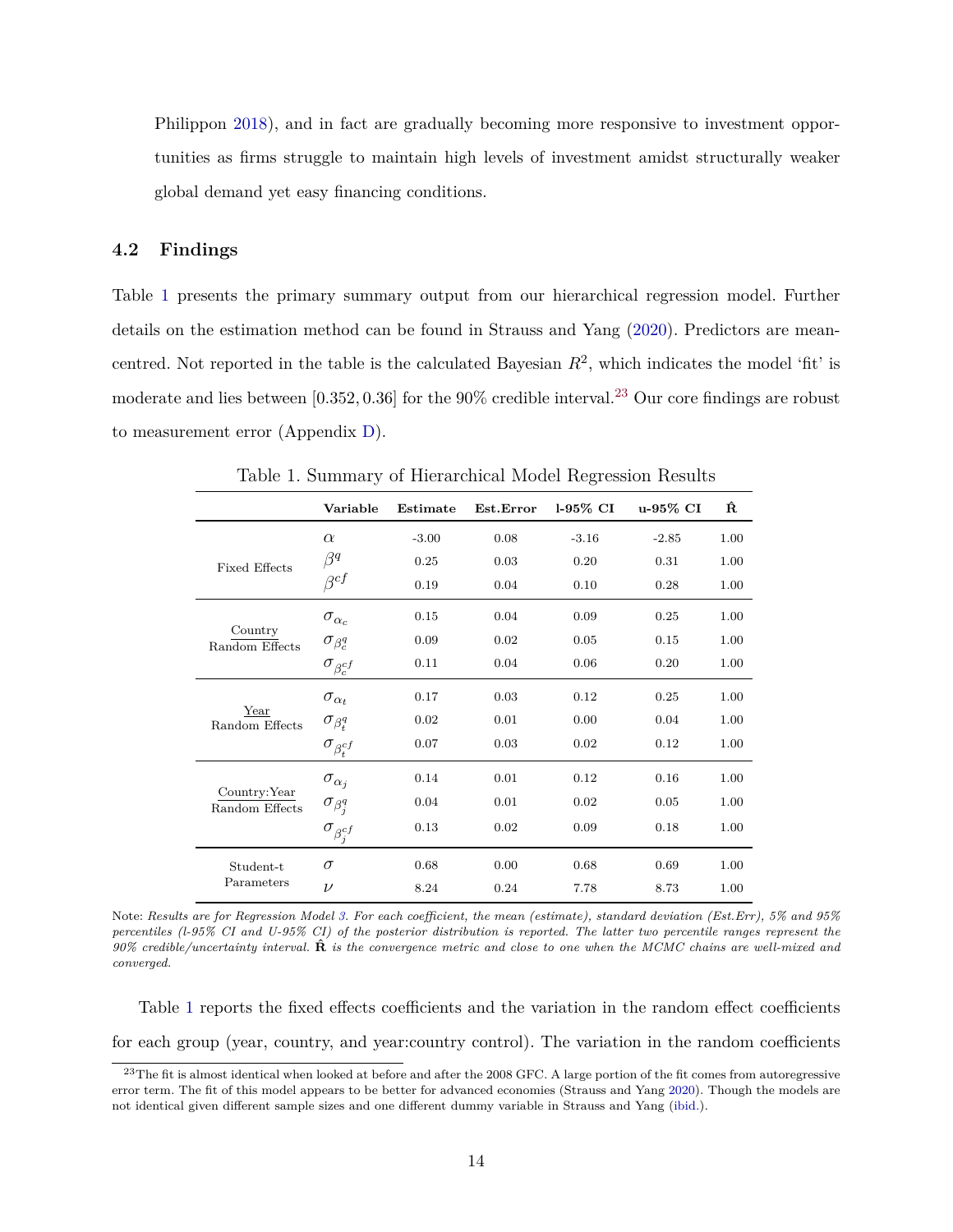Philippon [2018\)](#page-27-3), and in fact are gradually becoming more responsive to investment opportunities as firms struggle to maintain high levels of investment amidst structurally weaker global demand yet easy financing conditions.

### **4.2 Findings**

Table [1](#page-14-0) presents the primary summary output from our hierarchical regression model. Further details on the estimation method can be found in Strauss and Yang [\(2020\)](#page-29-11). Predictors are meancentred. Not reported in the table is the calculated Bayesian  $R^2$ , which indicates the model 'fit' is moderate and lies between [0*.*352*,* 0*.*36] for the 90% credible interval.<sup>23</sup> Our core findings are robust to measurement error (Appendix [D\)](#page-49-0).

<span id="page-14-0"></span>

|                                 | Variable                | Estimate | Est.Error | $1-95\%$ CI | u-95% CI | Ŕ    |
|---------------------------------|-------------------------|----------|-----------|-------------|----------|------|
|                                 | $\alpha$                | $-3.00$  | 0.08      | $-3.16$     | $-2.85$  | 1.00 |
| <b>Fixed Effects</b>            | $\beta^q$               | 0.25     | 0.03      | 0.20        | 0.31     | 1.00 |
|                                 | $\beta^{cf}$            | 0.19     | 0.04      | 0.10        | 0.28     | 1.00 |
|                                 | $\sigma_{\alpha_c}$     | 0.15     | 0.04      | 0.09        | 0.25     | 1.00 |
| Country<br>Random Effects       | $\sigma_{\beta_c^q}$    | 0.09     | 0.02      | 0.05        | 0.15     | 1.00 |
|                                 | $\sigma_{\beta_c^{cf}}$ | 0.11     | 0.04      | 0.06        | 0.20     | 1.00 |
|                                 | $\sigma_{\alpha_t}$     | 0.17     | 0.03      | 0.12        | 0.25     | 1.00 |
| Year<br>Random Effects          | $\sigma_{\beta_t^q}$    | 0.02     | 0.01      | 0.00        | 0.04     | 1.00 |
|                                 | $\sigma_{\beta_t^{cf}}$ | 0.07     | 0.03      | 0.02        | 0.12     | 1.00 |
|                                 | $\sigma_{\alpha_j}$     | 0.14     | 0.01      | 0.12        | 0.16     | 1.00 |
| Country: Year<br>Random Effects | $\sigma_{\beta_j^q}$    | 0.04     | 0.01      | 0.02        | 0.05     | 1.00 |
|                                 | $\sigma_{\beta_j^{cf}}$ | 0.13     | 0.02      | 0.09        | 0.18     | 1.00 |
| Student-t                       | $\sigma$                | 0.68     | 0.00      | 0.68        | 0.69     | 1.00 |
| Parameters                      | $\nu$                   | 8.24     | 0.24      | 7.78        | 8.73     | 1.00 |

Table 1. Summary of Hierarchical Model Regression Results

Note: *Results are for Regression Model [3.](#page-12-0) For each coefficient, the mean (estimate), standard deviation (Est.Err), 5% and 95% percentiles (l-95% CI and U-95% CI) of the posterior distribution is reported. The latter two percentile ranges represent the 90% credible/uncertainty interval.* **Rˆ** *is the convergence metric and close to one when the MCMC chains are well-mixed and converged.*

Table [1](#page-14-0) reports the fixed effects coefficients and the variation in the random effect coefficients for each group (year, country, and year:country control). The variation in the random coefficients

<sup>&</sup>lt;sup>23</sup>The fit is almost identical when looked at before and after the 2008 GFC. A large portion of the fit comes from autoregressive error term. The fit of this model appears to be better for advanced economies (Strauss and Yang [2020\)](#page-29-11). Though the models are not identical given different sample sizes and one different dummy variable in Strauss and Yang [\(ibid.\)](#page-29-11).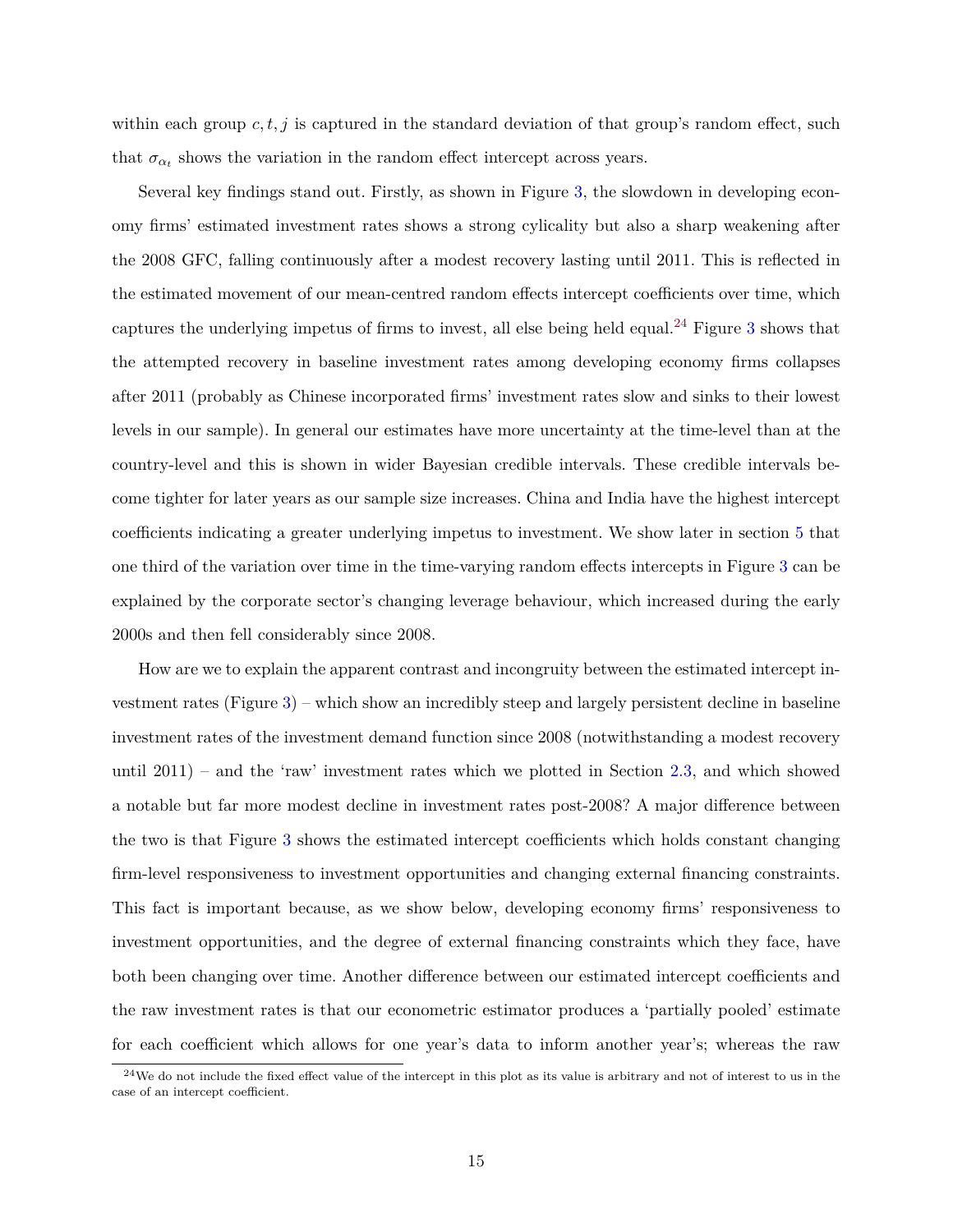within each group *c, t, j* is captured in the standard deviation of that group's random effect, such that  $\sigma_{\alpha_t}$  shows the variation in the random effect intercept across years.

Several key findings stand out. Firstly, as shown in Figure [3,](#page-16-0) the slowdown in developing economy firms' estimated investment rates shows a strong cylicality but also a sharp weakening after the 2008 GFC, falling continuously after a modest recovery lasting until 2011. This is reflected in the estimated movement of our mean-centred random effects intercept coefficients over time, which captures the underlying impetus of firms to invest, all else being held equal.<sup>24</sup> Figure [3](#page-16-0) shows that the attempted recovery in baseline investment rates among developing economy firms collapses after 2011 (probably as Chinese incorporated firms' investment rates slow and sinks to their lowest levels in our sample). In general our estimates have more uncertainty at the time-level than at the country-level and this is shown in wider Bayesian credible intervals. These credible intervals become tighter for later years as our sample size increases. China and India have the highest intercept coefficients indicating a greater underlying impetus to investment. We show later in section [5](#page-19-0) that one third of the variation over time in the time-varying random effects intercepts in Figure [3](#page-16-0) can be explained by the corporate sector's changing leverage behaviour, which increased during the early 2000s and then fell considerably since 2008.

How are we to explain the apparent contrast and incongruity between the estimated intercept investment rates (Figure [3\)](#page-16-0) – which show an incredibly steep and largely persistent decline in baseline investment rates of the investment demand function since 2008 (notwithstanding a modest recovery until 2011) – and the 'raw' investment rates which we plotted in Section [2.3,](#page-9-1) and which showed a notable but far more modest decline in investment rates post-2008? A major difference between the two is that Figure [3](#page-16-0) shows the estimated intercept coefficients which holds constant changing firm-level responsiveness to investment opportunities and changing external financing constraints. This fact is important because, as we show below, developing economy firms' responsiveness to investment opportunities, and the degree of external financing constraints which they face, have both been changing over time. Another difference between our estimated intercept coefficients and the raw investment rates is that our econometric estimator produces a 'partially pooled' estimate for each coefficient which allows for one year's data to inform another year's; whereas the raw

 $24$ We do not include the fixed effect value of the intercept in this plot as its value is arbitrary and not of interest to us in the case of an intercept coefficient.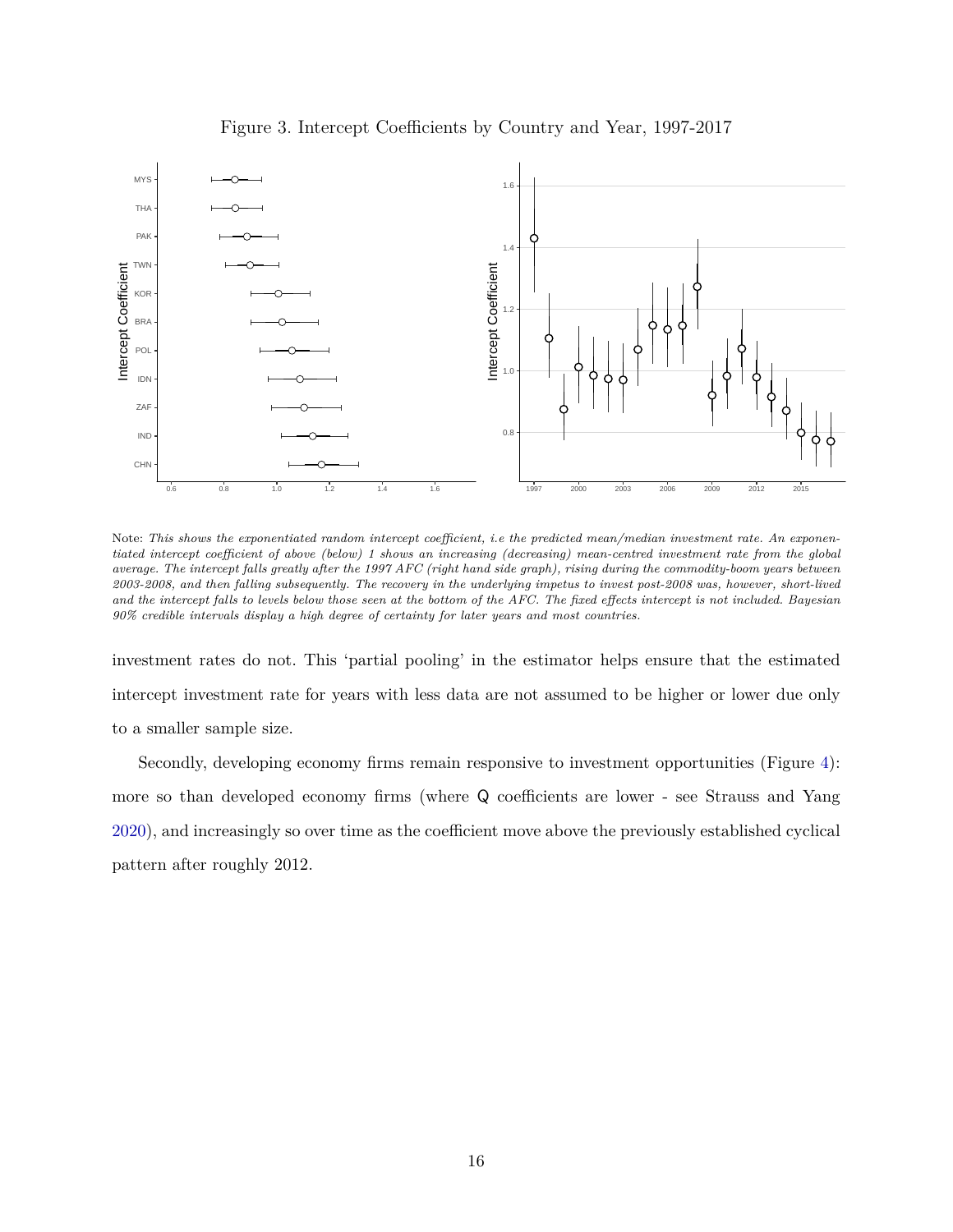<span id="page-16-0"></span>

Figure 3. Intercept Coefficients by Country and Year, 1997-2017

Note: *This shows the exponentiated random intercept coefficient, i.e the predicted mean/median investment rate. An exponentiated intercept coefficient of above (below) 1 shows an increasing (decreasing) mean-centred investment rate from the global average. The intercept falls greatly after the 1997 AFC (right hand side graph), rising during the commodity-boom years between 2003-2008, and then falling subsequently. The recovery in the underlying impetus to invest post-2008 was, however, short-lived and the intercept falls to levels below those seen at the bottom of the AFC. The fixed effects intercept is not included. Bayesian 90% credible intervals display a high degree of certainty for later years and most countries.*

investment rates do not. This 'partial pooling' in the estimator helps ensure that the estimated intercept investment rate for years with less data are not assumed to be higher or lower due only to a smaller sample size.

Secondly, developing economy firms remain responsive to investment opportunities (Figure [4\)](#page-17-0): more so than developed economy firms (where Q coefficients are lower - see Strauss and Yang [2020\)](#page-29-11), and increasingly so over time as the coefficient move above the previously established cyclical pattern after roughly 2012.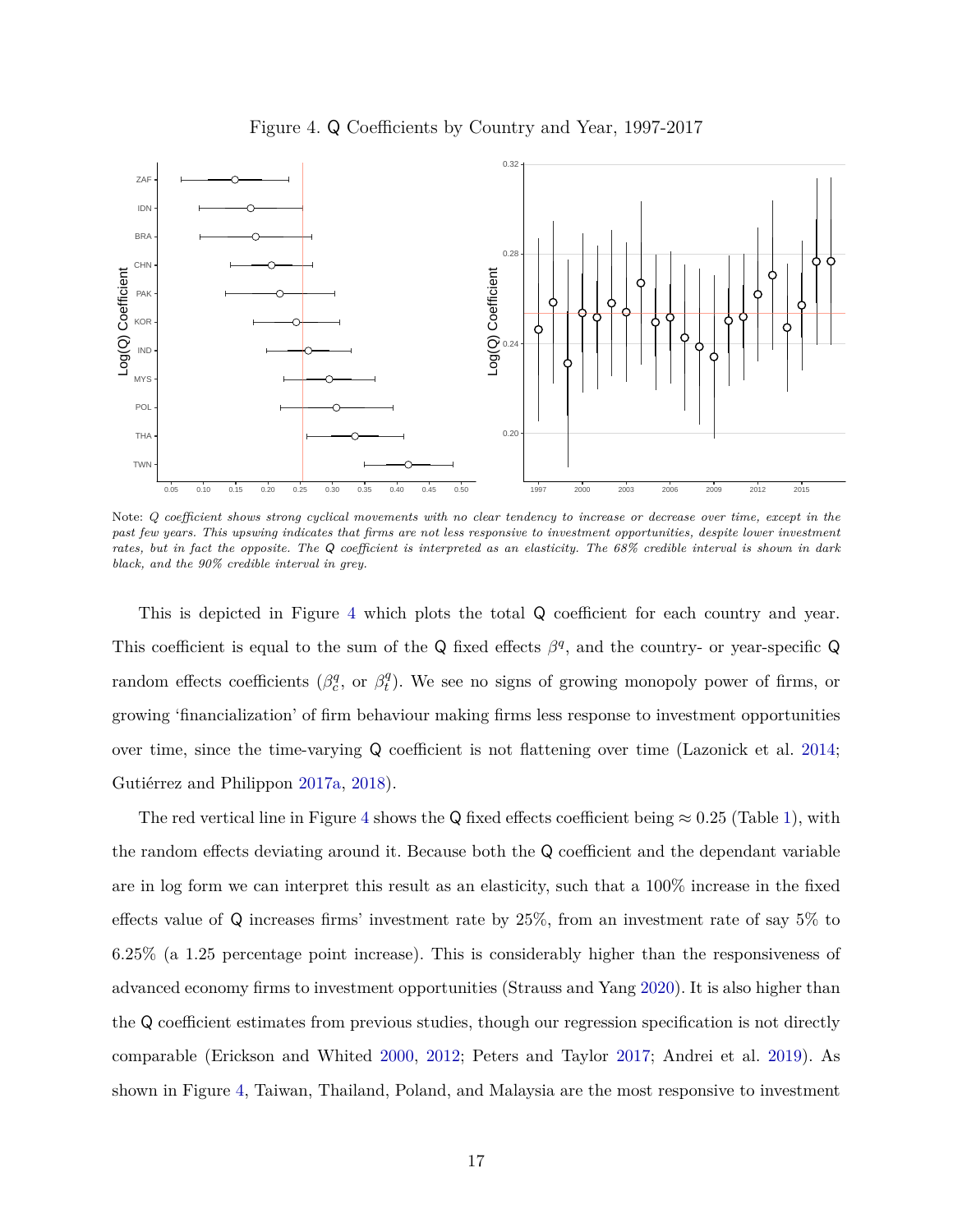<span id="page-17-0"></span>

Figure 4. Q Coefficients by Country and Year, 1997-2017

Note: *Q coefficient shows strong cyclical movements with no clear tendency to increase or decrease over time, except in the past few years. This upswing indicates that firms are not less responsive to investment opportunities, despite lower investment rates, but in fact the opposite. The* Q *coefficient is interpreted as an elasticity. The 68% credible interval is shown in dark black, and the 90% credible interval in grey.*

This is depicted in Figure [4](#page-17-0) which plots the total Q coefficient for each country and year. This coefficient is equal to the sum of the Q fixed effects  $\beta^q$ , and the country- or year-specific Q random effects coefficients ( $\beta_c^q$ , or  $\beta_t^q$ *t* ). We see no signs of growing monopoly power of firms, or growing 'financialization' of firm behaviour making firms less response to investment opportunities over time, since the time-varying Q coefficient is not flattening over time (Lazonick et al. [2014;](#page-28-5) Gutiérrez and Philippon [2017a,](#page-27-1) [2018\)](#page-27-3).

The red vertical line in Figure [4](#page-17-0) shows the Q fixed effects coefficient being  $\approx 0.25$  (Table [1\)](#page-14-0), with the random effects deviating around it. Because both the Q coefficient and the dependant variable are in log form we can interpret this result as an elasticity, such that a 100% increase in the fixed effects value of Q increases firms' investment rate by 25%, from an investment rate of say 5% to 6*.*25% (a 1.25 percentage point increase). This is considerably higher than the responsiveness of advanced economy firms to investment opportunities (Strauss and Yang [2020\)](#page-29-11). It is also higher than the Q coefficient estimates from previous studies, though our regression specification is not directly comparable (Erickson and Whited [2000,](#page-26-12) [2012;](#page-26-13) Peters and Taylor [2017;](#page-29-13) Andrei et al. [2019\)](#page-26-9). As shown in Figure [4,](#page-17-0) Taiwan, Thailand, Poland, and Malaysia are the most responsive to investment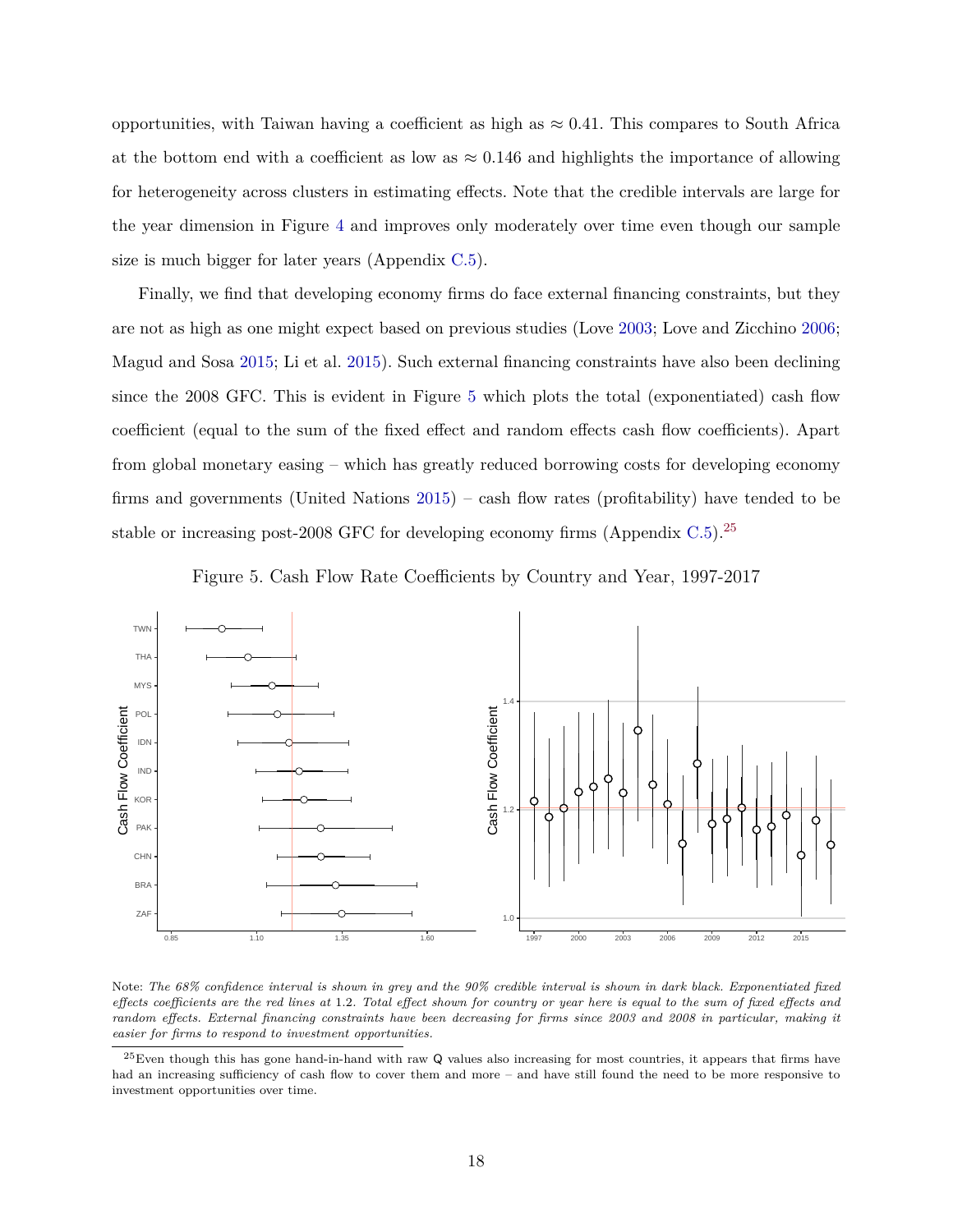opportunities, with Taiwan having a coefficient as high as  $\approx 0.41$ . This compares to South Africa at the bottom end with a coefficient as low as  $\approx 0.146$  and highlights the importance of allowing for heterogeneity across clusters in estimating effects. Note that the credible intervals are large for the year dimension in Figure [4](#page-17-0) and improves only moderately over time even though our sample size is much bigger for later years (Appendix [C.5\)](#page-44-1).

Finally, we find that developing economy firms do face external financing constraints, but they are not as high as one might expect based on previous studies (Love [2003;](#page-28-1) Love and Zicchino [2006;](#page-28-2) Magud and Sosa [2015;](#page-28-3) Li et al. [2015\)](#page-28-4). Such external financing constraints have also been declining since the 2008 GFC. This is evident in Figure [5](#page-18-0) which plots the total (exponentiated) cash flow coefficient (equal to the sum of the fixed effect and random effects cash flow coefficients). Apart from global monetary easing – which has greatly reduced borrowing costs for developing economy firms and governments (United Nations [2015\)](#page-30-4) – cash flow rates (profitability) have tended to be stable or increasing post-2008 GFC for developing economy firms (Appendix [C.5\)](#page-44-1).<sup>25</sup>



<span id="page-18-0"></span>

Note: *The 68% confidence interval is shown in grey and the 90% credible interval is shown in dark black. Exponentiated fixed effects coefficients are the red lines at* 1*.*2*. Total effect shown for country or year here is equal to the sum of fixed effects and random effects. External financing constraints have been decreasing for firms since 2003 and 2008 in particular, making it easier for firms to respond to investment opportunities.*

 $^{25}$ Even though this has gone hand-in-hand with raw Q values also increasing for most countries, it appears that firms have had an increasing sufficiency of cash flow to cover them and more – and have still found the need to be more responsive to investment opportunities over time.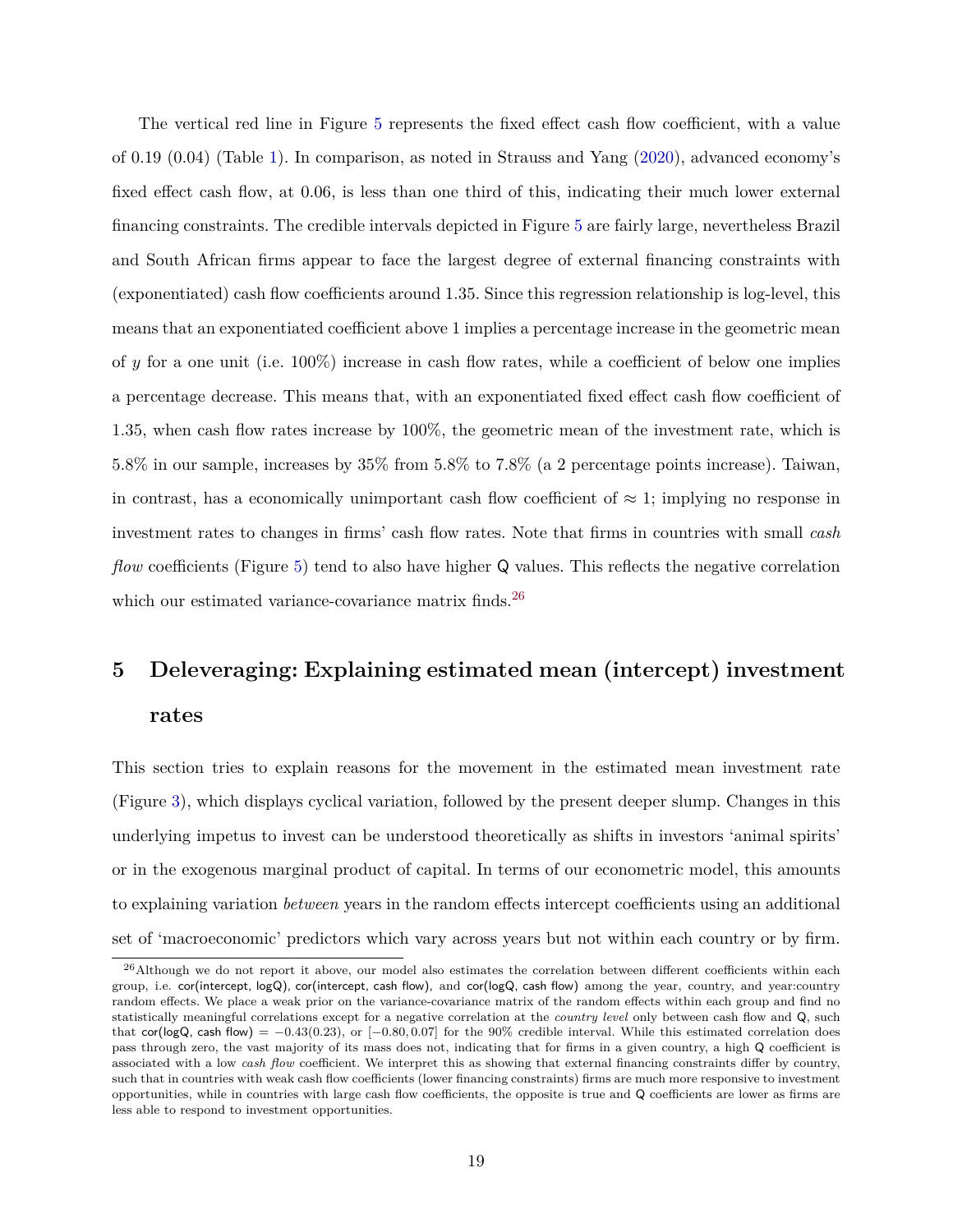The vertical red line in Figure [5](#page-18-0) represents the fixed effect cash flow coefficient, with a value of 0.19 (0.04) (Table [1\)](#page-14-0). In comparison, as noted in Strauss and Yang [\(2020\)](#page-29-11), advanced economy's fixed effect cash flow, at 0*.*06, is less than one third of this, indicating their much lower external financing constraints. The credible intervals depicted in Figure [5](#page-18-0) are fairly large, nevertheless Brazil and South African firms appear to face the largest degree of external financing constraints with (exponentiated) cash flow coefficients around 1.35. Since this regression relationship is log-level, this means that an exponentiated coefficient above 1 implies a percentage increase in the geometric mean of *y* for a one unit (i.e. 100%) increase in cash flow rates, while a coefficient of below one implies a percentage decrease. This means that, with an exponentiated fixed effect cash flow coefficient of 1.35, when cash flow rates increase by 100%, the geometric mean of the investment rate, which is 5.8% in our sample, increases by 35% from 5.8% to 7.8% (a 2 percentage points increase). Taiwan, in contrast, has a economically unimportant cash flow coefficient of  $\approx 1$ ; implying no response in investment rates to changes in firms' cash flow rates. Note that firms in countries with small *cash flow* coefficients (Figure [5\)](#page-18-0) tend to also have higher Q values. This reflects the negative correlation which our estimated variance-covariance matrix finds.<sup>26</sup>

# <span id="page-19-0"></span>**5 Deleveraging: Explaining estimated mean (intercept) investment rates**

This section tries to explain reasons for the movement in the estimated mean investment rate (Figure [3\)](#page-16-0), which displays cyclical variation, followed by the present deeper slump. Changes in this underlying impetus to invest can be understood theoretically as shifts in investors 'animal spirits' or in the exogenous marginal product of capital. In terms of our econometric model, this amounts to explaining variation *between* years in the random effects intercept coefficients using an additional set of 'macroeconomic' predictors which vary across years but not within each country or by firm.

<sup>&</sup>lt;sup>26</sup>Although we do not report it above, our model also estimates the correlation between different coefficients within each group, i.e. cor(intercept, logQ), cor(intercept, cash flow), and cor(logQ, cash flow) among the year, country, and year:country random effects. We place a weak prior on the variance-covariance matrix of the random effects within each group and find no statistically meaningful correlations except for a negative correlation at the *country level* only between cash flow and Q, such that cor(logQ, cash flow) =  $-0.43(0.23)$ , or  $[-0.80, 0.07]$  for the 90% credible interval. While this estimated correlation does pass through zero, the vast majority of its mass does not, indicating that for firms in a given country, a high Q coefficient is associated with a low *cash flow* coefficient. We interpret this as showing that external financing constraints differ by country, such that in countries with weak cash flow coefficients (lower financing constraints) firms are much more responsive to investment opportunities, while in countries with large cash flow coefficients, the opposite is true and Q coefficients are lower as firms are less able to respond to investment opportunities.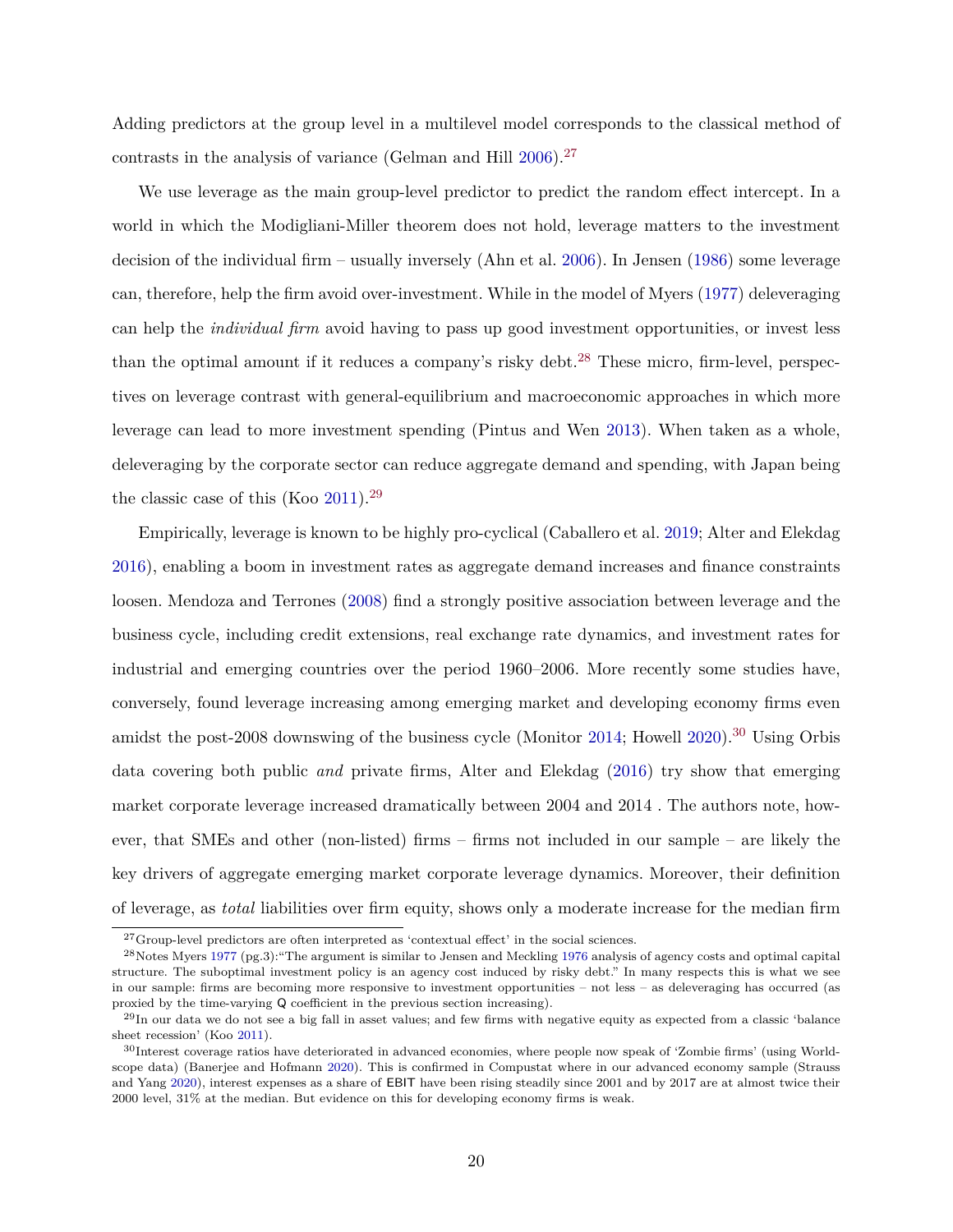Adding predictors at the group level in a multilevel model corresponds to the classical method of contrasts in the analysis of variance (Gelman and Hill  $2006$ ).<sup>27</sup>

We use leverage as the main group-level predictor to predict the random effect intercept. In a world in which the Modigliani-Miller theorem does not hold, leverage matters to the investment decision of the individual firm – usually inversely (Ahn et al. [2006\)](#page-25-1). In Jensen [\(1986\)](#page-27-18) some leverage can, therefore, help the firm avoid over-investment. While in the model of Myers [\(1977\)](#page-28-16) deleveraging can help the *individual firm* avoid having to pass up good investment opportunities, or invest less than the optimal amount if it reduces a company's risky debt.<sup>28</sup> These micro, firm-level, perspectives on leverage contrast with general-equilibrium and macroeconomic approaches in which more leverage can lead to more investment spending (Pintus and Wen [2013\)](#page-29-14). When taken as a whole, deleveraging by the corporate sector can reduce aggregate demand and spending, with Japan being the classic case of this (Koo [2011\)](#page-28-17).<sup>29</sup>

Empirically, leverage is known to be highly pro-cyclical (Caballero et al. [2019;](#page-26-14) Alter and Elekdag [2016\)](#page-25-0), enabling a boom in investment rates as aggregate demand increases and finance constraints loosen. Mendoza and Terrones [\(2008\)](#page-28-18) find a strongly positive association between leverage and the business cycle, including credit extensions, real exchange rate dynamics, and investment rates for industrial and emerging countries over the period 1960–2006. More recently some studies have, conversely, found leverage increasing among emerging market and developing economy firms even amidst the post-2008 downswing of the business cycle (Monitor [2014;](#page-28-19) Howell [2020\)](#page-27-19).<sup>30</sup> Using Orbis data covering both public *and* private firms, Alter and Elekdag [\(2016\)](#page-25-0) try show that emerging market corporate leverage increased dramatically between 2004 and 2014 . The authors note, however, that SMEs and other (non-listed) firms – firms not included in our sample – are likely the key drivers of aggregate emerging market corporate leverage dynamics. Moreover, their definition of leverage, as *total* liabilities over firm equity, shows only a moderate increase for the median firm

 $^{27}\rm{Group}$  level predictors are often interpreted as 'contextual effect' in the social sciences.

<sup>28</sup>Notes Myers [1977](#page-28-16) (pg.3):"The argument is similar to Jensen and Meckling [1976](#page-28-20) analysis of agency costs and optimal capital structure. The suboptimal investment policy is an agency cost induced by risky debt." In many respects this is what we see in our sample: firms are becoming more responsive to investment opportunities – not less – as deleveraging has occurred (as proxied by the time-varying Q coefficient in the previous section increasing).

 $^{29}$ In our data we do not see a big fall in asset values; and few firms with negative equity as expected from a classic 'balance sheet recession' (Koo [2011\)](#page-28-17).

<sup>30</sup>Interest coverage ratios have deteriorated in advanced economies, where people now speak of 'Zombie firms' (using Worldscope data) (Banerjee and Hofmann [2020\)](#page-26-15). This is confirmed in Compustat where in our advanced economy sample (Strauss and Yang [2020\)](#page-29-11), interest expenses as a share of EBIT have been rising steadily since 2001 and by 2017 are at almost twice their 2000 level, 31% at the median. But evidence on this for developing economy firms is weak.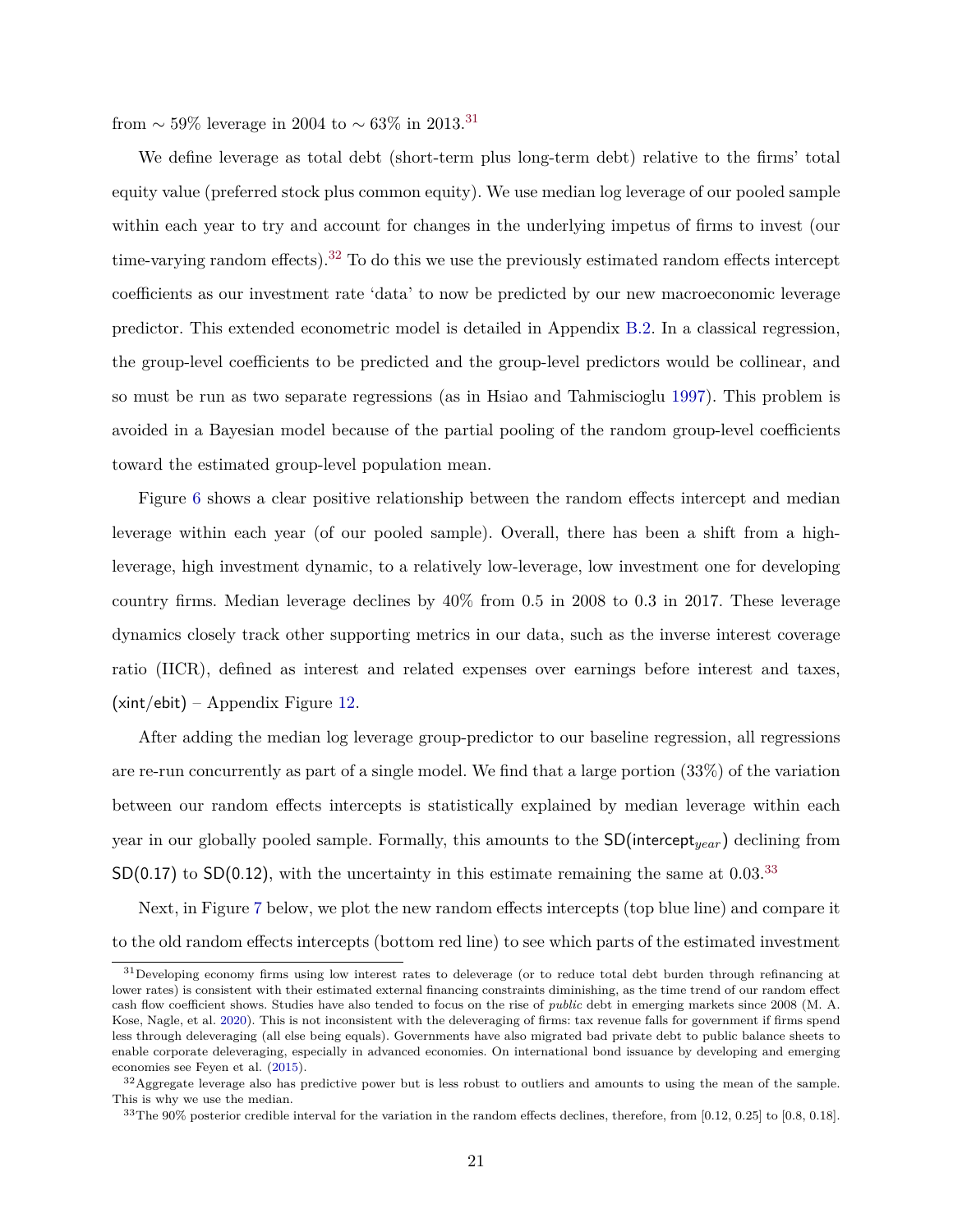from  $\sim$  59% leverage in 2004 to  $\sim$  63% in 2013.<sup>31</sup>

We define leverage as total debt (short-term plus long-term debt) relative to the firms' total equity value (preferred stock plus common equity). We use median log leverage of our pooled sample within each year to try and account for changes in the underlying impetus of firms to invest (our time-varying random effects).<sup>32</sup> To do this we use the previously estimated random effects intercept coefficients as our investment rate 'data' to now be predicted by our new macroeconomic leverage predictor. This extended econometric model is detailed in Appendix [B.2.](#page-34-0) In a classical regression, the group-level coefficients to be predicted and the group-level predictors would be collinear, and so must be run as two separate regressions (as in Hsiao and Tahmiscioglu [1997\)](#page-27-14). This problem is avoided in a Bayesian model because of the partial pooling of the random group-level coefficients toward the estimated group-level population mean.

Figure [6](#page-22-0) shows a clear positive relationship between the random effects intercept and median leverage within each year (of our pooled sample). Overall, there has been a shift from a highleverage, high investment dynamic, to a relatively low-leverage, low investment one for developing country firms. Median leverage declines by 40% from 0.5 in 2008 to 0.3 in 2017. These leverage dynamics closely track other supporting metrics in our data, such as the inverse interest coverage ratio (IICR), defined as interest and related expenses over earnings before interest and taxes,  $(xint/ebit) - Appendix Figure 12.$  $(xint/ebit) - Appendix Figure 12.$ 

After adding the median log leverage group-predictor to our baseline regression, all regressions are re-run concurrently as part of a single model. We find that a large portion (33%) of the variation between our random effects intercepts is statistically explained by median leverage within each year in our globally pooled sample. Formally, this amounts to the SD(intercept*year*) declining from  $SD(0.17)$  to  $SD(0.12)$ , with the uncertainty in this estimate remaining the same at 0.03.<sup>33</sup>

Next, in Figure [7](#page-23-1) below, we plot the new random effects intercepts (top blue line) and compare it to the old random effects intercepts (bottom red line) to see which parts of the estimated investment

<sup>&</sup>lt;sup>31</sup>Developing economy firms using low interest rates to deleverage (or to reduce total debt burden through refinancing at lower rates) is consistent with their estimated external financing constraints diminishing, as the time trend of our random effect cash flow coefficient shows. Studies have also tended to focus on the rise of *public* debt in emerging markets since 2008 (M. A. Kose, Nagle, et al. [2020\)](#page-28-6). This is not inconsistent with the deleveraging of firms: tax revenue falls for government if firms spend less through deleveraging (all else being equals). Governments have also migrated bad private debt to public balance sheets to enable corporate deleveraging, especially in advanced economies. On international bond issuance by developing and emerging economies see Feyen et al. [\(2015\)](#page-27-20).

<sup>&</sup>lt;sup>32</sup>Aggregate leverage also has predictive power but is less robust to outliers and amounts to using the mean of the sample. This is why we use the median.

<sup>33</sup>The 90% posterior credible interval for the variation in the random effects declines, therefore, from [0.12, 0.25] to [0.8, 0.18].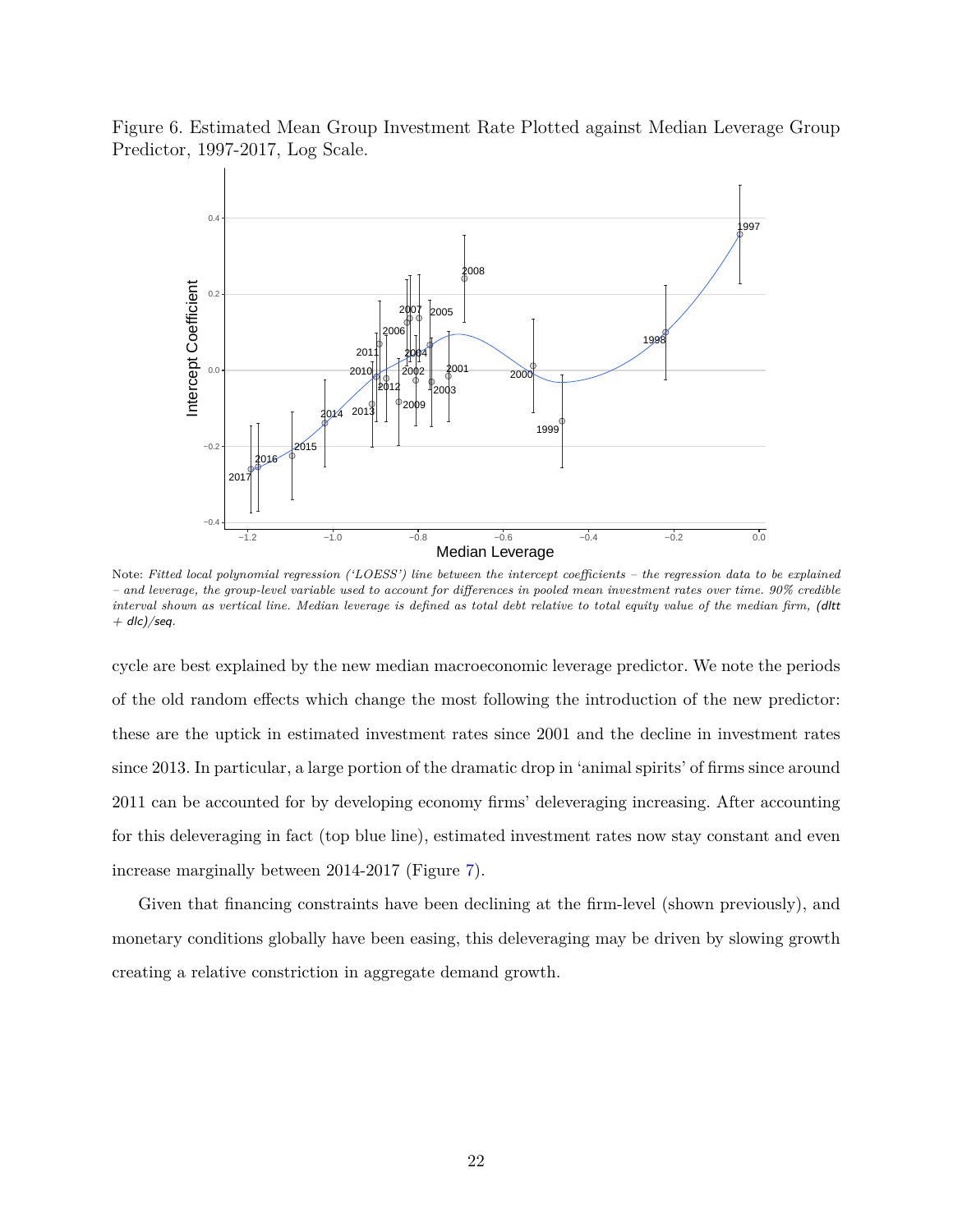<span id="page-22-0"></span>



Note: *Fitted local polynomial regression ('LOESS') line between the intercept coefficients – the regression data to be explained – and leverage, the group-level variable used to account for differences in pooled mean investment rates over time. 90% credible interval shown as vertical line. Median leverage is defined as total debt relative to total equity value of the median firm,* (dltt  $+$  dlc)/seq.

cycle are best explained by the new median macroeconomic leverage predictor. We note the periods of the old random effects which change the most following the introduction of the new predictor: these are the uptick in estimated investment rates since 2001 and the decline in investment rates since 2013. In particular, a large portion of the dramatic drop in 'animal spirits' of firms since around 2011 can be accounted for by developing economy firms' deleveraging increasing. After accounting for this deleveraging in fact (top blue line), estimated investment rates now stay constant and even increase marginally between 2014-2017 (Figure [7\)](#page-23-1).

Given that financing constraints have been declining at the firm-level (shown previously), and monetary conditions globally have been easing, this deleveraging may be driven by slowing growth creating a relative constriction in aggregate demand growth.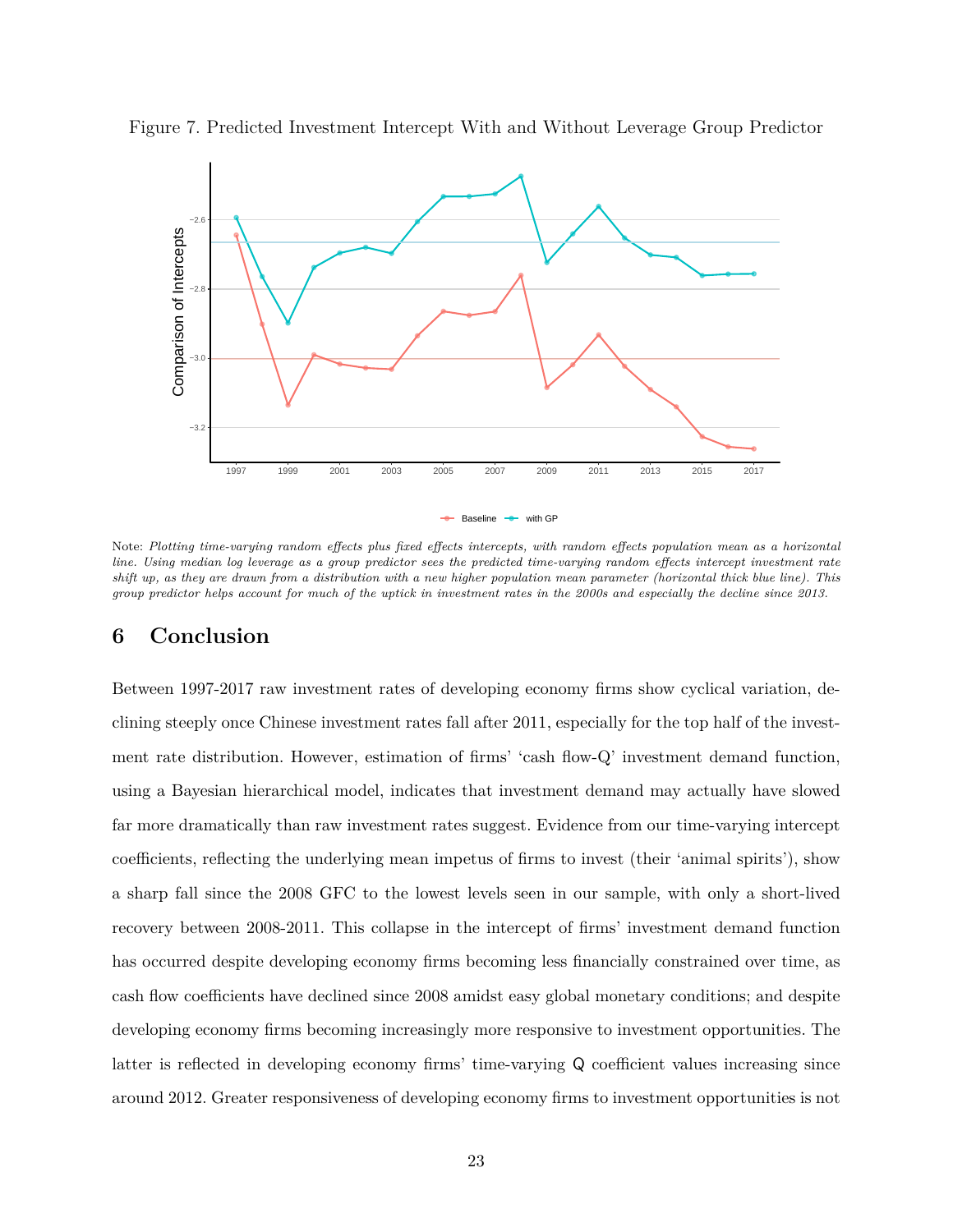

<span id="page-23-1"></span>Figure 7. Predicted Investment Intercept With and Without Leverage Group Predictor

Note: *Plotting time-varying random effects plus fixed effects intercepts, with random effects population mean as a horizontal line. Using median log leverage as a group predictor sees the predicted time-varying random effects intercept investment rate shift up, as they are drawn from a distribution with a new higher population mean parameter (horizontal thick blue line). This group predictor helps account for much of the uptick in investment rates in the 2000s and especially the decline since 2013.*

## <span id="page-23-0"></span>**6 Conclusion**

Between 1997-2017 raw investment rates of developing economy firms show cyclical variation, declining steeply once Chinese investment rates fall after 2011, especially for the top half of the investment rate distribution. However, estimation of firms' 'cash flow-Q' investment demand function, using a Bayesian hierarchical model, indicates that investment demand may actually have slowed far more dramatically than raw investment rates suggest. Evidence from our time-varying intercept coefficients, reflecting the underlying mean impetus of firms to invest (their 'animal spirits'), show a sharp fall since the 2008 GFC to the lowest levels seen in our sample, with only a short-lived recovery between 2008-2011. This collapse in the intercept of firms' investment demand function has occurred despite developing economy firms becoming less financially constrained over time, as cash flow coefficients have declined since 2008 amidst easy global monetary conditions; and despite developing economy firms becoming increasingly more responsive to investment opportunities. The latter is reflected in developing economy firms' time-varying Q coefficient values increasing since around 2012. Greater responsiveness of developing economy firms to investment opportunities is not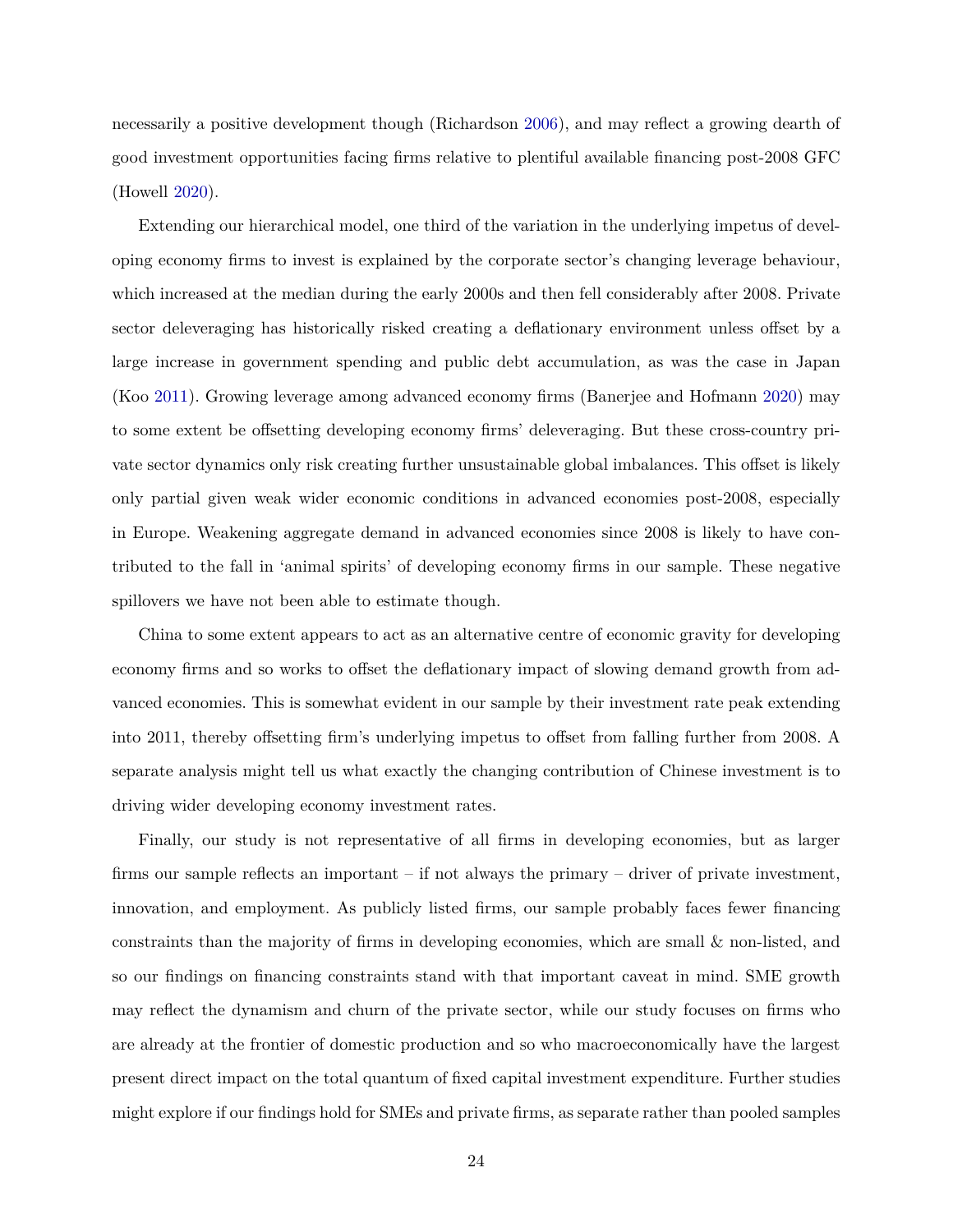necessarily a positive development though (Richardson [2006\)](#page-29-15), and may reflect a growing dearth of good investment opportunities facing firms relative to plentiful available financing post-2008 GFC (Howell [2020\)](#page-27-19).

Extending our hierarchical model, one third of the variation in the underlying impetus of developing economy firms to invest is explained by the corporate sector's changing leverage behaviour, which increased at the median during the early 2000s and then fell considerably after 2008. Private sector deleveraging has historically risked creating a deflationary environment unless offset by a large increase in government spending and public debt accumulation, as was the case in Japan (Koo [2011\)](#page-28-17). Growing leverage among advanced economy firms (Banerjee and Hofmann [2020\)](#page-26-15) may to some extent be offsetting developing economy firms' deleveraging. But these cross-country private sector dynamics only risk creating further unsustainable global imbalances. This offset is likely only partial given weak wider economic conditions in advanced economies post-2008, especially in Europe. Weakening aggregate demand in advanced economies since 2008 is likely to have contributed to the fall in 'animal spirits' of developing economy firms in our sample. These negative spillovers we have not been able to estimate though.

China to some extent appears to act as an alternative centre of economic gravity for developing economy firms and so works to offset the deflationary impact of slowing demand growth from advanced economies. This is somewhat evident in our sample by their investment rate peak extending into 2011, thereby offsetting firm's underlying impetus to offset from falling further from 2008. A separate analysis might tell us what exactly the changing contribution of Chinese investment is to driving wider developing economy investment rates.

Finally, our study is not representative of all firms in developing economies, but as larger firms our sample reflects an important – if not always the primary – driver of private investment, innovation, and employment. As publicly listed firms, our sample probably faces fewer financing constraints than the majority of firms in developing economies, which are small & non-listed, and so our findings on financing constraints stand with that important caveat in mind. SME growth may reflect the dynamism and churn of the private sector, while our study focuses on firms who are already at the frontier of domestic production and so who macroeconomically have the largest present direct impact on the total quantum of fixed capital investment expenditure. Further studies might explore if our findings hold for SMEs and private firms, as separate rather than pooled samples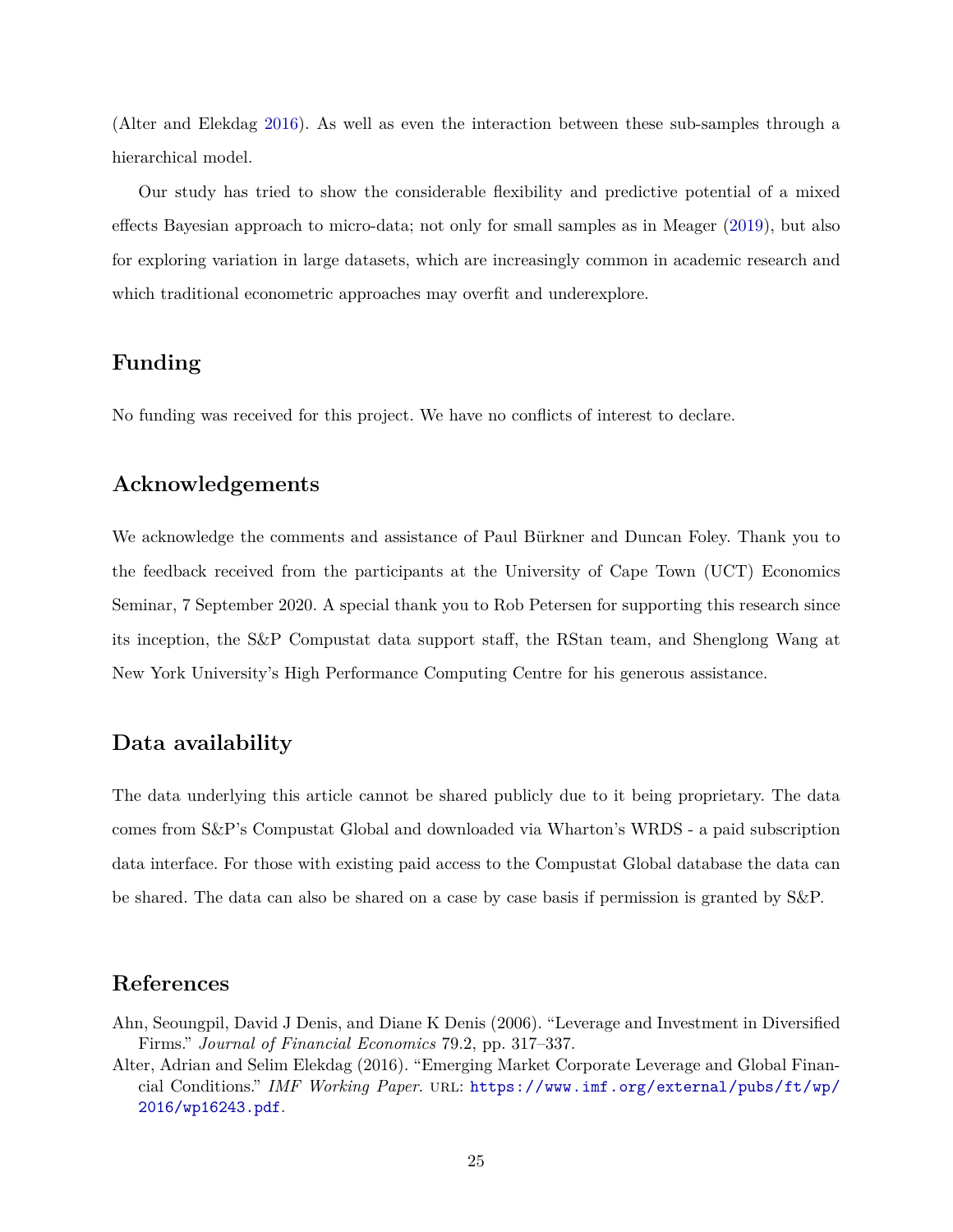(Alter and Elekdag [2016\)](#page-25-0). As well as even the interaction between these sub-samples through a hierarchical model.

Our study has tried to show the considerable flexibility and predictive potential of a mixed effects Bayesian approach to micro-data; not only for small samples as in Meager [\(2019\)](#page-28-9), but also for exploring variation in large datasets, which are increasingly common in academic research and which traditional econometric approaches may overfit and underexplore.

## **Funding**

No funding was received for this project. We have no conflicts of interest to declare.

## **Acknowledgements**

We acknowledge the comments and assistance of Paul Bürkner and Duncan Foley. Thank you to the feedback received from the participants at the University of Cape Town (UCT) Economics Seminar, 7 September 2020. A special thank you to Rob Petersen for supporting this research since its inception, the S&P Compustat data support staff, the RStan team, and Shenglong Wang at New York University's High Performance Computing Centre for his generous assistance.

## **Data availability**

The data underlying this article cannot be shared publicly due to it being proprietary. The data comes from S&P's Compustat Global and downloaded via Wharton's WRDS - a paid subscription data interface. For those with existing paid access to the Compustat Global database the data can be shared. The data can also be shared on a case by case basis if permission is granted by S&P.

## **References**

- <span id="page-25-1"></span>Ahn, Seoungpil, David J Denis, and Diane K Denis (2006). "Leverage and Investment in Diversified Firms." *Journal of Financial Economics* 79.2, pp. 317–337.
- <span id="page-25-0"></span>Alter, Adrian and Selim Elekdag (2016). "Emerging Market Corporate Leverage and Global Financial Conditions." *IMF Working Paper*. url: [https://www.imf.org/external/pubs/ft/wp/](https://www.imf.org/external/pubs/ft/wp/2016/wp16243.pdf) [2016/wp16243.pdf](https://www.imf.org/external/pubs/ft/wp/2016/wp16243.pdf).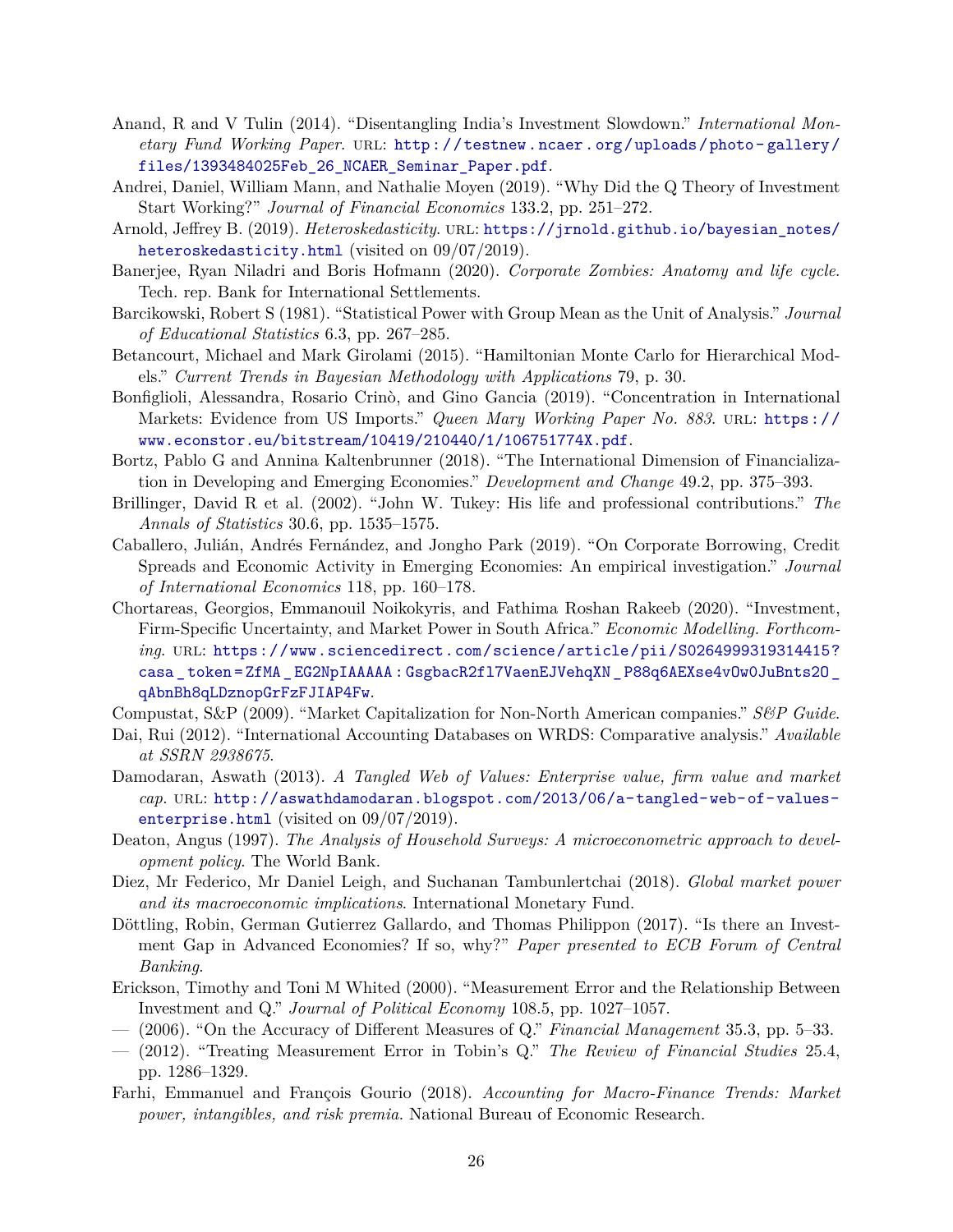- <span id="page-26-6"></span>Anand, R and V Tulin (2014). "Disentangling India's Investment Slowdown." *International Monetary Fund Working Paper*. url: [http://testnew.ncaer.org/uploads/photo- gallery/](http://testnew.ncaer.org/uploads/photo-gallery/files/1393484025Feb_26_NCAER_Seminar_Paper.pdf) [files/1393484025Feb\\_26\\_NCAER\\_Seminar\\_Paper.pdf](http://testnew.ncaer.org/uploads/photo-gallery/files/1393484025Feb_26_NCAER_Seminar_Paper.pdf).
- <span id="page-26-9"></span>Andrei, Daniel, William Mann, and Nathalie Moyen (2019). "Why Did the Q Theory of Investment Start Working?" *Journal of Financial Economics* 133.2, pp. 251–272.
- <span id="page-26-17"></span>Arnold, Jeffrey B. (2019). *Heteroskedasticity*. url: [https://jrnold.github.io/bayesian\\_notes/](https://jrnold.github.io/bayesian_notes/heteroskedasticity.html) [heteroskedasticity.html](https://jrnold.github.io/bayesian_notes/heteroskedasticity.html) (visited on 09/07/2019).
- <span id="page-26-15"></span>Banerjee, Ryan Niladri and Boris Hofmann (2020). *Corporate Zombies: Anatomy and life cycle*. Tech. rep. Bank for International Settlements.
- <span id="page-26-5"></span>Barcikowski, Robert S (1981). "Statistical Power with Group Mean as the Unit of Analysis." *Journal of Educational Statistics* 6.3, pp. 267–285.
- <span id="page-26-18"></span>Betancourt, Michael and Mark Girolami (2015). "Hamiltonian Monte Carlo for Hierarchical Models." *Current Trends in Bayesian Methodology with Applications* 79, p. 30.
- <span id="page-26-1"></span>Bonfiglioli, Alessandra, Rosario Crinò, and Gino Gancia (2019). "Concentration in International Markets: Evidence from US Imports." *Queen Mary Working Paper No. 883*. URL: [https://](https://www.econstor.eu/bitstream/10419/210440/1/106751774X.pdf) [www.econstor.eu/bitstream/10419/210440/1/106751774X.pdf](https://www.econstor.eu/bitstream/10419/210440/1/106751774X.pdf).
- <span id="page-26-3"></span>Bortz, Pablo G and Annina Kaltenbrunner (2018). "The International Dimension of Financialization in Developing and Emerging Economies." *Development and Change* 49.2, pp. 375–393.
- <span id="page-26-7"></span>Brillinger, David R et al. (2002). "John W. Tukey: His life and professional contributions." *The Annals of Statistics* 30.6, pp. 1535–1575.
- <span id="page-26-14"></span>Caballero, Julián, Andrés Fernández, and Jongho Park (2019). "On Corporate Borrowing, Credit Spreads and Economic Activity in Emerging Economies: An empirical investigation." *Journal of International Economics* 118, pp. 160–178.
- <span id="page-26-2"></span>Chortareas, Georgios, Emmanouil Noikokyris, and Fathima Roshan Rakeeb (2020). "Investment, Firm-Specific Uncertainty, and Market Power in South Africa." *Economic Modelling. Forthcoming*. url: [https://www.sciencedirect.com/science/article/pii/S0264999319314415?](https://www.sciencedirect.com/science/article/pii/S0264999319314415?casa_token=ZfMA_EG2NpIAAAAA:GsgbacR2fl7VaenEJVehqXN_P88q6AEXse4vOw0JuBnts2O_qAbnBh8qLDznopGrFzFJIAP4Fw) casa token=ZfMA EG2NpIAAAAA: GsgbacR2fl7VaenEJVehqXN P88q6AEXse4vOw0JuBnts20 [qAbnBh8qLDznopGrFzFJIAP4Fw](https://www.sciencedirect.com/science/article/pii/S0264999319314415?casa_token=ZfMA_EG2NpIAAAAA:GsgbacR2fl7VaenEJVehqXN_P88q6AEXse4vOw0JuBnts2O_qAbnBh8qLDznopGrFzFJIAP4Fw).
- <span id="page-26-19"></span>Compustat, S&P (2009). "Market Capitalization for Non-North American companies." *S&P Guide*.
- <span id="page-26-11"></span>Dai, Rui (2012). "International Accounting Databases on WRDS: Comparative analysis." *Available at SSRN 2938675*.
- <span id="page-26-20"></span>Damodaran, Aswath (2013). *A Tangled Web of Values: Enterprise value, firm value and market cap*. url: [http://aswathdamodaran.blogspot.com/2013/06/a-tangled-web-of-values](http://aswathdamodaran.blogspot.com/2013/06/a-tangled-web-of-values-enterprise.html)[enterprise.html](http://aswathdamodaran.blogspot.com/2013/06/a-tangled-web-of-values-enterprise.html) (visited on  $09/07/2019$ ).
- <span id="page-26-16"></span>Deaton, Angus (1997). *The Analysis of Household Surveys: A microeconometric approach to development policy*. The World Bank.
- <span id="page-26-0"></span>Diez, Mr Federico, Mr Daniel Leigh, and Suchanan Tambunlertchai (2018). *Global market power and its macroeconomic implications*. International Monetary Fund.
- <span id="page-26-4"></span>Döttling, Robin, German Gutierrez Gallardo, and Thomas Philippon (2017). "Is there an Investment Gap in Advanced Economies? If so, why?" *Paper presented to ECB Forum of Central Banking*.
- <span id="page-26-12"></span>Erickson, Timothy and Toni M Whited (2000). "Measurement Error and the Relationship Between Investment and Q." *Journal of Political Economy* 108.5, pp. 1027–1057.
- <span id="page-26-8"></span>— (2006). "On the Accuracy of Different Measures of Q." *Financial Management* 35.3, pp. 5–33.
- <span id="page-26-13"></span>— (2012). "Treating Measurement Error in Tobin's Q." *The Review of Financial Studies* 25.4, pp. 1286–1329.
- <span id="page-26-10"></span>Farhi, Emmanuel and François Gourio (2018). *Accounting for Macro-Finance Trends: Market power, intangibles, and risk premia*. National Bureau of Economic Research.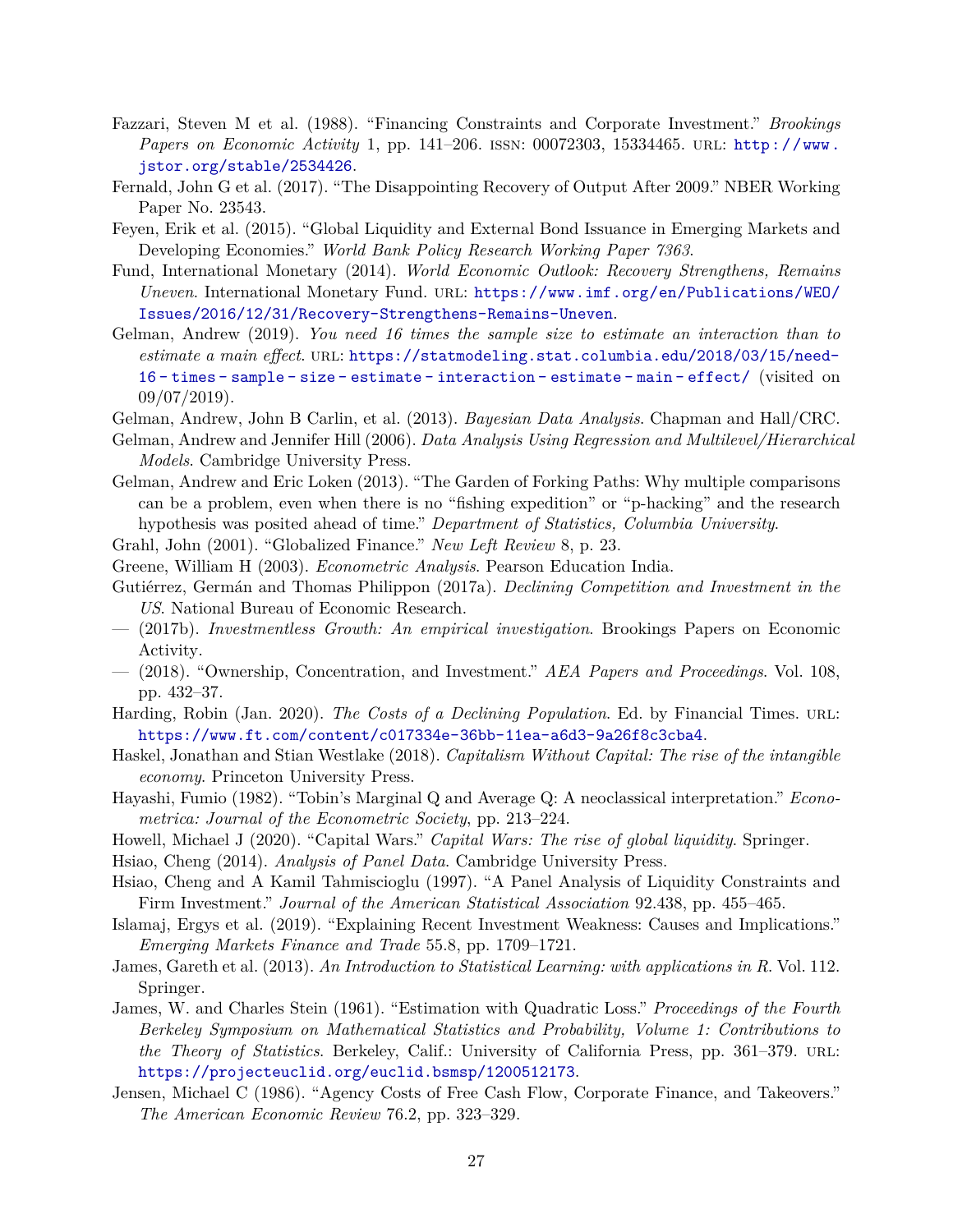- <span id="page-27-6"></span>Fazzari, Steven M et al. (1988). "Financing Constraints and Corporate Investment." *Brookings Papers on Economic Activity* 1, pp. 141–206. issn: 00072303, 15334465. url: [http://www.](http://www.jstor.org/stable/2534426) [jstor.org/stable/2534426](http://www.jstor.org/stable/2534426).
- <span id="page-27-7"></span>Fernald, John G et al. (2017). "The Disappointing Recovery of Output After 2009." NBER Working Paper No. 23543.
- <span id="page-27-20"></span>Feyen, Erik et al. (2015). "Global Liquidity and External Bond Issuance in Emerging Markets and Developing Economies." *World Bank Policy Research Working Paper 7363*.
- <span id="page-27-5"></span>Fund, International Monetary (2014). *World Economic Outlook: Recovery Strengthens, Remains Uneven*. International Monetary Fund. URL: [https://www.imf.org/en/Publications/WEO/](https://www.imf.org/en/Publications/WEO/Issues/2016/12/31/Recovery-Strengthens-Remains-Uneven) [Issues/2016/12/31/Recovery-Strengthens-Remains-Uneven](https://www.imf.org/en/Publications/WEO/Issues/2016/12/31/Recovery-Strengthens-Remains-Uneven).
- <span id="page-27-12"></span>Gelman, Andrew (2019). *You need 16 times the sample size to estimate an interaction than to estimate a main effect*. url: [https://statmodeling.stat.columbia.edu/2018/03/15/need-](https://statmodeling.stat.columbia.edu/2018/03/15/need-16-times-sample-size-estimate-interaction-estimate-main-effect/)[16 - times - sample - size - estimate - interaction - estimate - main - effect/](https://statmodeling.stat.columbia.edu/2018/03/15/need-16-times-sample-size-estimate-interaction-estimate-main-effect/) (visited on  $09/07/2019$ .

<span id="page-27-9"></span>Gelman, Andrew, John B Carlin, et al. (2013). *Bayesian Data Analysis*. Chapman and Hall/CRC.

- <span id="page-27-8"></span>Gelman, Andrew and Jennifer Hill (2006). *Data Analysis Using Regression and Multilevel/Hierarchical Models*. Cambridge University Press.
- <span id="page-27-13"></span>Gelman, Andrew and Eric Loken (2013). "The Garden of Forking Paths: Why multiple comparisons can be a problem, even when there is no "fishing expedition" or "p-hacking" and the research hypothesis was posited ahead of time." *Department of Statistics, Columbia University*.

<span id="page-27-0"></span>Grahl, John (2001). "Globalized Finance." *New Left Review* 8, p. 23.

- <span id="page-27-15"></span>Greene, William H (2003). *Econometric Analysis*. Pearson Education India.
- <span id="page-27-1"></span>Gutiérrez, Germán and Thomas Philippon (2017a). *Declining Competition and Investment in the US*. National Bureau of Economic Research.
- <span id="page-27-2"></span>— (2017b). *Investmentless Growth: An empirical investigation*. Brookings Papers on Economic Activity.
- <span id="page-27-3"></span>— (2018). "Ownership, Concentration, and Investment." *AEA Papers and Proceedings*. Vol. 108, pp. 432–37.
- <span id="page-27-4"></span>Harding, Robin (Jan. 2020). *The Costs of a Declining Population*. Ed. by Financial Times. url: <https://www.ft.com/content/c017334e-36bb-11ea-a6d3-9a26f8c3cba4>.
- <span id="page-27-21"></span>Haskel, Jonathan and Stian Westlake (2018). *Capitalism Without Capital: The rise of the intangible economy*. Princeton University Press.
- <span id="page-27-22"></span>Hayashi, Fumio (1982). "Tobin's Marginal Q and Average Q: A neoclassical interpretation." *Econometrica: Journal of the Econometric Society*, pp. 213–224.
- <span id="page-27-19"></span>Howell, Michael J (2020). "Capital Wars." *Capital Wars: The rise of global liquidity*. Springer.
- <span id="page-27-10"></span>Hsiao, Cheng (2014). *Analysis of Panel Data*. Cambridge University Press.
- <span id="page-27-14"></span>Hsiao, Cheng and A Kamil Tahmiscioglu (1997). "A Panel Analysis of Liquidity Constraints and Firm Investment." *Journal of the American Statistical Association* 92.438, pp. 455–465.
- <span id="page-27-11"></span>Islamaj, Ergys et al. (2019). "Explaining Recent Investment Weakness: Causes and Implications." *Emerging Markets Finance and Trade* 55.8, pp. 1709–1721.
- <span id="page-27-17"></span>James, Gareth et al. (2013). *An Introduction to Statistical Learning: with applications in R*. Vol. 112. Springer.
- <span id="page-27-16"></span>James, W. and Charles Stein (1961). "Estimation with Quadratic Loss." *Proceedings of the Fourth Berkeley Symposium on Mathematical Statistics and Probability, Volume 1: Contributions to the Theory of Statistics*. Berkeley, Calif.: University of California Press, pp. 361–379. URL: <https://projecteuclid.org/euclid.bsmsp/1200512173>.
- <span id="page-27-18"></span>Jensen, Michael C (1986). "Agency Costs of Free Cash Flow, Corporate Finance, and Takeovers." *The American Economic Review* 76.2, pp. 323–329.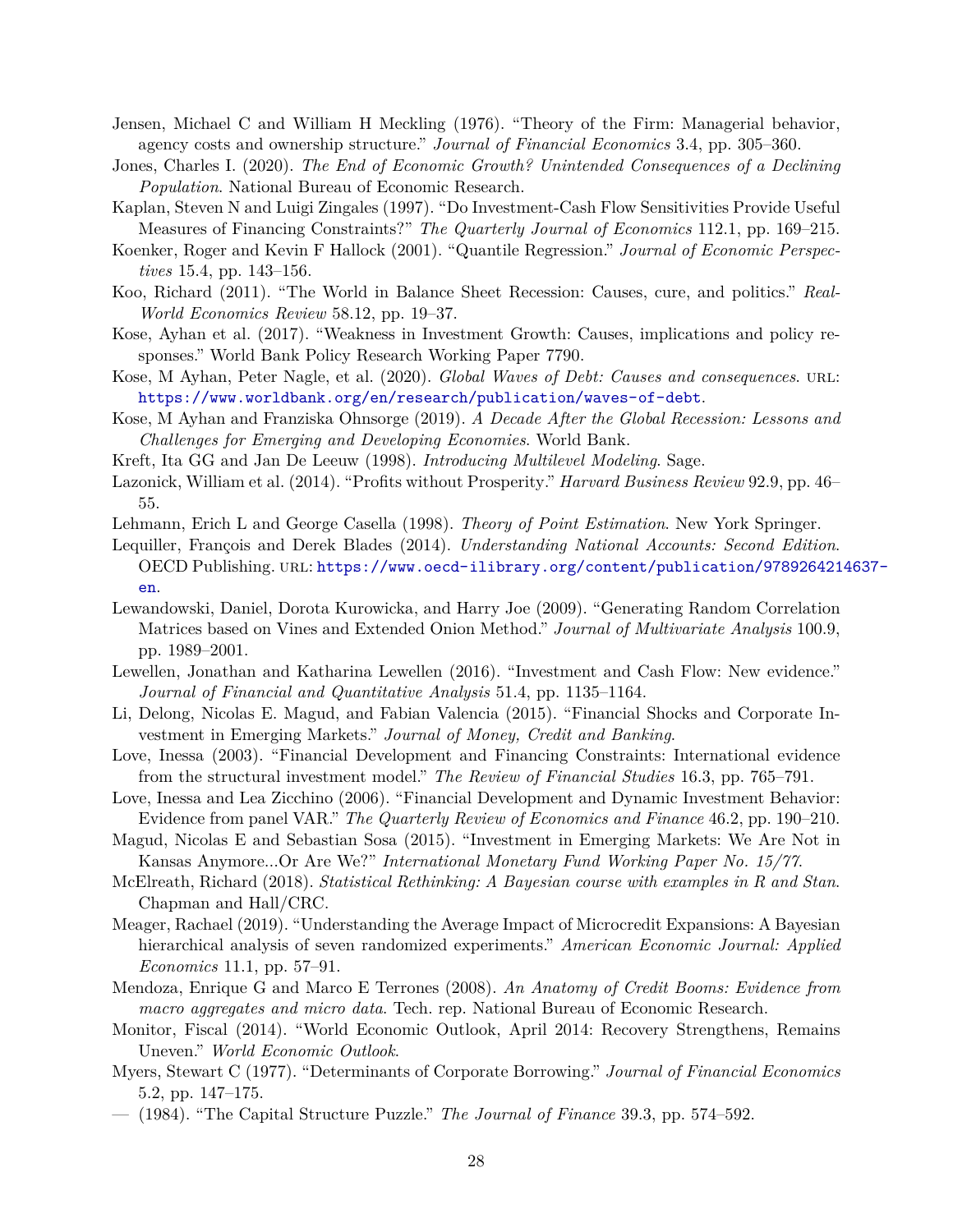- <span id="page-28-20"></span>Jensen, Michael C and William H Meckling (1976). "Theory of the Firm: Managerial behavior, agency costs and ownership structure." *Journal of Financial Economics* 3.4, pp. 305–360.
- <span id="page-28-7"></span>Jones, Charles I. (2020). *The End of Economic Growth? Unintended Consequences of a Declining Population*. National Bureau of Economic Research.
- <span id="page-28-15"></span>Kaplan, Steven N and Luigi Zingales (1997). "Do Investment-Cash Flow Sensitivities Provide Useful Measures of Financing Constraints?" *The Quarterly Journal of Economics* 112.1, pp. 169–215.
- <span id="page-28-21"></span>Koenker, Roger and Kevin F Hallock (2001). "Quantile Regression." *Journal of Economic Perspectives* 15.4, pp. 143–156.
- <span id="page-28-17"></span>Koo, Richard (2011). "The World in Balance Sheet Recession: Causes, cure, and politics." *Real-World Economics Review* 58.12, pp. 19–37.
- <span id="page-28-0"></span>Kose, Ayhan et al. (2017). "Weakness in Investment Growth: Causes, implications and policy responses." World Bank Policy Research Working Paper 7790.
- <span id="page-28-6"></span>Kose, M Ayhan, Peter Nagle, et al. (2020). *Global Waves of Debt: Causes and consequences*. url: <https://www.worldbank.org/en/research/publication/waves-of-debt>.
- <span id="page-28-8"></span>Kose, M Ayhan and Franziska Ohnsorge (2019). *A Decade After the Global Recession: Lessons and Challenges for Emerging and Developing Economies*. World Bank.
- <span id="page-28-13"></span>Kreft, Ita GG and Jan De Leeuw (1998). *Introducing Multilevel Modeling*. Sage.
- <span id="page-28-5"></span>Lazonick, William et al. (2014). "Profits without Prosperity." *Harvard Business Review* 92.9, pp. 46– 55.
- <span id="page-28-14"></span>Lehmann, Erich L and George Casella (1998). *Theory of Point Estimation*. New York Springer.
- <span id="page-28-23"></span>Lequiller, François and Derek Blades (2014). *Understanding National Accounts: Second Edition*. OECD Publishing. url: [https://www.oecd-ilibrary.org/content/publication/978926421](https://www.oecd-ilibrary.org/content/publication/9789264214637-en)4637 [en](https://www.oecd-ilibrary.org/content/publication/9789264214637-en).
- <span id="page-28-22"></span>Lewandowski, Daniel, Dorota Kurowicka, and Harry Joe (2009). "Generating Random Correlation Matrices based on Vines and Extended Onion Method." *Journal of Multivariate Analysis* 100.9, pp. 1989–2001.
- <span id="page-28-10"></span>Lewellen, Jonathan and Katharina Lewellen (2016). "Investment and Cash Flow: New evidence." *Journal of Financial and Quantitative Analysis* 51.4, pp. 1135–1164.
- <span id="page-28-4"></span>Li, Delong, Nicolas E. Magud, and Fabian Valencia (2015). "Financial Shocks and Corporate Investment in Emerging Markets." *Journal of Money, Credit and Banking*.
- <span id="page-28-1"></span>Love, Inessa (2003). "Financial Development and Financing Constraints: International evidence from the structural investment model." *The Review of Financial Studies* 16.3, pp. 765–791.
- <span id="page-28-2"></span>Love, Inessa and Lea Zicchino (2006). "Financial Development and Dynamic Investment Behavior: Evidence from panel VAR." *The Quarterly Review of Economics and Finance* 46.2, pp. 190–210.
- <span id="page-28-3"></span>Magud, Nicolas E and Sebastian Sosa (2015). "Investment in Emerging Markets: We Are Not in Kansas Anymore...Or Are We?" *International Monetary Fund Working Paper No. 15/77*.
- <span id="page-28-12"></span>McElreath, Richard (2018). *Statistical Rethinking: A Bayesian course with examples in R and Stan*. Chapman and Hall/CRC.
- <span id="page-28-9"></span>Meager, Rachael (2019). "Understanding the Average Impact of Microcredit Expansions: A Bayesian hierarchical analysis of seven randomized experiments." *American Economic Journal: Applied Economics* 11.1, pp. 57–91.
- <span id="page-28-18"></span>Mendoza, Enrique G and Marco E Terrones (2008). *An Anatomy of Credit Booms: Evidence from macro aggregates and micro data*. Tech. rep. National Bureau of Economic Research.
- <span id="page-28-19"></span>Monitor, Fiscal (2014). "World Economic Outlook, April 2014: Recovery Strengthens, Remains Uneven." *World Economic Outlook*.
- <span id="page-28-16"></span>Myers, Stewart C (1977). "Determinants of Corporate Borrowing." *Journal of Financial Economics* 5.2, pp. 147–175.
- <span id="page-28-11"></span>— (1984). "The Capital Structure Puzzle." *The Journal of Finance* 39.3, pp. 574–592.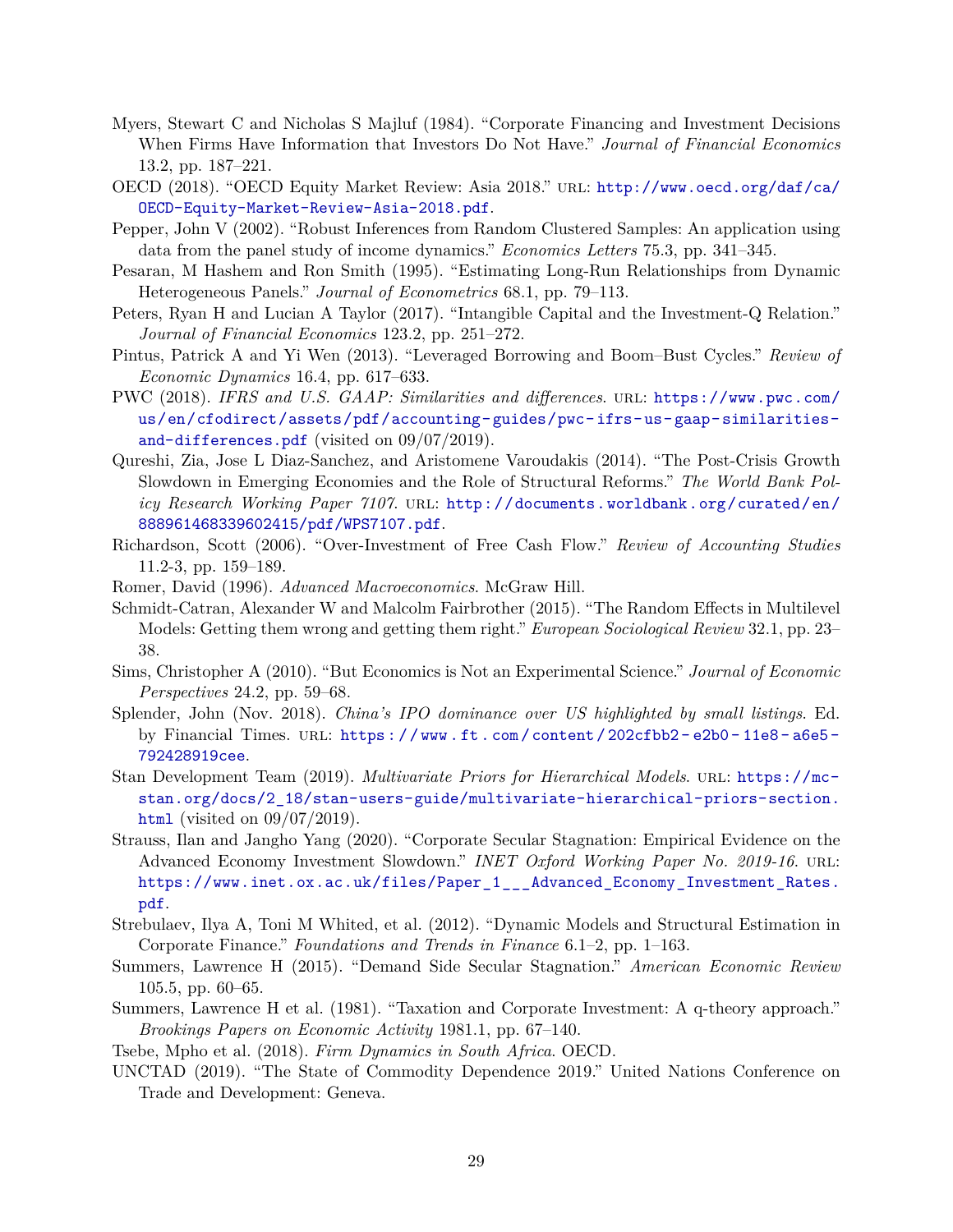- <span id="page-29-12"></span>Myers, Stewart C and Nicholas S Majluf (1984). "Corporate Financing and Investment Decisions When Firms Have Information that Investors Do Not Have." *Journal of Financial Economics* 13.2, pp. 187–221.
- <span id="page-29-1"></span>OECD (2018). "OECD Equity Market Review: Asia 2018." url: [http://www.oecd.org/daf/ca/](http://www.oecd.org/daf/ca/OECD-Equity-Market-Review-Asia-2018.pdf) [OECD-Equity-Market-Review-Asia-2018.pdf](http://www.oecd.org/daf/ca/OECD-Equity-Market-Review-Asia-2018.pdf).
- <span id="page-29-8"></span>Pepper, John V (2002). "Robust Inferences from Random Clustered Samples: An application using data from the panel study of income dynamics." *Economics Letters* 75.3, pp. 341–345.
- <span id="page-29-7"></span>Pesaran, M Hashem and Ron Smith (1995). "Estimating Long-Run Relationships from Dynamic Heterogeneous Panels." *Journal of Econometrics* 68.1, pp. 79–113.
- <span id="page-29-13"></span>Peters, Ryan H and Lucian A Taylor (2017). "Intangible Capital and the Investment-Q Relation." *Journal of Financial Economics* 123.2, pp. 251–272.
- <span id="page-29-14"></span>Pintus, Patrick A and Yi Wen (2013). "Leveraged Borrowing and Boom–Bust Cycles." *Review of Economic Dynamics* 16.4, pp. 617–633.
- <span id="page-29-19"></span>PWC (2018). *IFRS and U.S. GAAP: Similarities and differences*. url: [https://www.pwc.com/](https://www.pwc.com/us/en/cfodirect/assets/pdf/accounting-guides/pwc-ifrs-us-gaap-similarities-and-differences.pdf) [us/en/cfodirect/assets/pdf/accounting- guides/pwc- ifrs- us- gaap- similarities](https://www.pwc.com/us/en/cfodirect/assets/pdf/accounting-guides/pwc-ifrs-us-gaap-similarities-and-differences.pdf)[and-differences.pdf](https://www.pwc.com/us/en/cfodirect/assets/pdf/accounting-guides/pwc-ifrs-us-gaap-similarities-and-differences.pdf) (visited on 09/07/2019).
- <span id="page-29-4"></span>Qureshi, Zia, Jose L Diaz-Sanchez, and Aristomene Varoudakis (2014). "The Post-Crisis Growth Slowdown in Emerging Economies and the Role of Structural Reforms." *The World Bank Policy Research Working Paper 7107*. url: [http://documents.worldbank.org/curated/en/](http://documents.worldbank.org/curated/en/888961468339602415/pdf/WPS7107.pdf) [888961468339602415/pdf/WPS7107.pdf](http://documents.worldbank.org/curated/en/888961468339602415/pdf/WPS7107.pdf).
- <span id="page-29-15"></span>Richardson, Scott (2006). "Over-Investment of Free Cash Flow." *Review of Accounting Studies* 11.2-3, pp. 159–189.
- <span id="page-29-16"></span>Romer, David (1996). *Advanced Macroeconomics*. McGraw Hill.
- <span id="page-29-17"></span>Schmidt-Catran, Alexander W and Malcolm Fairbrother (2015). "The Random Effects in Multilevel Models: Getting them wrong and getting them right." *European Sociological Review* 32.1, pp. 23– 38.
- <span id="page-29-10"></span>Sims, Christopher A (2010). "But Economics is Not an Experimental Science." *Journal of Economic Perspectives* 24.2, pp. 59–68.
- <span id="page-29-2"></span>Splender, John (Nov. 2018). *China's IPO dominance over US highlighted by small listings*. Ed. by Financial Times. URL: https://www.ft.com/content/202cfbb2-e2b0-11e8-a6e5-[792428919cee](https://www.ft.com/content/202cfbb2-e2b0-11e8-a6e5-792428919cee).
- <span id="page-29-18"></span>Stan Development Team (2019). *Multivariate Priors for Hierarchical Models*. unl: [https://mc](https://mc-stan.org/docs/2_18/stan-users-guide/multivariate-hierarchical-priors-section.html)[stan.org/docs/2\\_18/stan-users-guide/multivariate-hierarchical-priors-section.](https://mc-stan.org/docs/2_18/stan-users-guide/multivariate-hierarchical-priors-section.html) [html](https://mc-stan.org/docs/2_18/stan-users-guide/multivariate-hierarchical-priors-section.html) (visited on 09/07/2019).
- <span id="page-29-11"></span>Strauss, Ilan and Jangho Yang (2020). "Corporate Secular Stagnation: Empirical Evidence on the Advanced Economy Investment Slowdown." *INET Oxford Working Paper No. 2019-16*. URL: [https://www.inet.ox.ac.uk/files/Paper\\_1\\_\\_\\_Advanced\\_Economy\\_Investment\\_Rates.](https://www.inet.ox.ac.uk/files/Paper_1___Advanced_Economy_Investment_Rates.pdf) [pdf](https://www.inet.ox.ac.uk/files/Paper_1___Advanced_Economy_Investment_Rates.pdf).
- <span id="page-29-9"></span>Strebulaev, Ilya A, Toni M Whited, et al. (2012). "Dynamic Models and Structural Estimation in Corporate Finance." *Foundations and Trends in Finance* 6.1–2, pp. 1–163.
- <span id="page-29-3"></span>Summers, Lawrence H (2015). "Demand Side Secular Stagnation." *American Economic Review* 105.5, pp. 60–65.
- <span id="page-29-6"></span>Summers, Lawrence H et al. (1981). "Taxation and Corporate Investment: A q-theory approach." *Brookings Papers on Economic Activity* 1981.1, pp. 67–140.
- <span id="page-29-0"></span>Tsebe, Mpho et al. (2018). *Firm Dynamics in South Africa*. OECD.
- <span id="page-29-5"></span>UNCTAD (2019). "The State of Commodity Dependence 2019." United Nations Conference on Trade and Development: Geneva.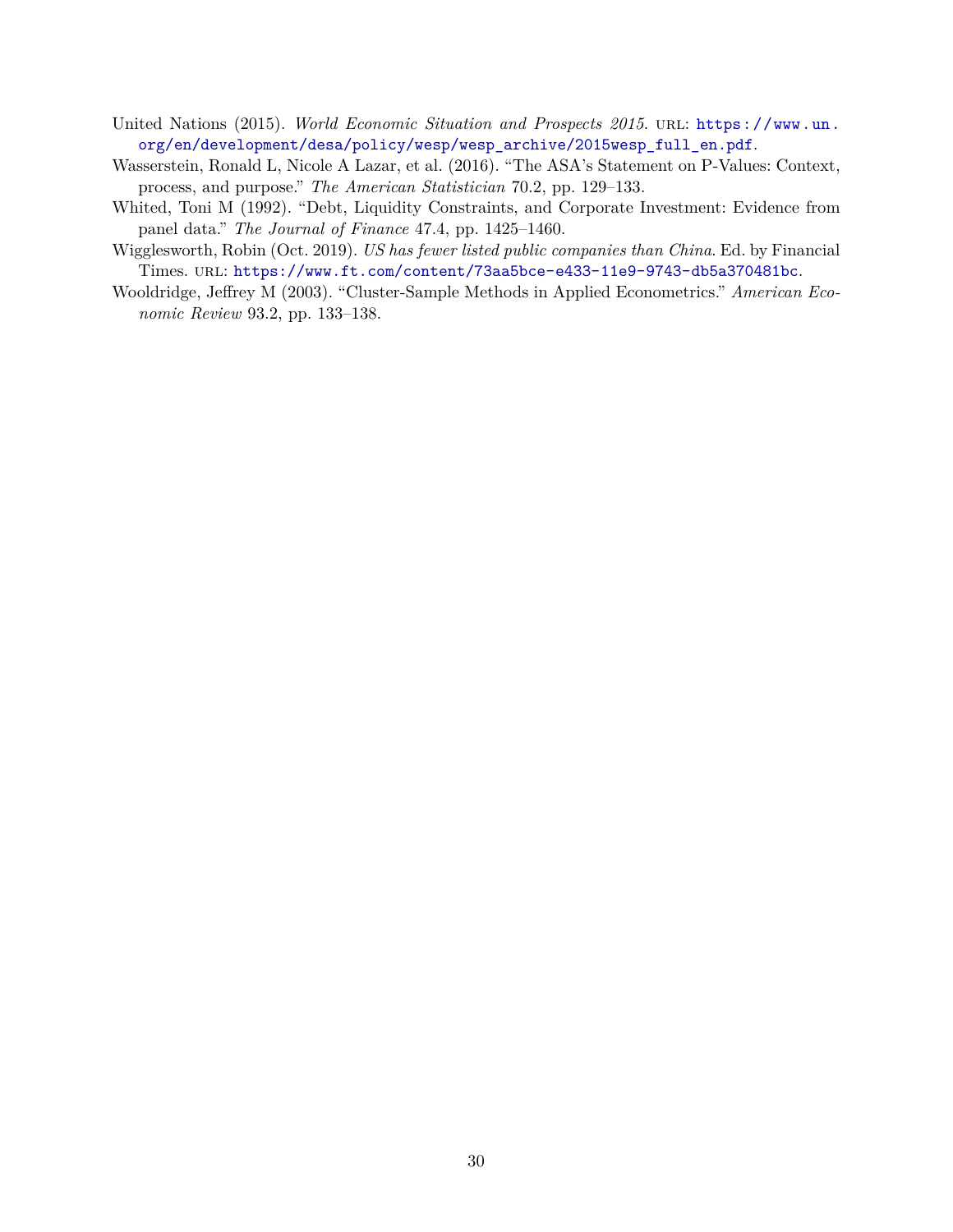- <span id="page-30-4"></span>United Nations (2015). *World Economic Situation and Prospects 2015*. URL: [https://www.un.](https://www.un.org/en/development/desa/policy/wesp/wesp_archive/2015wesp_full_en.pdf) [org/en/development/desa/policy/wesp/wesp\\_archive/2015wesp\\_full\\_en.pdf](https://www.un.org/en/development/desa/policy/wesp/wesp_archive/2015wesp_full_en.pdf).
- <span id="page-30-2"></span>Wasserstein, Ronald L, Nicole A Lazar, et al. (2016). "The ASA's Statement on P-Values: Context, process, and purpose." *The American Statistician* 70.2, pp. 129–133.
- <span id="page-30-3"></span>Whited, Toni M (1992). "Debt, Liquidity Constraints, and Corporate Investment: Evidence from panel data." *The Journal of Finance* 47.4, pp. 1425–1460.
- <span id="page-30-0"></span>Wigglesworth, Robin (Oct. 2019). *US has fewer listed public companies than China*. Ed. by Financial Times. url: <https://www.ft.com/content/73aa5bce-e433-11e9-9743-db5a370481bc>.
- <span id="page-30-1"></span>Wooldridge, Jeffrey M (2003). "Cluster-Sample Methods in Applied Econometrics." *American Economic Review* 93.2, pp. 133–138.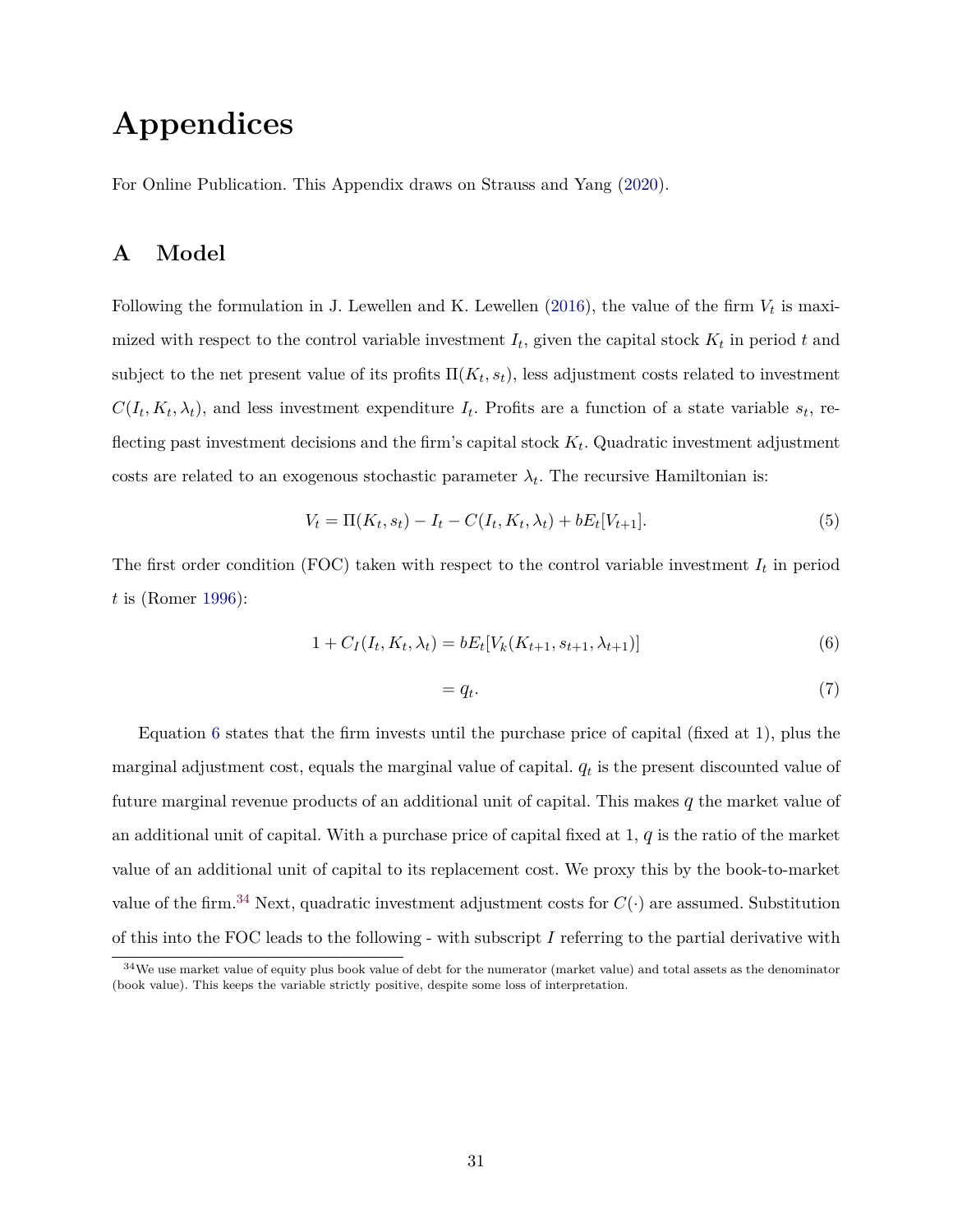# **Appendices**

For Online Publication. This Appendix draws on Strauss and Yang [\(2020\)](#page-29-11).

## <span id="page-31-0"></span>**A Model**

Following the formulation in J. Lewellen and K. Lewellen  $(2016)$ , the value of the firm  $V_t$  is maximized with respect to the control variable investment *I<sup>t</sup>* , given the capital stock *K<sup>t</sup>* in period *t* and subject to the net present value of its profits  $\Pi(K_t, s_t)$ , less adjustment costs related to investment  $C(I_t, K_t, \lambda_t)$ , and less investment expenditure  $I_t$ . Profits are a function of a state variable  $s_t$ , reflecting past investment decisions and the firm's capital stock  $K_t$ . Quadratic investment adjustment costs are related to an exogenous stochastic parameter  $\lambda_t$ . The recursive Hamiltonian is:

<span id="page-31-2"></span>
$$
V_t = \Pi(K_t, s_t) - I_t - C(I_t, K_t, \lambda_t) + bE_t[V_{t+1}].
$$
\n(5)

The first order condition (FOC) taken with respect to the control variable investment *I<sup>t</sup>* in period *t* is (Romer [1996\)](#page-29-16):

$$
1 + C_I(I_t, K_t, \lambda_t) = bE_t[V_k(K_{t+1}, s_{t+1}, \lambda_{t+1})]
$$
\n(6)

<span id="page-31-1"></span>
$$
= q_t. \tag{7}
$$

Equation [6](#page-31-1) states that the firm invests until the purchase price of capital (fixed at 1), plus the marginal adjustment cost, equals the marginal value of capital.  $q_t$  is the present discounted value of future marginal revenue products of an additional unit of capital. This makes *q* the market value of an additional unit of capital. With a purchase price of capital fixed at 1, *q* is the ratio of the market value of an additional unit of capital to its replacement cost. We proxy this by the book-to-market value of the firm.<sup>34</sup> Next, quadratic investment adjustment costs for  $C(\cdot)$  are assumed. Substitution of this into the FOC leads to the following - with subscript *I* referring to the partial derivative with

<sup>&</sup>lt;sup>34</sup>We use market value of equity plus book value of debt for the numerator (market value) and total assets as the denominator (book value). This keeps the variable strictly positive, despite some loss of interpretation.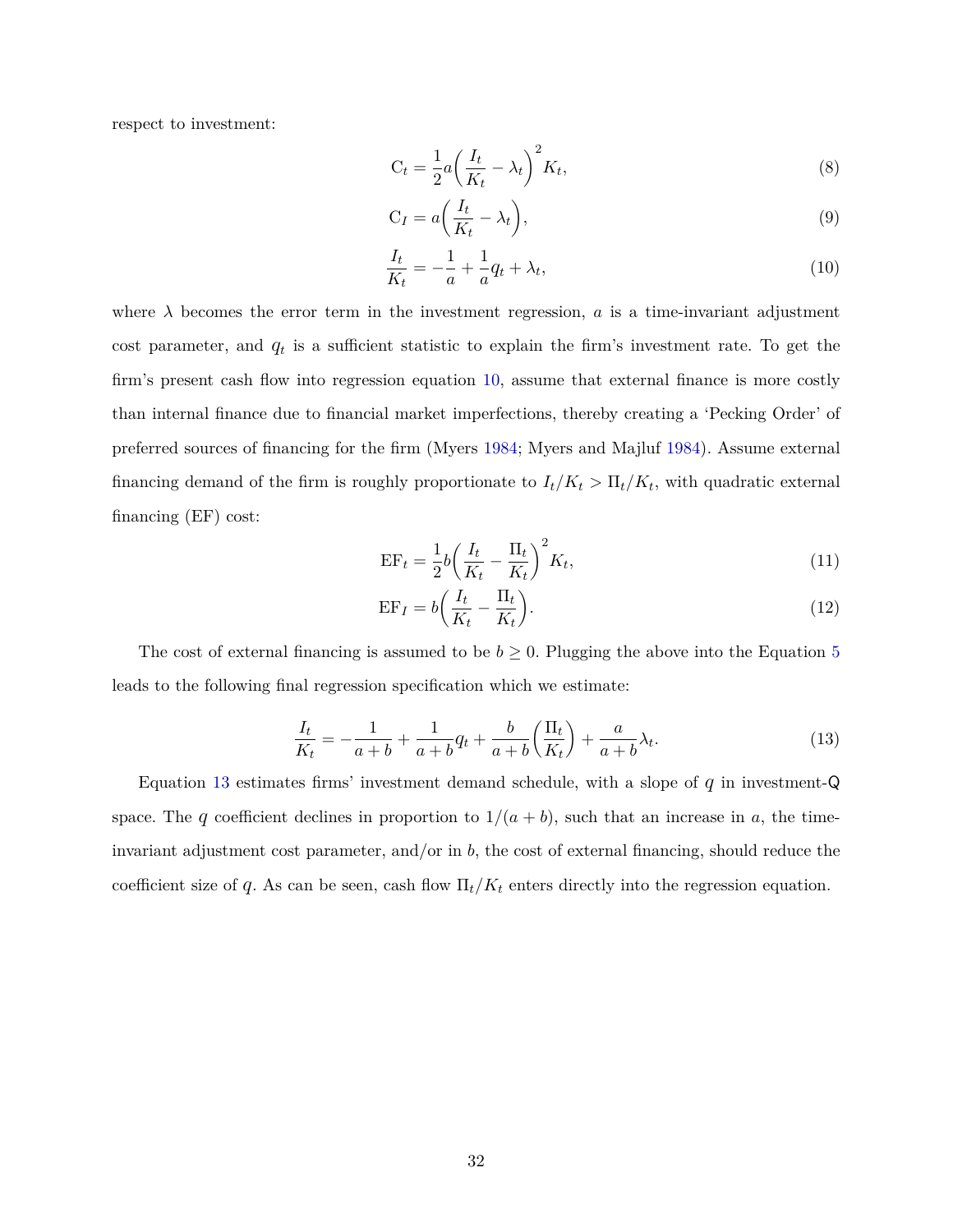respect to investment:

$$
C_t = \frac{1}{2} a \left( \frac{I_t}{K_t} - \lambda_t \right)^2 K_t,
$$
\n(8)

$$
C_I = a\left(\frac{I_t}{K_t} - \lambda_t\right),\tag{9}
$$

<span id="page-32-0"></span>
$$
\frac{I_t}{K_t} = -\frac{1}{a} + \frac{1}{a}q_t + \lambda_t,\tag{10}
$$

where  $\lambda$  becomes the error term in the investment regression,  $\alpha$  is a time-invariant adjustment cost parameter, and  $q_t$  is a sufficient statistic to explain the firm's investment rate. To get the firm's present cash flow into regression equation [10,](#page-32-0) assume that external finance is more costly than internal finance due to financial market imperfections, thereby creating a 'Pecking Order' of preferred sources of financing for the firm (Myers [1984;](#page-28-11) Myers and Majluf [1984\)](#page-29-12). Assume external financing demand of the firm is roughly proportionate to  $I_t/K_t > \Pi_t/K_t$ , with quadratic external financing (EF) cost:

$$
EF_t = \frac{1}{2}b\left(\frac{I_t}{K_t} - \frac{\Pi_t}{K_t}\right)^2 K_t,
$$
\n(11)

<span id="page-32-1"></span>
$$
EF_I = b \left( \frac{I_t}{K_t} - \frac{\Pi_t}{K_t} \right). \tag{12}
$$

The cost of external financing is assumed to be  $b \geq 0$ . Plugging the above into the Equation [5](#page-31-2) leads to the following final regression specification which we estimate:

$$
\frac{I_t}{K_t} = -\frac{1}{a+b} + \frac{1}{a+b}q_t + \frac{b}{a+b} \left(\frac{\Pi_t}{K_t}\right) + \frac{a}{a+b} \lambda_t.
$$
 (13)

Equation [13](#page-32-1) estimates firms' investment demand schedule, with a slope of *q* in investment-Q space. The *q* coefficient declines in proportion to  $1/(a + b)$ , such that an increase in *a*, the timeinvariant adjustment cost parameter, and/or in *b*, the cost of external financing, should reduce the coefficient size of *q*. As can be seen, cash flow  $\Pi_t/K_t$  enters directly into the regression equation.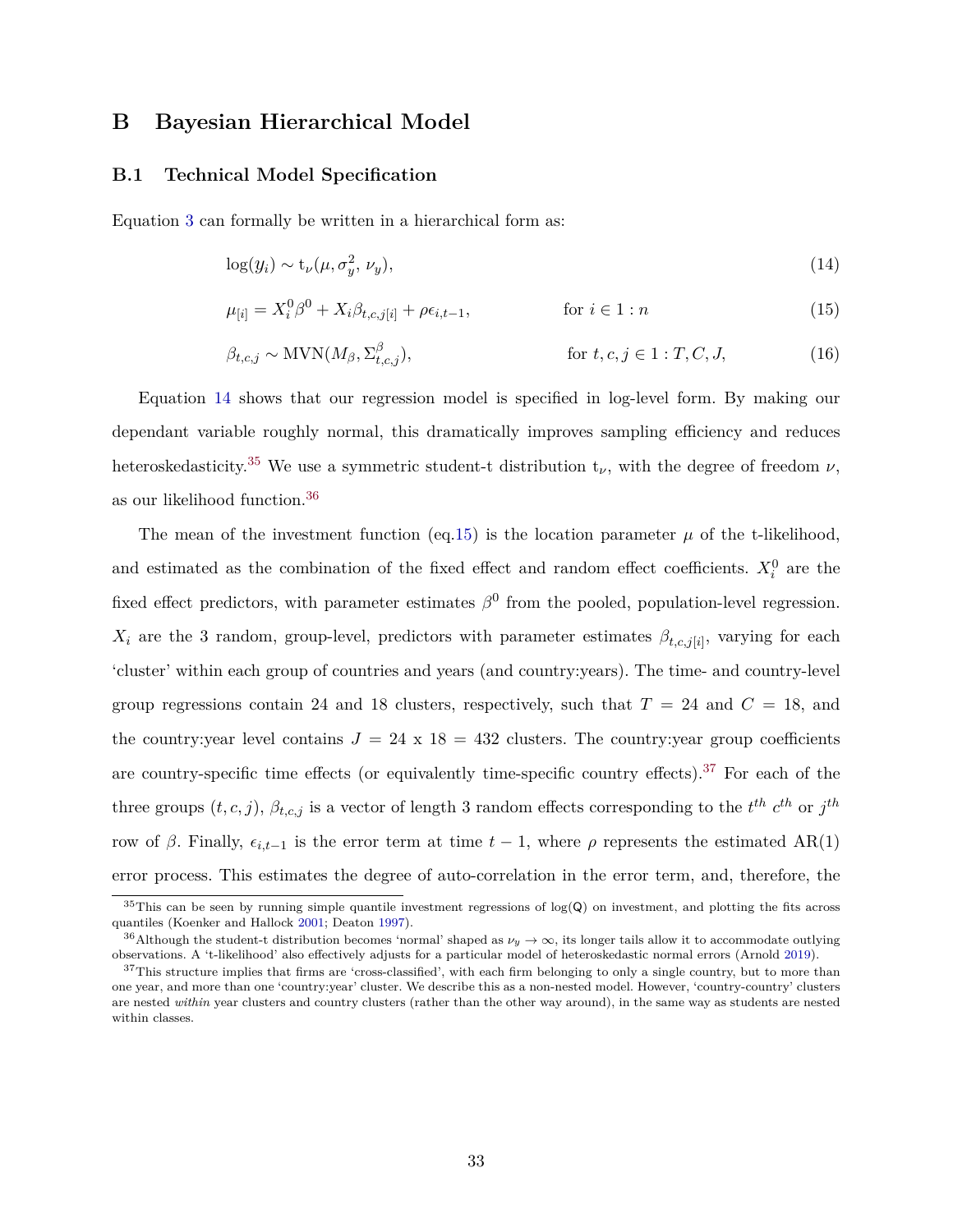## <span id="page-33-0"></span>**B Bayesian Hierarchical Model**

### **B.1 Technical Model Specification**

Equation [3](#page-12-0) can formally be written in a hierarchical form as:

$$
\log(y_i) \sim \mathbf{t}_{\nu}(\mu, \sigma_y^2, \nu_y),\tag{14}
$$

<span id="page-33-3"></span><span id="page-33-2"></span><span id="page-33-1"></span>
$$
\mu_{[i]} = X_i^0 \beta^0 + X_i \beta_{t,c,j[i]} + \rho \epsilon_{i,t-1}, \qquad \text{for } i \in 1 : n
$$
\n(15)

$$
\beta_{t,c,j} \sim \text{MVN}(M_{\beta}, \Sigma_{t,c,j}^{\beta}), \qquad \text{for } t, c, j \in 1 : T, C, J,
$$
 (16)

Equation [14](#page-33-1) shows that our regression model is specified in log-level form. By making our dependant variable roughly normal, this dramatically improves sampling efficiency and reduces heteroskedasticity.<sup>35</sup> We use a symmetric student-t distribution  $t_{\nu}$ , with the degree of freedom  $\nu$ , as our likelihood function.<sup>36</sup>

The mean of the investment function (eq[.15\)](#page-33-2) is the location parameter  $\mu$  of the t-likelihood, and estimated as the combination of the fixed effect and random effect coefficients.  $X_i^0$  are the fixed effect predictors, with parameter estimates  $\beta^0$  from the pooled, population-level regression.  $X_i$  are the 3 random, group-level, predictors with parameter estimates  $\beta_{t,c,j[i]}$ , varying for each 'cluster' within each group of countries and years (and country:years). The time- and country-level group regressions contain 24 and 18 clusters, respectively, such that  $T = 24$  and  $C = 18$ , and the country: year level contains  $J = 24 \times 18 = 432$  clusters. The country: year group coefficients are country-specific time effects (or equivalently time-specific country effects).<sup>37</sup> For each of the three groups  $(t, c, j)$ ,  $\beta_{t, c, j}$  is a vector of length 3 random effects corresponding to the  $t^{th} c^{th}$  or  $j^{th}$ row of *β*. Finally,  $\epsilon_{i,t-1}$  is the error term at time  $t-1$ , where *ρ* represents the estimated AR(1) error process. This estimates the degree of auto-correlation in the error term, and, therefore, the

 $35$ This can be seen by running simple quantile investment regressions of  $log(Q)$  on investment, and plotting the fits across quantiles (Koenker and Hallock [2001;](#page-28-21) Deaton [1997\)](#page-26-16).

<sup>&</sup>lt;sup>36</sup>Although the student-t distribution becomes 'normal' shaped as  $\nu_y \to \infty$ , its longer tails allow it to accommodate outlying observations. A 't-likelihood' also effectively adjusts for a particular model of heteroskedastic normal errors (Arnold [2019\)](#page-26-17).

 $37$ This structure implies that firms are 'cross-classified', with each firm belonging to only a single country, but to more than one year, and more than one 'country:year' cluster. We describe this as a non-nested model. However, 'country-country' clusters are nested *within* year clusters and country clusters (rather than the other way around), in the same way as students are nested within classes.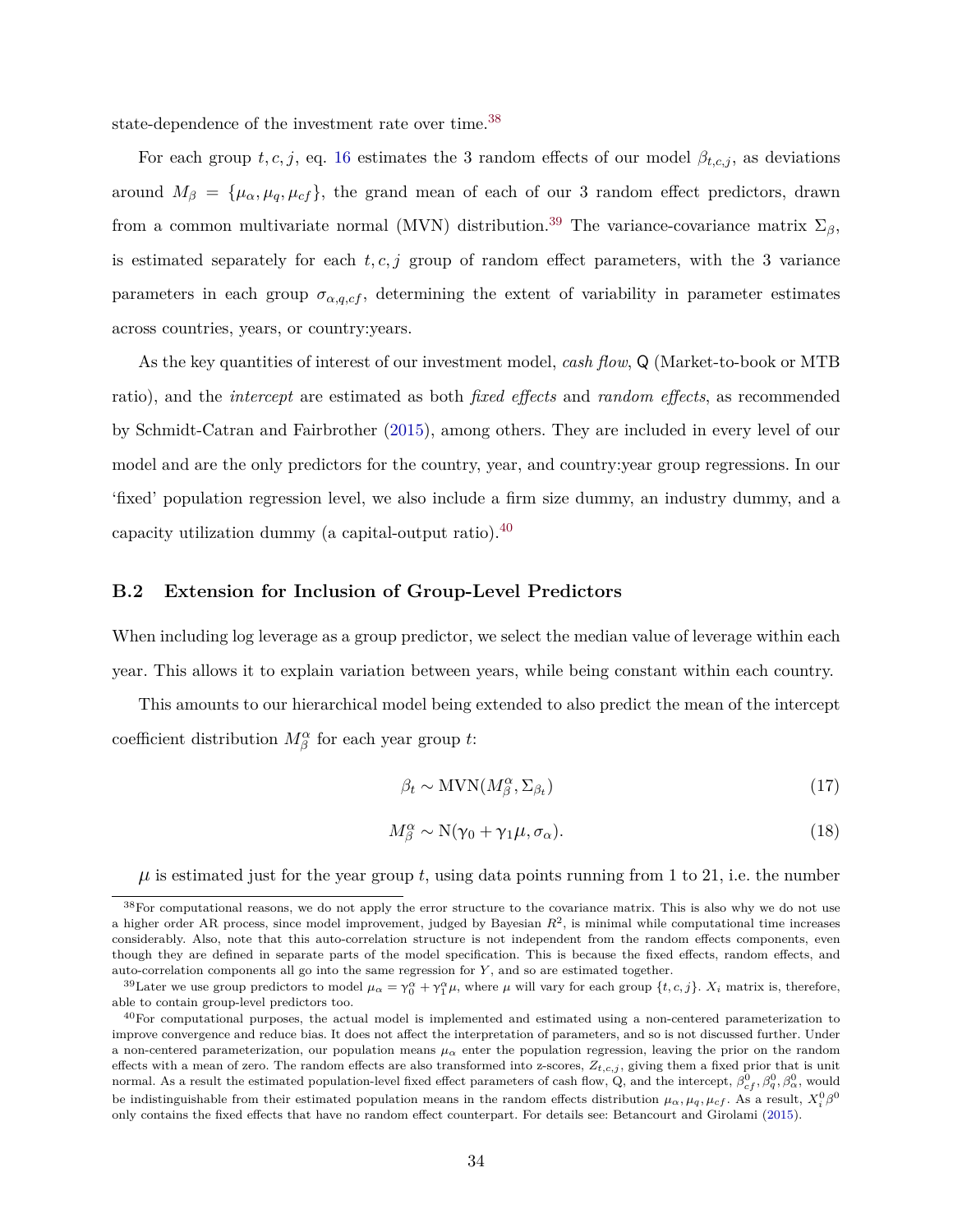state-dependence of the investment rate over time.<sup>38</sup>

For each group  $t, c, j$ , eq. [16](#page-33-3) estimates the 3 random effects of our model  $\beta_{t,c,j}$ , as deviations around  $M_{\beta} = {\mu_{\alpha}, \mu_q, \mu_{cf}}$ , the grand mean of each of our 3 random effect predictors, drawn from a common multivariate normal (MVN) distribution.<sup>39</sup> The variance-covariance matrix  $\Sigma_{\beta}$ , is estimated separately for each  $t, c, j$  group of random effect parameters, with the 3 variance parameters in each group  $\sigma_{\alpha,q,cf}$ , determining the extent of variability in parameter estimates across countries, years, or country:years.

As the key quantities of interest of our investment model, *cash flow*, Q (Market-to-book or MTB ratio), and the *intercept* are estimated as both *fixed effects* and *random effects*, as recommended by Schmidt-Catran and Fairbrother [\(2015\)](#page-29-17), among others. They are included in every level of our model and are the only predictors for the country, year, and country:year group regressions. In our 'fixed' population regression level, we also include a firm size dummy, an industry dummy, and a capacity utilization dummy (a capital-output ratio). $40$ 

### <span id="page-34-0"></span>**B.2 Extension for Inclusion of Group-Level Predictors**

When including log leverage as a group predictor, we select the median value of leverage within each year. This allows it to explain variation between years, while being constant within each country.

This amounts to our hierarchical model being extended to also predict the mean of the intercept coefficient distribution  $M^{\alpha}_{\beta}$  for each year group *t*:

$$
\beta_t \sim \text{MVN}(M_{\beta}^{\alpha}, \Sigma_{\beta_t}) \tag{17}
$$

$$
M^{\alpha}_{\beta} \sim \mathcal{N}(\gamma_0 + \gamma_1 \mu, \sigma_{\alpha}). \tag{18}
$$

 $\mu$  is estimated just for the year group  $t$ , using data points running from 1 to 21, i.e. the number

<sup>&</sup>lt;sup>38</sup>For computational reasons, we do not apply the error structure to the covariance matrix. This is also why we do not use a higher order AR process, since model improvement, judged by Bayesian  $R^2$ , is minimal while computational time increases considerably. Also, note that this auto-correlation structure is not independent from the random effects components, even though they are defined in separate parts of the model specification. This is because the fixed effects, random effects, and auto-correlation components all go into the same regression for *Y* , and so are estimated together.

<sup>&</sup>lt;sup>39</sup>Later we use group predictors to model  $\mu_{\alpha} = \gamma_0^{\alpha} + \gamma_1^{\alpha} \mu$ , where  $\mu$  will vary for each group  $\{t, c, j\}$ .  $X_i$  matrix is, therefore, able to contain group-level predictors too.

<sup>&</sup>lt;sup>40</sup>For computational purposes, the actual model is implemented and estimated using a non-centered parameterization to improve convergence and reduce bias. It does not affect the interpretation of parameters, and so is not discussed further. Under a non-centered parameterization, our population means  $\mu_{\alpha}$  enter the population regression, leaving the prior on the random effects with a mean of zero. The random effects are also transformed into z-scores, *Zt,c,j* , giving them a fixed prior that is unit normal. As a result the estimated population-level fixed effect parameters of cash flow, Q, and the intercept,  $\beta_{cf}^0$ ,  $\beta_q^0$ ,  $\beta_\alpha^0$ , would be indistinguishable from their estimated population means in the random effects distribution  $\mu_{\alpha}, \mu_q, \mu_{cf}$ . As a result,  $X_i^0 \beta^0$ only contains the fixed effects that have no random effect counterpart. For details see: Betancourt and Girolami [\(2015\)](#page-26-18).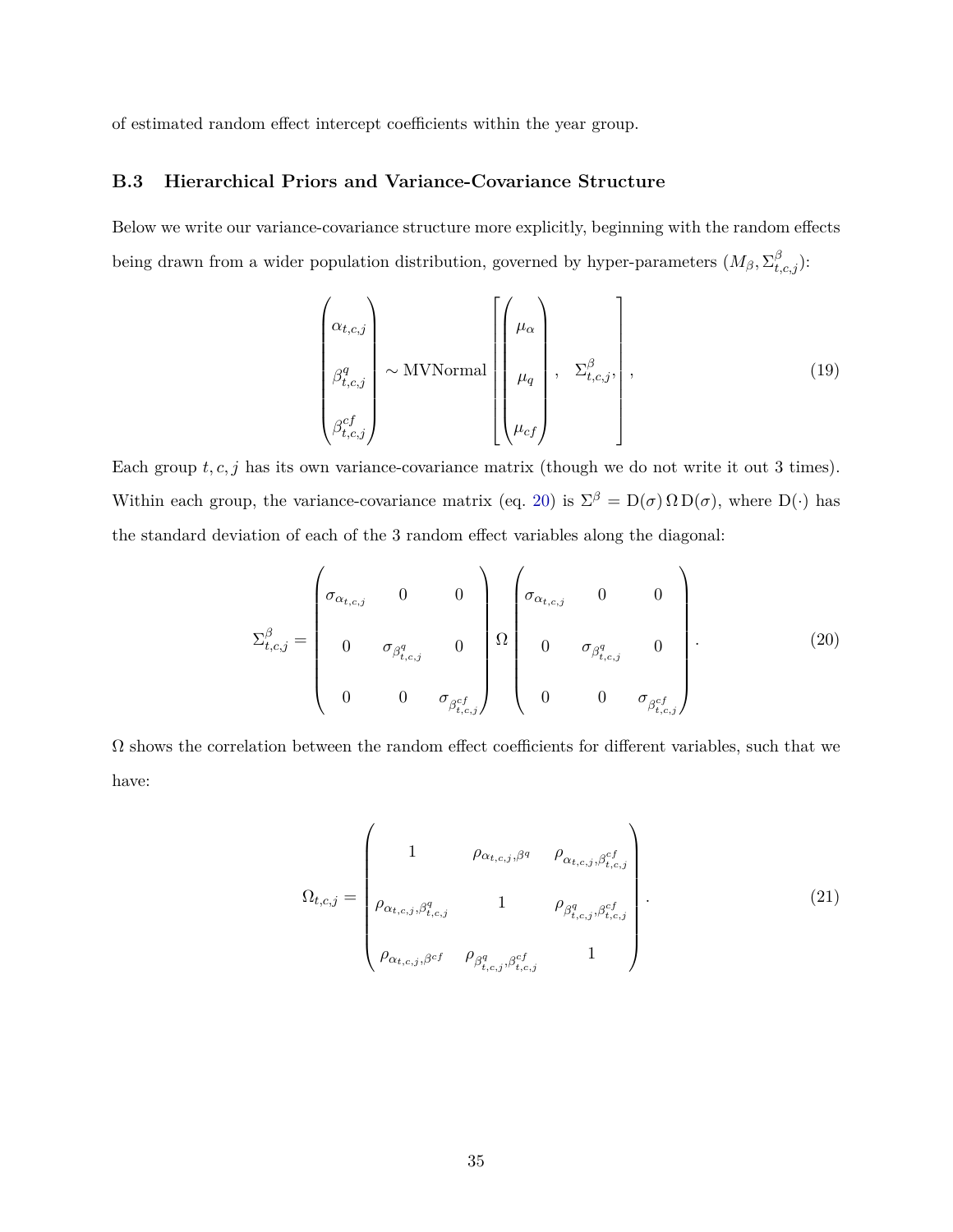of estimated random effect intercept coefficients within the year group.

### **B.3 Hierarchical Priors and Variance-Covariance Structure**

Below we write our variance-covariance structure more explicitly, beginning with the random effects being drawn from a wider population distribution, governed by hyper-parameters  $(M_\beta, \Sigma^\beta_{t,c,j})$ :

$$
\begin{pmatrix}\n\alpha_{t,c,j} \\
\beta_{t,c,j}^q \\
\beta_{t,c,j}^{cf}\n\end{pmatrix}\n\sim \text{MVNormal}\n\begin{pmatrix}\n\mu_{\alpha} \\
\mu_{q} \\
\mu_{cf}\n\end{pmatrix}, \quad \Sigma_{t,c,j}^\beta,
$$
\n(19)

Each group  $t, c, j$  has its own variance-covariance matrix (though we do not write it out 3 times). Within each group, the variance-covariance matrix (eq. [20\)](#page-35-0) is  $\Sigma^{\beta} = D(\sigma) \Omega D(\sigma)$ , where  $D(\cdot)$  has the standard deviation of each of the 3 random effect variables along the diagonal:

$$
\Sigma_{t,c,j}^{\beta} = \begin{pmatrix}\n\sigma_{\alpha_{t,c,j}} & 0 & 0 \\
0 & \sigma_{\beta_{t,c,j}^q} & 0 \\
0 & 0 & \sigma_{\beta_{t,c,j}^c}\n\end{pmatrix}\n\Omega\n\begin{pmatrix}\n\sigma_{\alpha_{t,c,j}} & 0 & 0 \\
0 & \sigma_{\beta_{t,c,j}^q} & 0 \\
0 & 0 & \sigma_{\beta_{t,c,j}^c}\n\end{pmatrix}.
$$
\n(20)

 $\Omega$  shows the correlation between the random effect coefficients for different variables, such that we have:

<span id="page-35-0"></span>
$$
\Omega_{t,c,j} = \begin{pmatrix}\n1 & \rho_{\alpha_{t,c,j},\beta^q} & \rho_{\alpha_{t,c,j},\beta_{t,c,j}^{cf}} \\
\rho_{\alpha_{t,c,j},\beta_{t,c,j}^q} & 1 & \rho_{\beta_{t,c,j}^q, \beta_{t,c,j}^{cf}} \\
\rho_{\alpha_{t,c,j},\beta^{cf}} & \rho_{\beta_{t,c,j}^q, \beta_{t,c,j}^{cf}} & 1\n\end{pmatrix}.
$$
\n(21)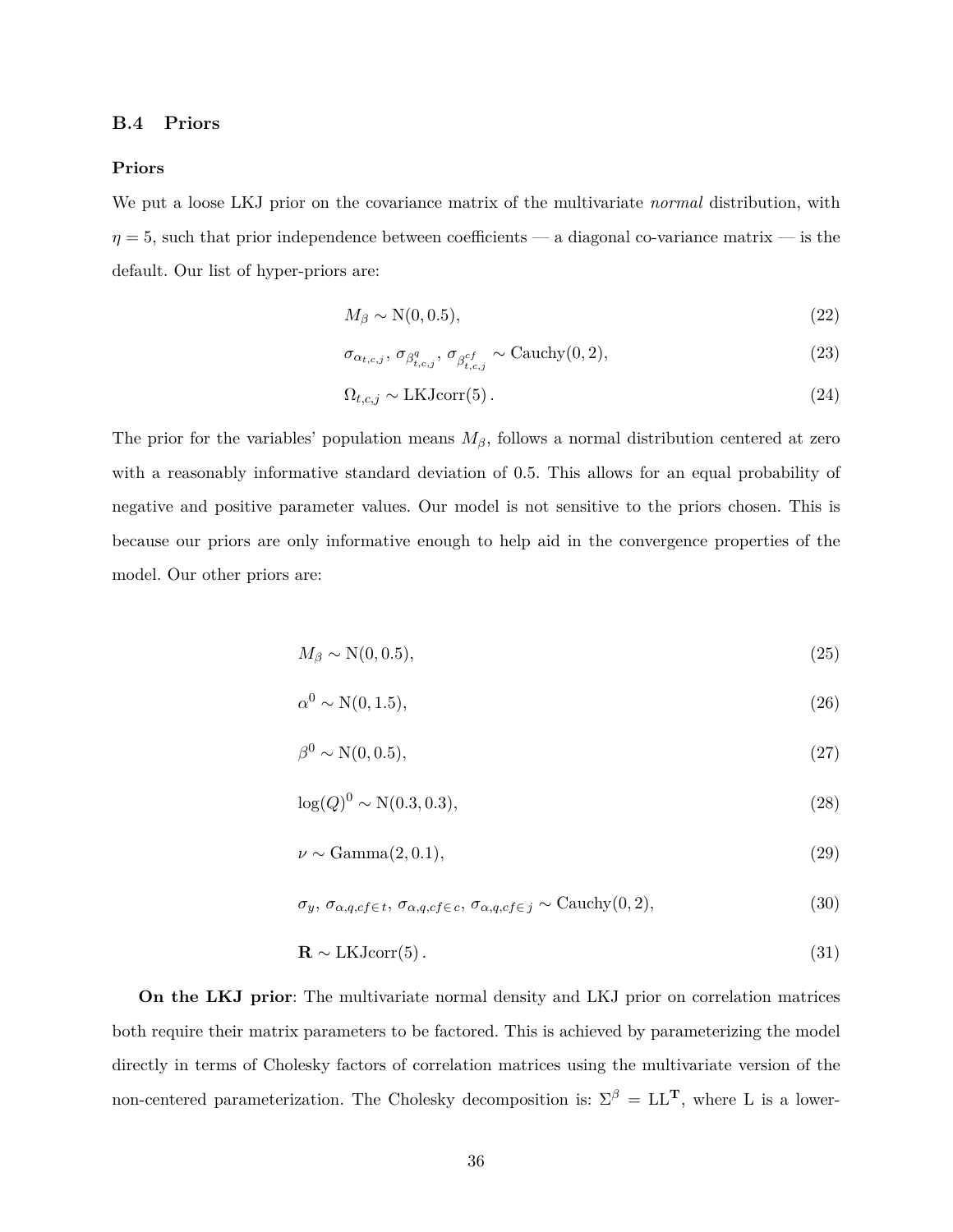### <span id="page-36-0"></span>**B.4 Priors**

#### **Priors**

We put a loose LKJ prior on the covariance matrix of the multivariate *normal* distribution, with  $\eta = 5$ , such that prior independence between coefficients — a diagonal co-variance matrix — is the default. Our list of hyper-priors are:

$$
M_{\beta} \sim \mathcal{N}(0, 0.5),\tag{22}
$$

$$
\sigma_{\alpha_{t,c,j}}, \sigma_{\beta_{t,c,j}^q}, \sigma_{\beta_{t,c,j}^{cf}} \sim \text{Cauchy}(0, 2),\tag{23}
$$

$$
\Omega_{t,c,j} \sim \text{LKJcorr}(5) \,. \tag{24}
$$

The prior for the variables' population means  $M_{\beta}$ , follows a normal distribution centered at zero with a reasonably informative standard deviation of 0.5. This allows for an equal probability of negative and positive parameter values. Our model is not sensitive to the priors chosen. This is because our priors are only informative enough to help aid in the convergence properties of the model. Our other priors are:

$$
M_{\beta} \sim \mathcal{N}(0, 0.5),\tag{25}
$$

$$
\alpha^0 \sim \mathcal{N}(0, 1.5),\tag{26}
$$

$$
\beta^0 \sim \mathcal{N}(0, 0.5),\tag{27}
$$

$$
\log(Q)^0 \sim \mathcal{N}(0.3, 0.3),\tag{28}
$$

$$
\nu \sim \text{Gamma}(2, 0.1),\tag{29}
$$

$$
\sigma_y, \sigma_{\alpha,q,cf \in t}, \sigma_{\alpha,q,cf \in c}, \sigma_{\alpha,q,cf \in j} \sim \text{Cauchy}(0,2),\tag{30}
$$

$$
\mathbf{R} \sim \text{LKJcorr}(5) \,. \tag{31}
$$

**On the LKJ prior**: The multivariate normal density and LKJ prior on correlation matrices both require their matrix parameters to be factored. This is achieved by parameterizing the model directly in terms of Cholesky factors of correlation matrices using the multivariate version of the non-centered parameterization. The Cholesky decomposition is:  $\Sigma^{\beta} = LL^{T}$ , where L is a lower-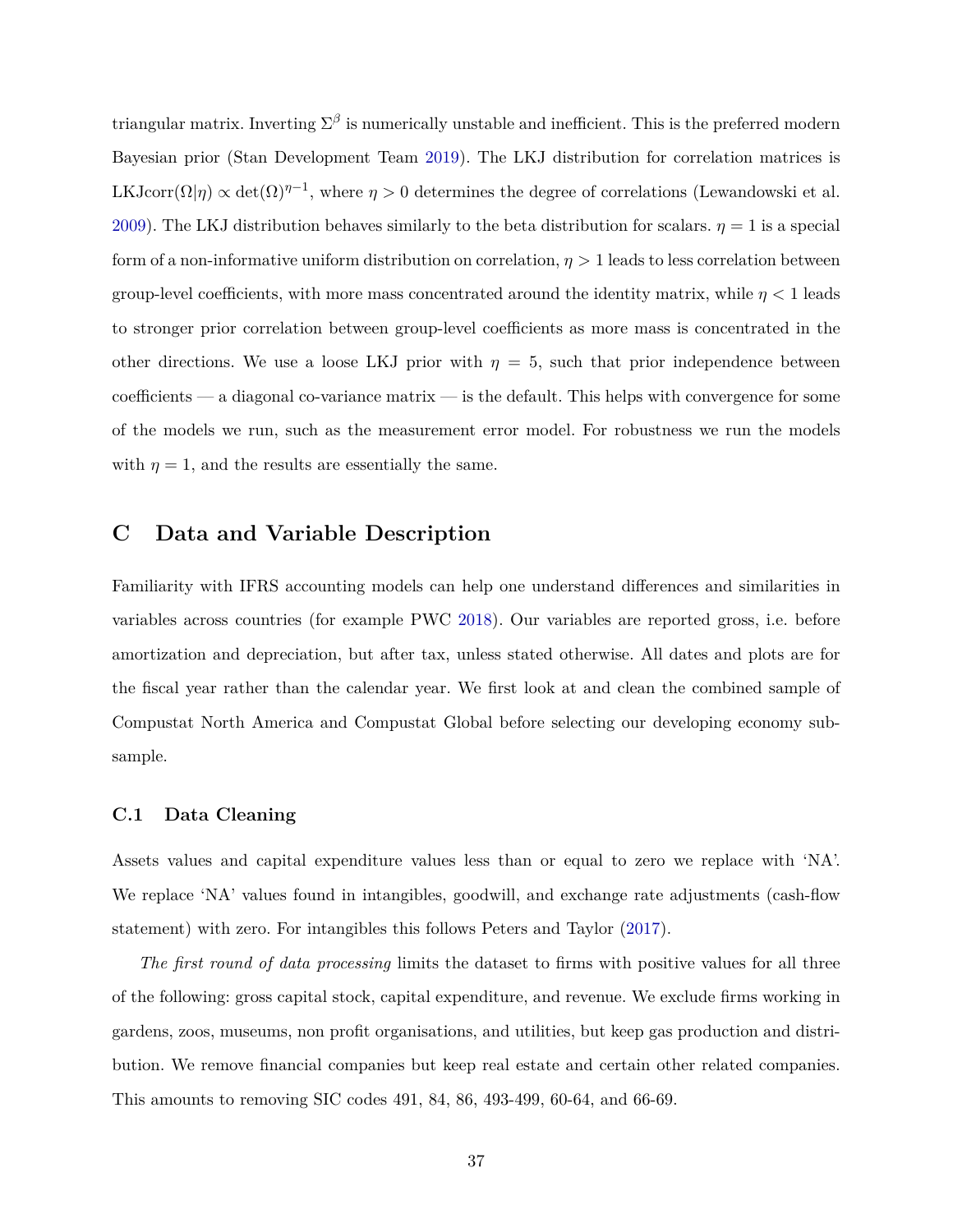triangular matrix. Inverting  $\Sigma^{\beta}$  is numerically unstable and inefficient. This is the preferred modern Bayesian prior (Stan Development Team [2019\)](#page-29-18). The LKJ distribution for correlation matrices is LKJcorr $(\Omega|\eta) \propto \det(\Omega)^{\eta-1}$ , where  $\eta > 0$  determines the degree of correlations (Lewandowski et al. [2009\)](#page-28-22). The LKJ distribution behaves similarly to the beta distribution for scalars.  $\eta = 1$  is a special form of a non-informative uniform distribution on correlation,  $\eta > 1$  leads to less correlation between group-level coefficients, with more mass concentrated around the identity matrix, while *η <* 1 leads to stronger prior correlation between group-level coefficients as more mass is concentrated in the other directions. We use a loose LKJ prior with  $\eta = 5$ , such that prior independence between coefficients — a diagonal co-variance matrix — is the default. This helps with convergence for some of the models we run, such as the measurement error model. For robustness we run the models with  $\eta = 1$ , and the results are essentially the same.

## <span id="page-37-0"></span>**C Data and Variable Description**

Familiarity with IFRS accounting models can help one understand differences and similarities in variables across countries (for example PWC [2018\)](#page-29-19). Our variables are reported gross, i.e. before amortization and depreciation, but after tax, unless stated otherwise. All dates and plots are for the fiscal year rather than the calendar year. We first look at and clean the combined sample of Compustat North America and Compustat Global before selecting our developing economy subsample.

### **C.1 Data Cleaning**

Assets values and capital expenditure values less than or equal to zero we replace with 'NA'. We replace 'NA' values found in intangibles, goodwill, and exchange rate adjustments (cash-flow statement) with zero. For intangibles this follows Peters and Taylor [\(2017\)](#page-29-13).

*The first round of data processing* limits the dataset to firms with positive values for all three of the following: gross capital stock, capital expenditure, and revenue. We exclude firms working in gardens, zoos, museums, non profit organisations, and utilities, but keep gas production and distribution. We remove financial companies but keep real estate and certain other related companies. This amounts to removing SIC codes 491, 84, 86, 493-499, 60-64, and 66-69.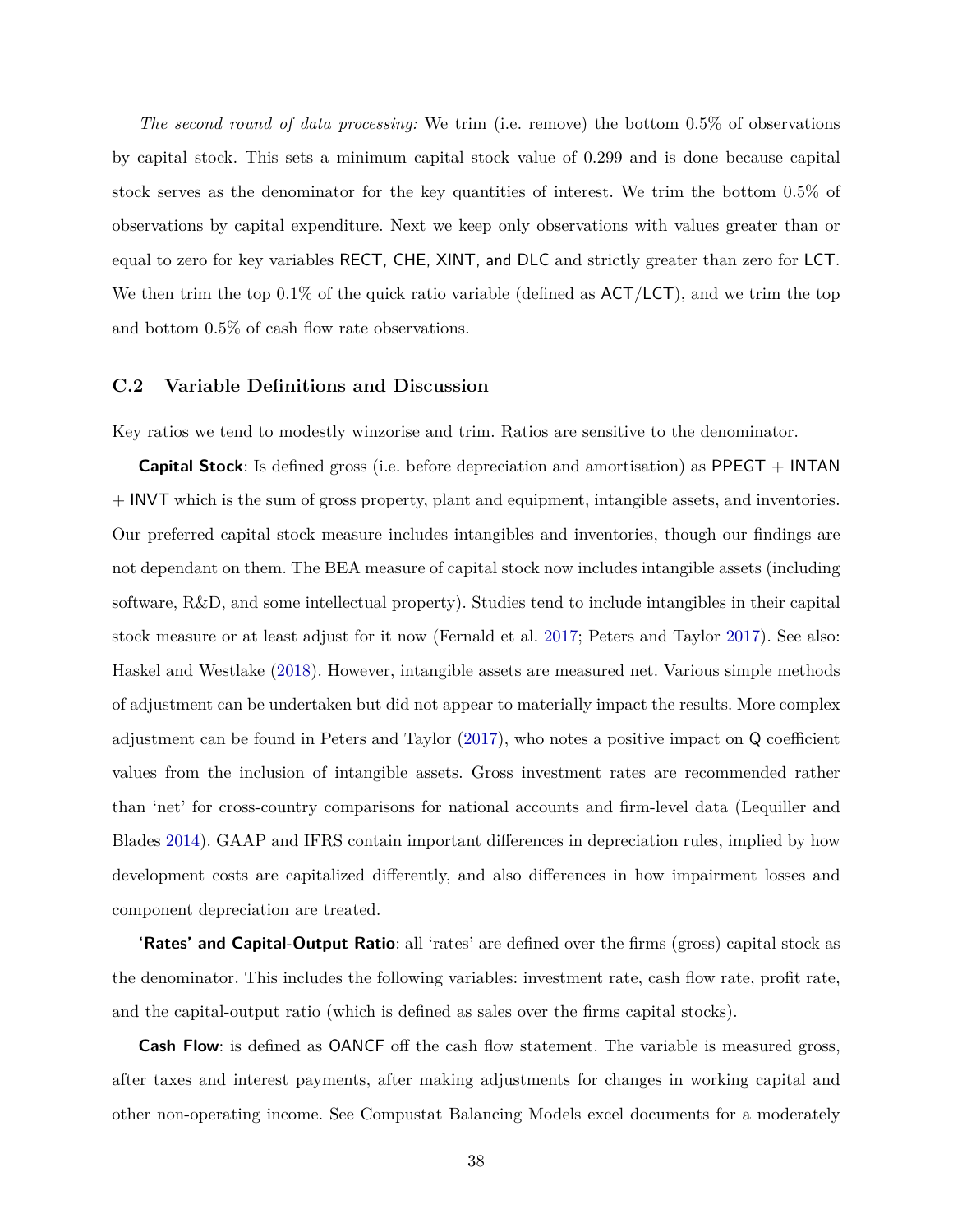*The second round of data processing:* We trim (i.e. remove) the bottom 0.5% of observations by capital stock. This sets a minimum capital stock value of 0.299 and is done because capital stock serves as the denominator for the key quantities of interest. We trim the bottom 0.5% of observations by capital expenditure. Next we keep only observations with values greater than or equal to zero for key variables RECT, CHE, XINT, and DLC and strictly greater than zero for LCT. We then trim the top  $0.1\%$  of the quick ratio variable (defined as  $ACT/LCT$ ), and we trim the top and bottom 0.5% of cash flow rate observations.

### **C.2 Variable Definitions and Discussion**

Key ratios we tend to modestly winzorise and trim. Ratios are sensitive to the denominator.

**Capital Stock**: Is defined gross (i.e. before depreciation and amortisation) as PPEGT + INTAN + INVT which is the sum of gross property, plant and equipment, intangible assets, and inventories. Our preferred capital stock measure includes intangibles and inventories, though our findings are not dependant on them. The BEA measure of capital stock now includes intangible assets (including software, R&D, and some intellectual property). Studies tend to include intangibles in their capital stock measure or at least adjust for it now (Fernald et al. [2017;](#page-27-7) Peters and Taylor [2017\)](#page-29-13). See also: Haskel and Westlake [\(2018\)](#page-27-21). However, intangible assets are measured net. Various simple methods of adjustment can be undertaken but did not appear to materially impact the results. More complex adjustment can be found in Peters and Taylor [\(2017\)](#page-29-13), who notes a positive impact on Q coefficient values from the inclusion of intangible assets. Gross investment rates are recommended rather than 'net' for cross-country comparisons for national accounts and firm-level data (Lequiller and Blades [2014\)](#page-28-23). GAAP and IFRS contain important differences in depreciation rules, implied by how development costs are capitalized differently, and also differences in how impairment losses and component depreciation are treated.

**'Rates' and Capital-Output Ratio**: all 'rates' are defined over the firms (gross) capital stock as the denominator. This includes the following variables: investment rate, cash flow rate, profit rate, and the capital-output ratio (which is defined as sales over the firms capital stocks).

**Cash Flow**: is defined as **OANCF** off the cash flow statement. The variable is measured gross, after taxes and interest payments, after making adjustments for changes in working capital and other non-operating income. See Compustat Balancing Models excel documents for a moderately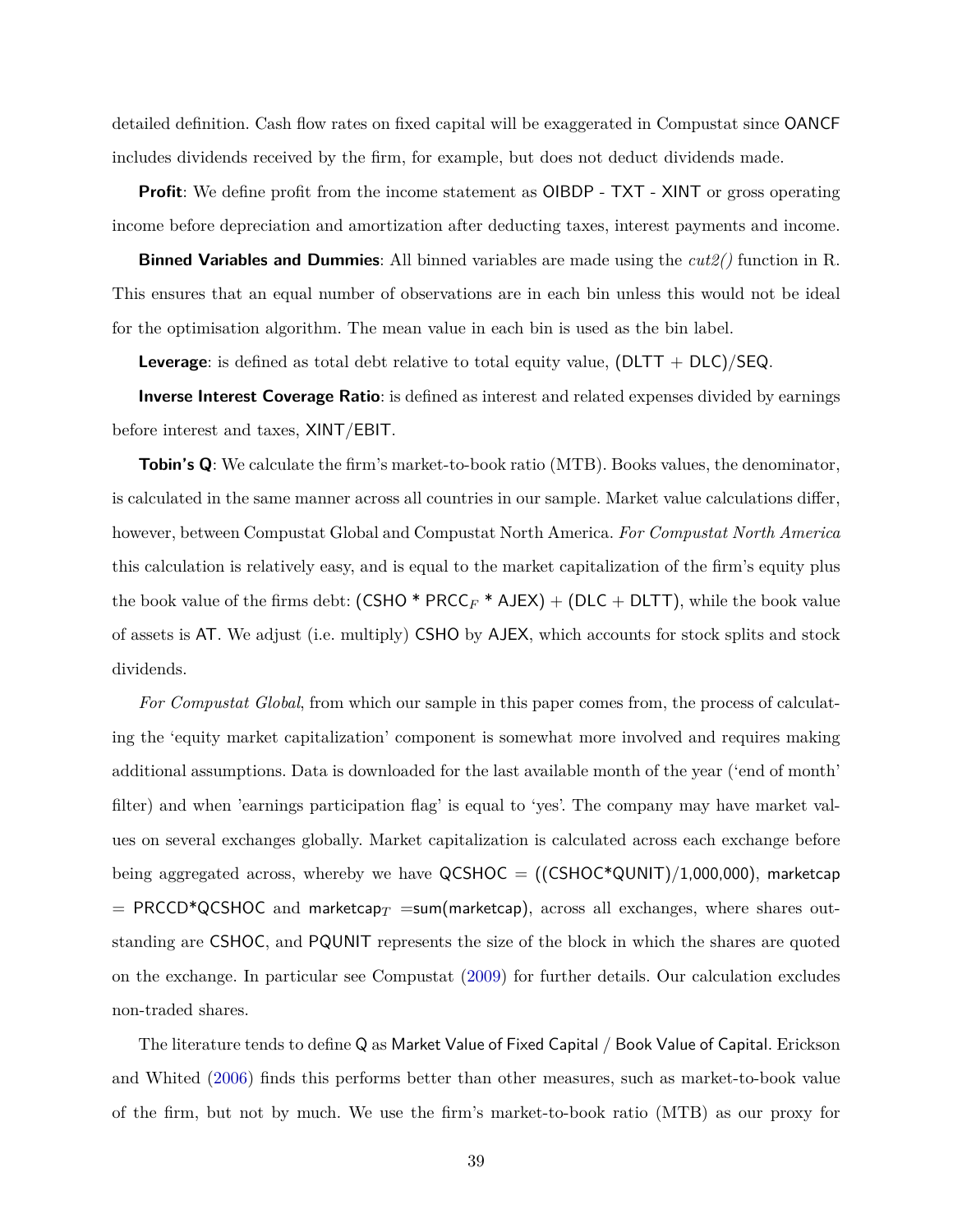detailed definition. Cash flow rates on fixed capital will be exaggerated in Compustat since OANCF includes dividends received by the firm, for example, but does not deduct dividends made.

**Profit:** We define profit from the income statement as OIBDP - TXT - XINT or gross operating income before depreciation and amortization after deducting taxes, interest payments and income.

**Binned Variables and Dummies**: All binned variables are made using the *cut2()* function in R. This ensures that an equal number of observations are in each bin unless this would not be ideal for the optimisation algorithm. The mean value in each bin is used as the bin label.

**Leverage**: is defined as total debt relative to total equity value, (DLTT + DLC)/SEQ.

**Inverse Interest Coverage Ratio**: is defined as interest and related expenses divided by earnings before interest and taxes, XINT/EBIT.

**Tobin's Q**: We calculate the firm's market-to-book ratio (MTB). Books values, the denominator, is calculated in the same manner across all countries in our sample. Market value calculations differ, however, between Compustat Global and Compustat North America. *For Compustat North America* this calculation is relatively easy, and is equal to the market capitalization of the firm's equity plus the book value of the firms debt:  $(CSHO * PRCC_F * AJEX) + (DLC + DLTT)$ , while the book value of assets is AT. We adjust (i.e. multiply) CSHO by AJEX, which accounts for stock splits and stock dividends.

*For Compustat Global*, from which our sample in this paper comes from, the process of calculating the 'equity market capitalization' component is somewhat more involved and requires making additional assumptions. Data is downloaded for the last available month of the year ('end of month' filter) and when 'earnings participation flag' is equal to 'yes'. The company may have market values on several exchanges globally. Market capitalization is calculated across each exchange before being aggregated across, whereby we have  $QCSHOC = ((CSHOC*QUNIT)/1,000,000)$ , marketcap  $=$  PRCCD<sup>\*</sup>QCSHOC and marketcap<sub>*T*</sub>  $=$ sum(marketcap), across all exchanges, where shares outstanding are CSHOC, and PQUNIT represents the size of the block in which the shares are quoted on the exchange. In particular see Compustat [\(2009\)](#page-26-19) for further details. Our calculation excludes non-traded shares.

The literature tends to define Q as Market Value of Fixed Capital / Book Value of Capital. Erickson and Whited [\(2006\)](#page-26-8) finds this performs better than other measures, such as market-to-book value of the firm, but not by much. We use the firm's market-to-book ratio (MTB) as our proxy for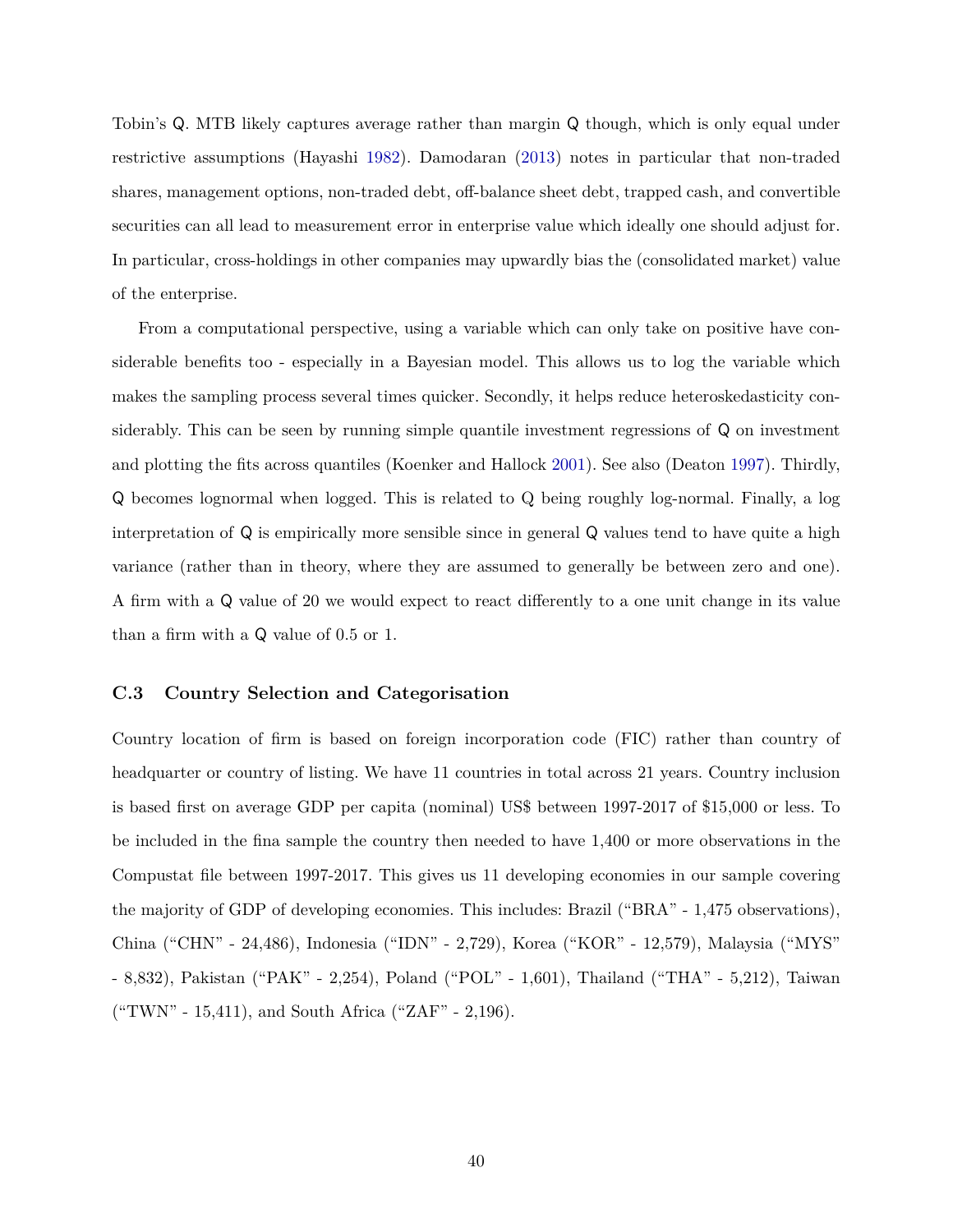Tobin's Q. MTB likely captures average rather than margin Q though, which is only equal under restrictive assumptions (Hayashi [1982\)](#page-27-22). Damodaran [\(2013\)](#page-26-20) notes in particular that non-traded shares, management options, non-traded debt, off-balance sheet debt, trapped cash, and convertible securities can all lead to measurement error in enterprise value which ideally one should adjust for. In particular, cross-holdings in other companies may upwardly bias the (consolidated market) value of the enterprise.

From a computational perspective, using a variable which can only take on positive have considerable benefits too - especially in a Bayesian model. This allows us to log the variable which makes the sampling process several times quicker. Secondly, it helps reduce heteroskedasticity considerably. This can be seen by running simple quantile investment regressions of Q on investment and plotting the fits across quantiles (Koenker and Hallock [2001\)](#page-28-21). See also (Deaton [1997\)](#page-26-16). Thirdly, Q becomes lognormal when logged. This is related to Q being roughly log-normal. Finally, a log interpretation of Q is empirically more sensible since in general Q values tend to have quite a high variance (rather than in theory, where they are assumed to generally be between zero and one). A firm with a Q value of 20 we would expect to react differently to a one unit change in its value than a firm with a Q value of 0.5 or 1.

### **C.3 Country Selection and Categorisation**

Country location of firm is based on foreign incorporation code (FIC) rather than country of headquarter or country of listing. We have 11 countries in total across 21 years. Country inclusion is based first on average GDP per capita (nominal) US\$ between 1997-2017 of \$15,000 or less. To be included in the fina sample the country then needed to have 1,400 or more observations in the Compustat file between 1997-2017. This gives us 11 developing economies in our sample covering the majority of GDP of developing economies. This includes: Brazil ("BRA" - 1,475 observations), China ("CHN" - 24,486), Indonesia ("IDN" - 2,729), Korea ("KOR" - 12,579), Malaysia ("MYS" - 8,832), Pakistan ("PAK" - 2,254), Poland ("POL" - 1,601), Thailand ("THA" - 5,212), Taiwan ("TWN" - 15,411), and South Africa ("ZAF" - 2,196).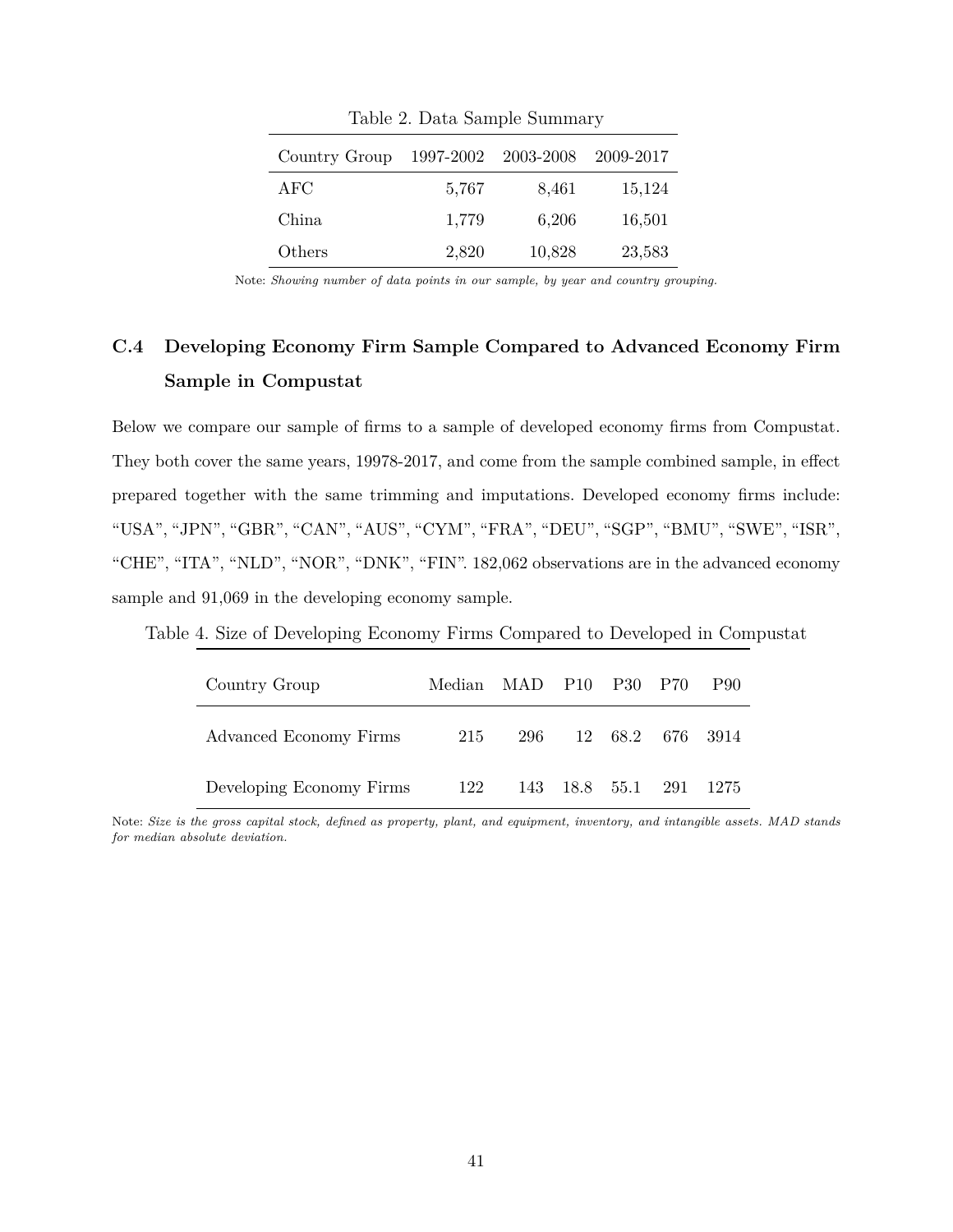| Country Group | 1997-2002 | 2003-2008 | 2009-2017 |
|---------------|-----------|-----------|-----------|
| $\rm{AFC}$    | 5,767     | 8,461     | 15,124    |
| China         | 1,779     | 6,206     | 16,501    |
| Others        | 2,820     | 10,828    | 23,583    |

Table 2. Data Sample Summary

Note: *Showing number of data points in our sample, by year and country grouping.*

## <span id="page-41-0"></span>**C.4 Developing Economy Firm Sample Compared to Advanced Economy Firm Sample in Compustat**

Below we compare our sample of firms to a sample of developed economy firms from Compustat. They both cover the same years, 19978-2017, and come from the sample combined sample, in effect prepared together with the same trimming and imputations. Developed economy firms include: "USA", "JPN", "GBR", "CAN", "AUS", "CYM", "FRA", "DEU", "SGP", "BMU", "SWE", "ISR", "CHE", "ITA", "NLD", "NOR", "DNK", "FIN". 182,062 observations are in the advanced economy sample and 91,069 in the developing economy sample.

| Country Group            | Median MAD P10 P30 P70 |                      |  | <b>P90</b> |
|--------------------------|------------------------|----------------------|--|------------|
| Advanced Economy Firms   | 215                    | 296 12 68.2 676 3914 |  |            |
| Developing Economy Firms | 122                    | 143 18.8 55.1        |  | 291 1275   |

Table 4. Size of Developing Economy Firms Compared to Developed in Compustat

Note: *Size is the gross capital stock, defined as property, plant, and equipment, inventory, and intangible assets. MAD stands for median absolute deviation.*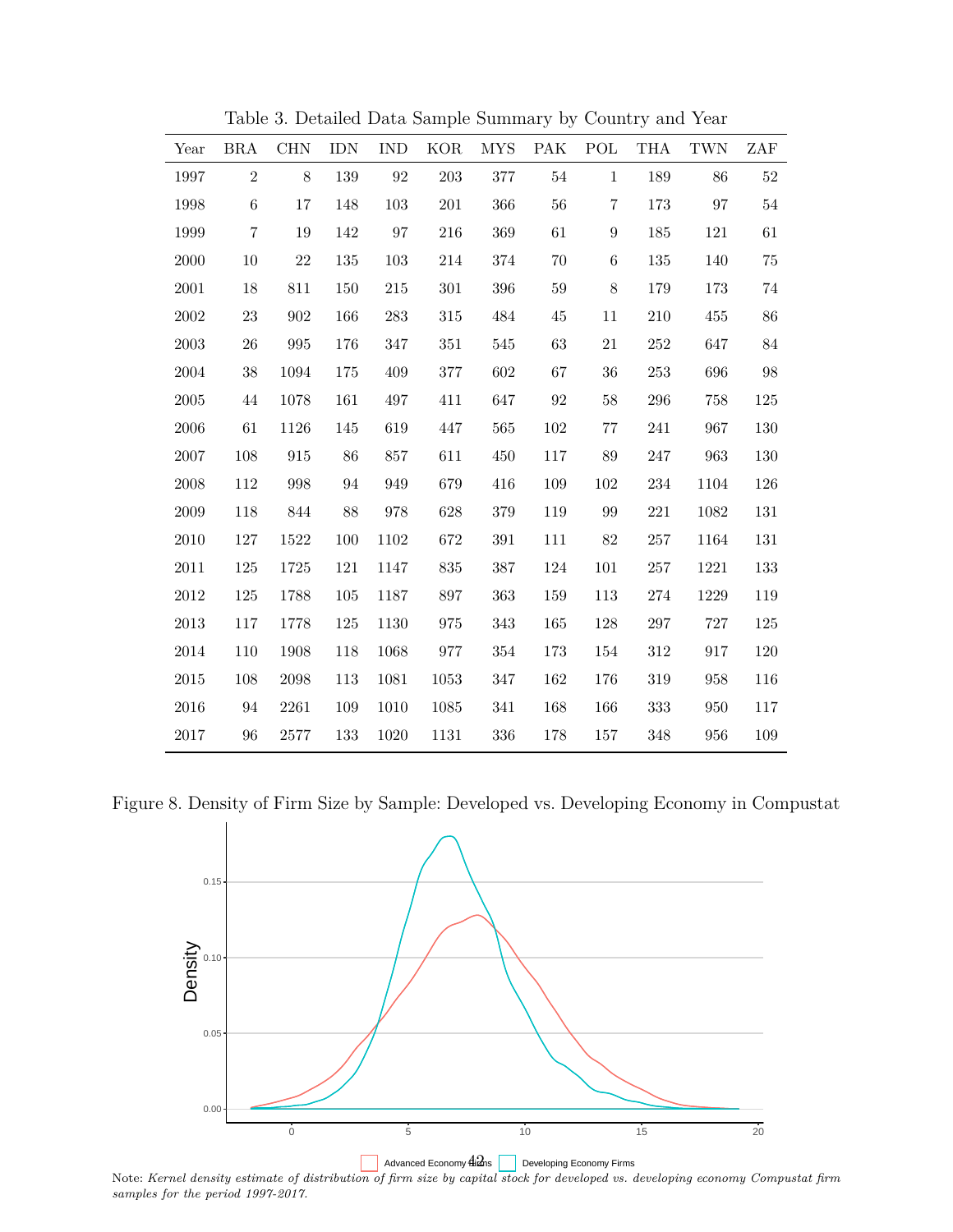| Year       | <b>BRA</b>     | CHN                | <b>IDN</b> | <b>IND</b>        | <b>KOR</b> | <b>MYS</b> | PAK      | POL               | <b>THA</b> | <b>TWN</b> | ZAF     |
|------------|----------------|--------------------|------------|-------------------|------------|------------|----------|-------------------|------------|------------|---------|
| 1997       | $\overline{2}$ | 8                  | 139        | $\boldsymbol{92}$ | 203        | $377\,$    | $54\,$   | $\mathbf{1}$      | 189        | 86         | $52\,$  |
| 1998       | 6              | 17                 | 148        | 103               | $201\,$    | 366        | 56       | 7                 | 173        | 97         | $54\,$  |
| 1999       | $\overline{7}$ | 19                 | 142        | 97                | 216        | 369        | 61       | 9                 | 185        | 121        | 61      |
| 2000       | 10             | 22                 | 135        | 103               | $214\,$    | 374        | 70       | $\,6\,$           | 135        | 140        | 75      |
| 2001       | $18\,$         | 811                | 150        | $215\,$           | $301\,$    | 396        | $59\,$   | $8\,$             | 179        | 173        | $74\,$  |
| $\,2002\,$ | 23             | 902                | 166        | 283               | $315\,$    | 484        | 45       | $11\,$            | 210        | 455        | 86      |
| $\,2003\,$ | $26\,$         | $\boldsymbol{995}$ | 176        | 347               | 351        | 545        | $63\,$   | $21\,$            | $252\,$    | 647        | $84\,$  |
| 2004       | $38\,$         | 1094               | 175        | 409               | $377\,$    | 602        | 67       | $36\,$            | $253\,$    | 696        | $98\,$  |
| $\,2005\,$ | 44             | 1078               | 161        | 497               | 411        | 647        | $\rm 92$ | $58\,$            | 296        | 758        | $125\,$ |
| $\,2006\,$ | 61             | 1126               | 145        | 619               | 447        | 565        | 102      | $77\,$            | 241        | 967        | 130     |
| $2007\,$   | 108            | 915                | 86         | 857               | 611        | 450        | 117      | $89\,$            | $247\,$    | 963        | 130     |
| $\,2008\,$ | 112            | 998                | 94         | 949               | 679        | 416        | 109      | 102               | 234        | 1104       | 126     |
| $\,2009\,$ | 118            | 844                | 88         | 978               | 628        | $379\,$    | 119      | $\boldsymbol{99}$ | $221\,$    | 1082       | 131     |
| $2010\,$   | $127\,$        | 1522               | 100        | 1102              | 672        | $391\,$    | 111      | $82\,$            | $257\,$    | 1164       | 131     |
| $2011\,$   | 125            | 1725               | 121        | 1147              | 835        | $387\,$    | 124      | $101\,$           | $257\,$    | 1221       | 133     |
| $2012\,$   | 125            | 1788               | 105        | 1187              | 897        | 363        | 159      | 113               | 274        | 1229       | 119     |
| $\,2013$   | 117            | 1778               | 125        | 1130              | 975        | 343        | 165      | 128               | $297\,$    | $727\,$    | 125     |
| 2014       | 110            | 1908               | 118        | 1068              | 977        | 354        | 173      | 154               | 312        | 917        | 120     |
| 2015       | 108            | 2098               | 113        | 1081              | 1053       | 347        | 162      | 176               | 319        | 958        | 116     |
| 2016       | 94             | 2261               | 109        | 1010              | 1085       | 341        | 168      | 166               | 333        | 950        | 117     |
| 2017       | 96             | 2577               | 133        | 1020              | 1131       | 336        | 178      | 157               | 348        | 956        | 109     |

Table 3. Detailed Data Sample Summary by Country and Year

Figure 8. Density of Firm Size by Sample: Developed vs. Developing Economy in Compustat



Note: *Kernel density estimate of distribution of firm size by capital stock for developed vs. developing economy Compustat firm samples for the period 1997-2017.*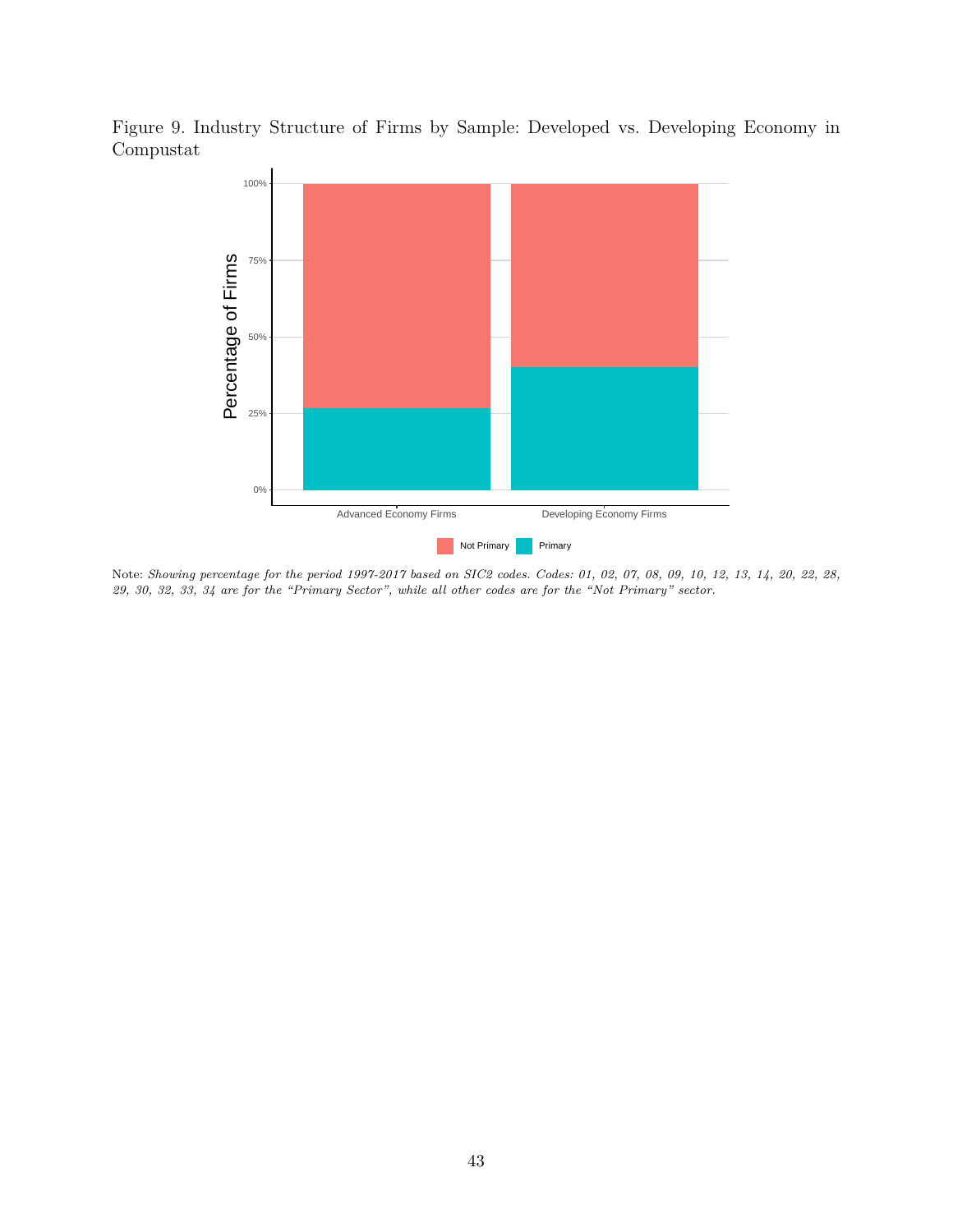Figure 9. Industry Structure of Firms by Sample: Developed vs. Developing Economy in Compustat



Note: *Showing percentage for the period 1997-2017 based on SIC2 codes. Codes: 01, 02, 07, 08, 09, 10, 12, 13, 14, 20, 22, 28, 29, 30, 32, 33, 34 are for the "Primary Sector", while all other codes are for the "Not Primary" sector.*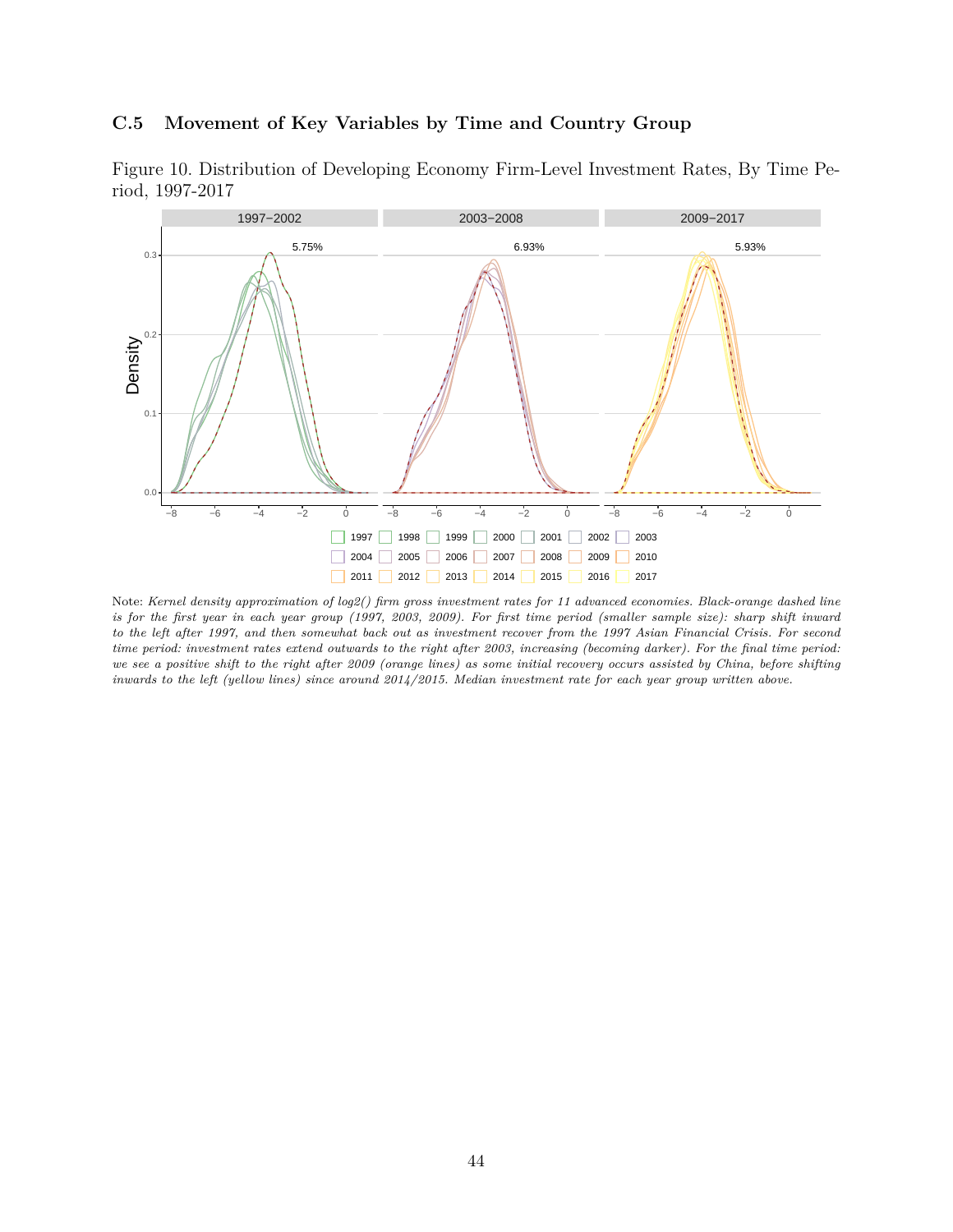### <span id="page-44-1"></span>**C.5 Movement of Key Variables by Time and Country Group**

<span id="page-44-0"></span>



Note: *Kernel density approximation of log2() firm gross investment rates for 11 advanced economies. Black-orange dashed line is for the first year in each year group (1997, 2003, 2009). For first time period (smaller sample size): sharp shift inward to the left after 1997, and then somewhat back out as investment recover from the 1997 Asian Financial Crisis. For second time period: investment rates extend outwards to the right after 2003, increasing (becoming darker). For the final time period: we see a positive shift to the right after 2009 (orange lines) as some initial recovery occurs assisted by China, before shifting inwards to the left (yellow lines) since around 2014/2015. Median investment rate for each year group written above.*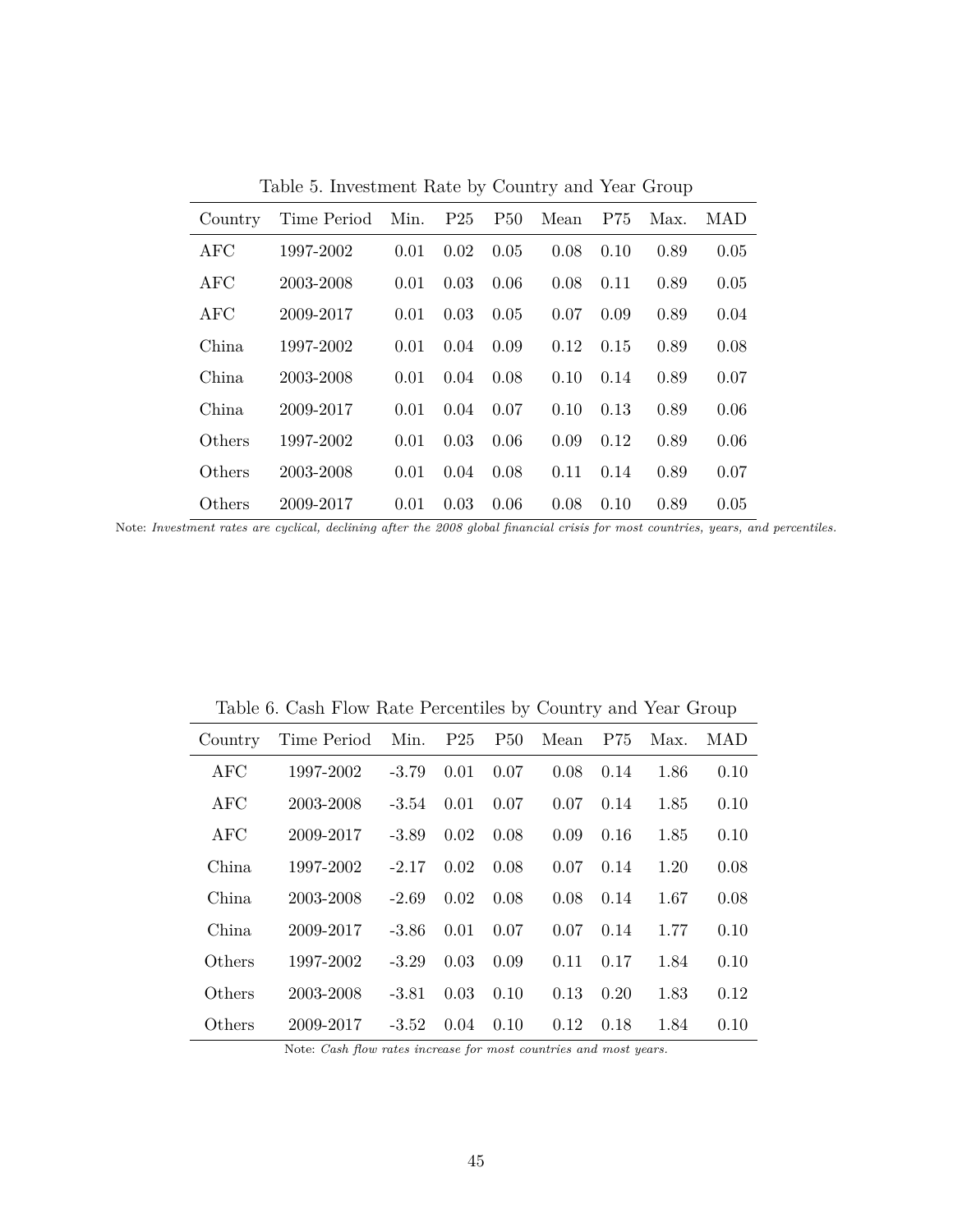| Country    | Time Period Min. P25 |      |      | P50  | Mean | P75  | Max. | MAD  |  |  |
|------------|----------------------|------|------|------|------|------|------|------|--|--|
| <b>AFC</b> | 1997-2002            | 0.01 | 0.02 | 0.05 | 0.08 | 0.10 | 0.89 | 0.05 |  |  |
| <b>AFC</b> | 2003-2008            | 0.01 | 0.03 | 0.06 | 0.08 | 0.11 | 0.89 | 0.05 |  |  |
| AFC        | 2009-2017            | 0.01 | 0.03 | 0.05 | 0.07 | 0.09 | 0.89 | 0.04 |  |  |
| China      | 1997-2002            | 0.01 | 0.04 | 0.09 | 0.12 | 0.15 | 0.89 | 0.08 |  |  |
| China      | 2003-2008            | 0.01 | 0.04 | 0.08 | 0.10 | 0.14 | 0.89 | 0.07 |  |  |
| China      | 2009-2017            | 0.01 | 0.04 | 0.07 | 0.10 | 0.13 | 0.89 | 0.06 |  |  |
| Others     | 1997-2002            | 0.01 | 0.03 | 0.06 | 0.09 | 0.12 | 0.89 | 0.06 |  |  |
| Others     | 2003-2008            | 0.01 | 0.04 | 0.08 | 0.11 | 0.14 | 0.89 | 0.07 |  |  |
| Others     | 2009-2017            | 0.01 | 0.03 | 0.06 | 0.08 | 0.10 | 0.89 | 0.05 |  |  |

Table 5. Investment Rate by Country and Year Group

Note: *Investment rates are cyclical, declining after the 2008 global financial crisis for most countries, years, and percentiles.*

| 1997-2002 |         |                                                      | 0.08                                                                                                              |                          |              | 0.10                                                                                                                                    |
|-----------|---------|------------------------------------------------------|-------------------------------------------------------------------------------------------------------------------|--------------------------|--------------|-----------------------------------------------------------------------------------------------------------------------------------------|
| 2003-2008 |         |                                                      |                                                                                                                   |                          |              | 0.10                                                                                                                                    |
| 2009-2017 |         |                                                      |                                                                                                                   |                          |              | 0.10                                                                                                                                    |
| 1997-2002 |         | 0.08                                                 | 0.07                                                                                                              |                          |              | 0.08                                                                                                                                    |
| 2003-2008 |         | 0.08                                                 | 0.08                                                                                                              |                          | 1.67         | 0.08                                                                                                                                    |
| 2009-2017 |         |                                                      |                                                                                                                   |                          |              | 0.10                                                                                                                                    |
| 1997-2002 | $-3.29$ | 0.09                                                 | 0.11                                                                                                              |                          | 1.84         | 0.10                                                                                                                                    |
| 2003-2008 |         | 0.10                                                 | 0.13                                                                                                              |                          | 1.83         | 0.12                                                                                                                                    |
|           |         |                                                      | 0.12                                                                                                              |                          | 1.84         | 0.10                                                                                                                                    |
|           |         | $-2.17$ 0.02<br>$-2.69$ 0.02<br>0.03<br>$-3.81$ 0.03 | $-3.79$ 0.01 0.07<br>$-3.54$ 0.01 0.07<br>$-3.89$ 0.02 0.08<br>$-3.86$ 0.01 0.07<br>$2009-2017$ $-3.52$ 0.04 0.10 | Time Period Min. P25 P50 | 0.20<br>0.18 | Mean P75 Max. MAD<br>$0.14$ 1.86<br>$0.07$ $0.14$ $1.85$<br>$0.09$ $0.16$ $1.85$<br>$0.14$ 1.20<br>0.14<br>$0.07$ $0.14$ $1.77$<br>0.17 |

Table 6. Cash Flow Rate Percentiles by Country and Year Group

Note: *Cash flow rates increase for most countries and most years.*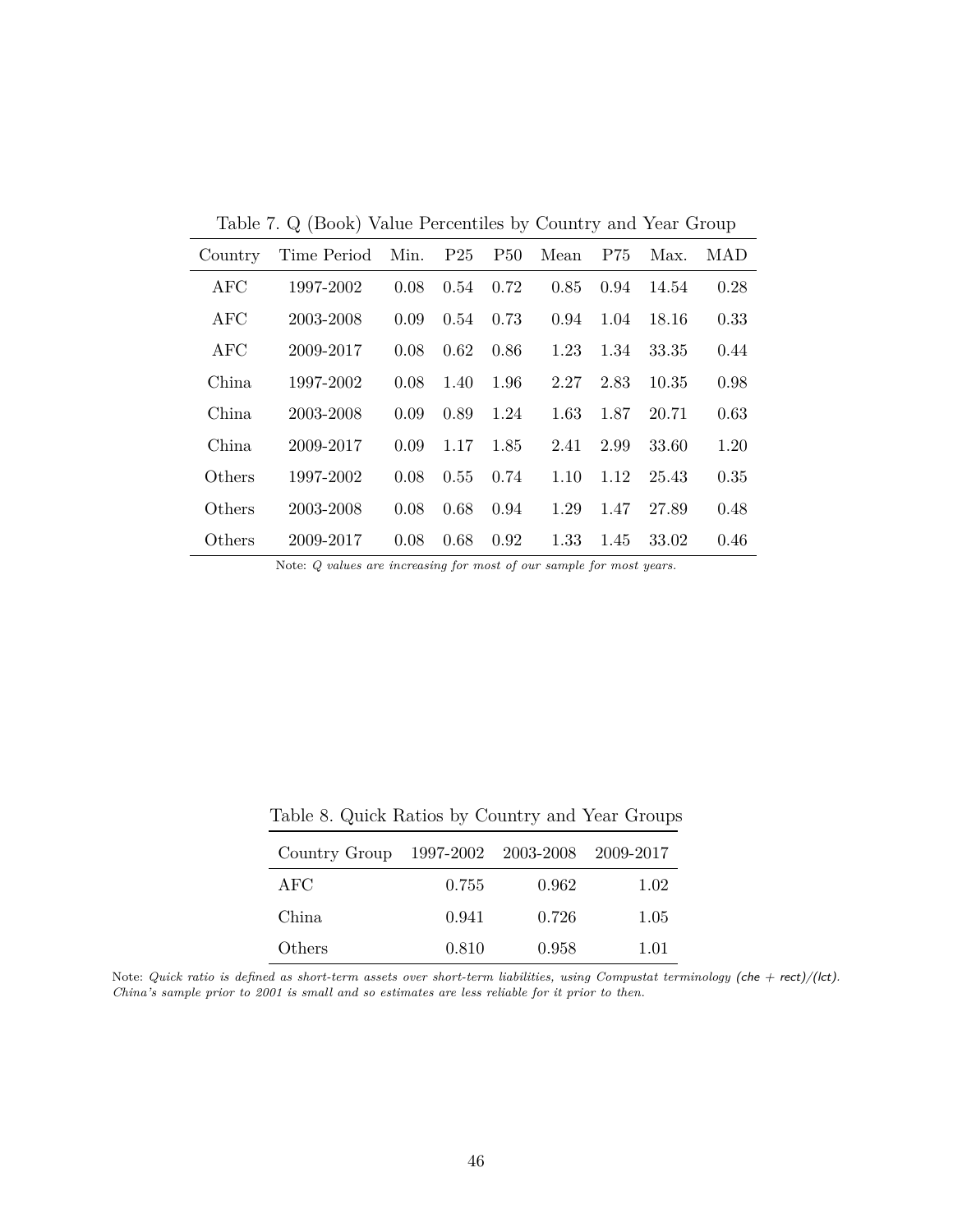Table 7. Q (Book) Value Percentiles by Country and Year Group

| Country | Time Period | Min. $P25$ |      | P50  | Mean | P75  | Max.  | MAD  |
|---------|-------------|------------|------|------|------|------|-------|------|
| AFC     | 1997-2002   | 0.08       | 0.54 | 0.72 | 0.85 | 0.94 | 14.54 | 0.28 |
| AFC     | 2003-2008   | 0.09       | 0.54 | 0.73 | 0.94 | 1.04 | 18.16 | 0.33 |
| AFC     | 2009-2017   | 0.08       | 0.62 | 0.86 | 1.23 | 1.34 | 33.35 | 0.44 |
| China.  | 1997-2002   | 0.08       | 1.40 | 1.96 | 2.27 | 2.83 | 10.35 | 0.98 |
| China   | 2003-2008   | 0.09       | 0.89 | 1.24 | 1.63 | 1.87 | 20.71 | 0.63 |
| China.  | 2009-2017   | 0.09       | 1.17 | 1.85 | 2.41 | 2.99 | 33.60 | 1.20 |
| Others  | 1997-2002   | 0.08       | 0.55 | 0.74 | 1.10 | 1.12 | 25.43 | 0.35 |
| Others  | 2003-2008   | 0.08       | 0.68 | 0.94 | 1.29 | 1.47 | 27.89 | 0.48 |
| Others  | 2009-2017   | 0.08       | 0.68 | 0.92 | 1.33 | 1.45 | 33.02 | 0.46 |

Note: *Q values are increasing for most of our sample for most years.*

| Country Group 1997-2002 2003-2008 2009-2017 |       |       |      |
|---------------------------------------------|-------|-------|------|
| A FC                                        | 0.755 | 0.962 | 1.02 |
| China                                       | 0.941 | 0.726 | 1.05 |
| Others                                      | 0.810 | 0.958 | 1.01 |

Table 8. Quick Ratios by Country and Year Groups

Note: *Quick ratio is defined as short-term assets over short-term liabilities, using Compustat terminology (che + rect)/(lct). China's sample prior to 2001 is small and so estimates are less reliable for it prior to then.*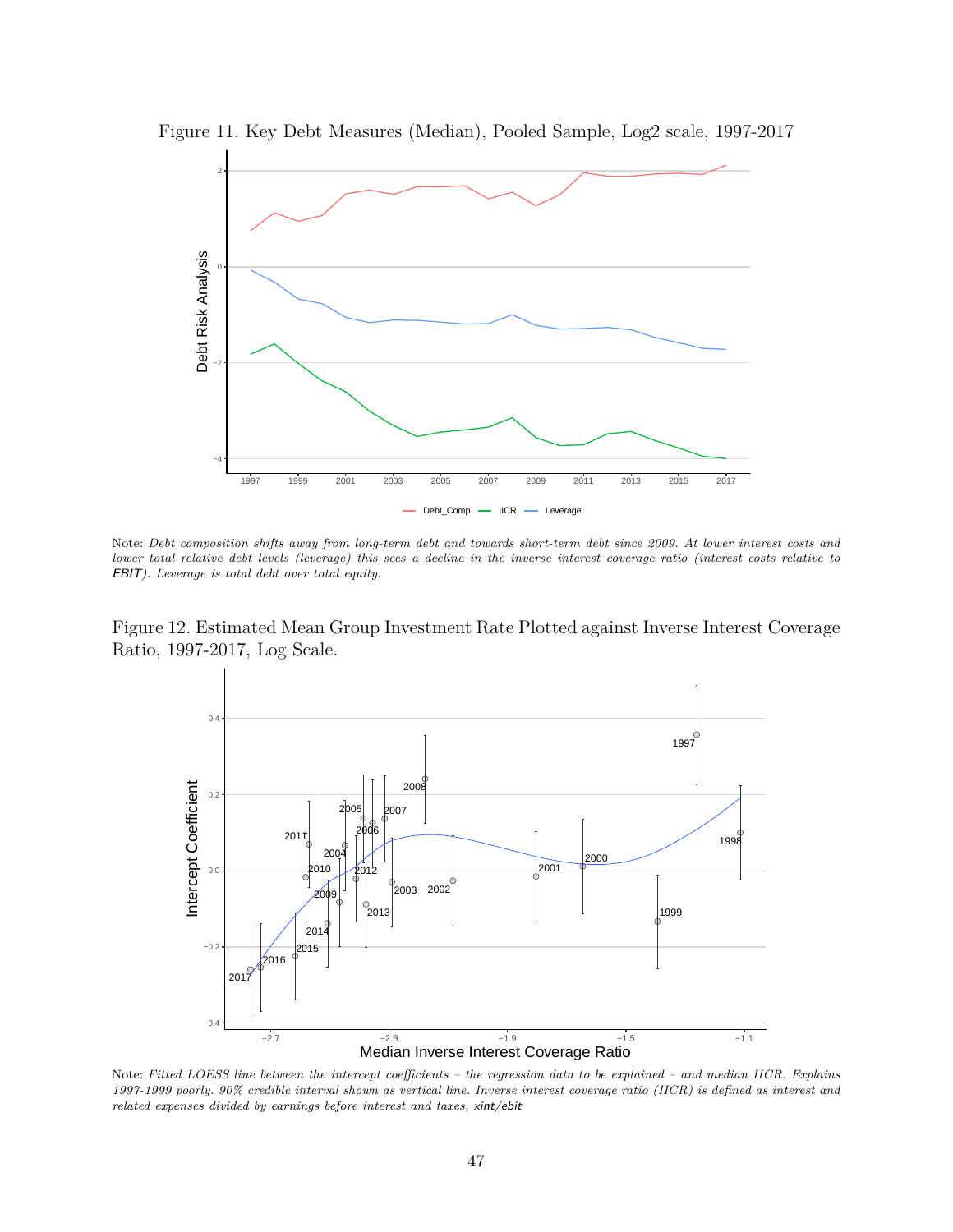

Figure 11. Key Debt Measures (Median), Pooled Sample, Log2 scale, 1997-2017

Note: *Debt composition shifts away from long-term debt and towards short-term debt since 2009. At lower interest costs and lower total relative debt levels (leverage) this sees a decline in the inverse interest coverage ratio (interest costs relative to* EBIT*). Leverage is total debt over total equity.*

<span id="page-47-0"></span>Figure 12. Estimated Mean Group Investment Rate Plotted against Inverse Interest Coverage Ratio, 1997-2017, Log Scale.



Note: *Fitted LOESS line between the intercept coefficients – the regression data to be explained – and median IICR. Explains 1997-1999 poorly. 90% credible interval shown as vertical line. Inverse interest coverage ratio (IICR) is defined as interest and related expenses divided by earnings before interest and taxes,* xint/ebit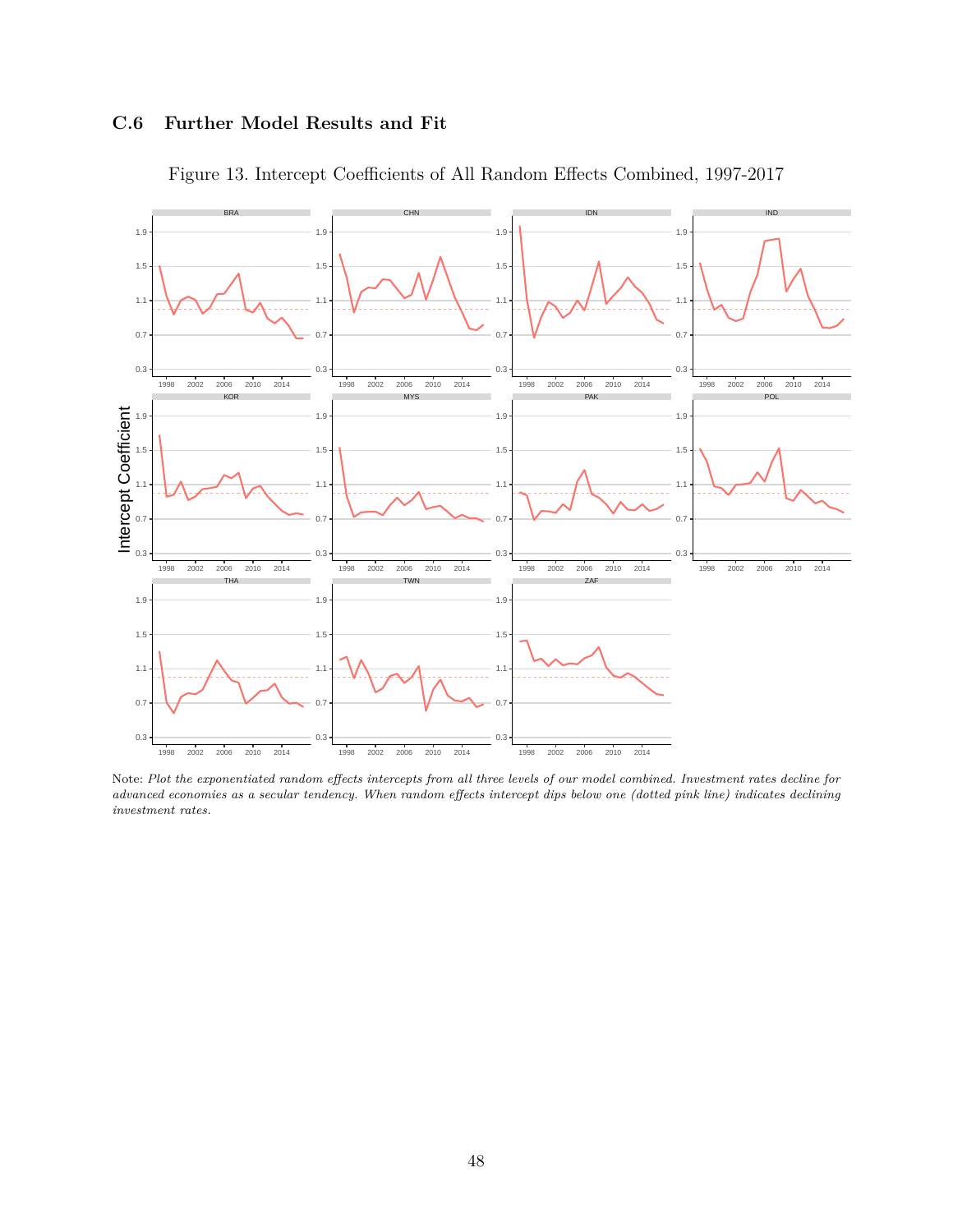## **C.6 Further Model Results and Fit**



Figure 13. Intercept Coefficients of All Random Effects Combined, 1997-2017

Note: *Plot the exponentiated random effects intercepts from all three levels of our model combined. Investment rates decline for advanced economies as a secular tendency. When random effects intercept dips below one (dotted pink line) indicates declining investment rates.*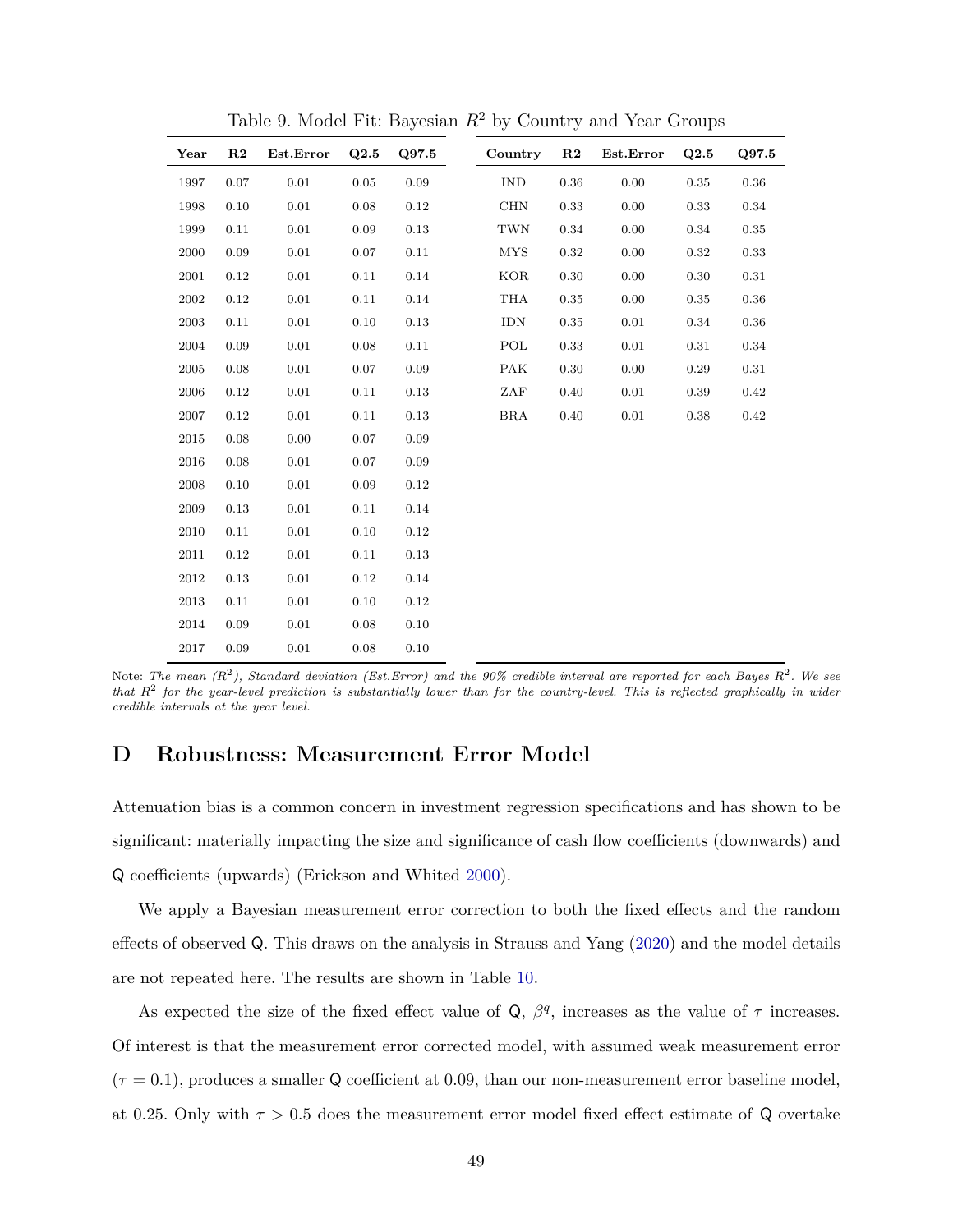| Year | R2         | Est.Error | Q2.5     | Q97.5 | Country    | R <sub>2</sub> | Est.Error | Q2.5     | Q97.5      |
|------|------------|-----------|----------|-------|------------|----------------|-----------|----------|------------|
| 1997 | 0.07       | 0.01      | 0.05     | 0.09  | <b>IND</b> | 0.36           | 0.00      | 0.35     | 0.36       |
| 1998 | 0.10       | 0.01      | 0.08     | 0.12  | <b>CHN</b> | 0.33           | 0.00      | 0.33     | 0.34       |
| 1999 | 0.11       | $0.01\,$  | $0.09\,$ | 0.13  | TWN        | 0.34           | 0.00      | 0.34     | $\rm 0.35$ |
| 2000 | 0.09       | 0.01      | 0.07     | 0.11  | <b>MYS</b> | 0.32           | 0.00      | 0.32     | 0.33       |
| 2001 | $\rm 0.12$ | 0.01      | 0.11     | 0.14  | <b>KOR</b> | $0.30\,$       | 0.00      | 0.30     | 0.31       |
| 2002 | 0.12       | 0.01      | 0.11     | 0.14  | THA        | 0.35           | 0.00      | 0.35     | 0.36       |
| 2003 | 0.11       | 0.01      | 0.10     | 0.13  | <b>IDN</b> | 0.35           | 0.01      | 0.34     | 0.36       |
| 2004 | 0.09       | 0.01      | 0.08     | 0.11  | POL        | 0.33           | 0.01      | $0.31\,$ | 0.34       |
| 2005 | 0.08       | 0.01      | 0.07     | 0.09  | <b>PAK</b> | 0.30           | 0.00      | 0.29     | 0.31       |
| 2006 | 0.12       | 0.01      | 0.11     | 0.13  | ZAF        | 0.40           | $0.01\,$  | 0.39     | 0.42       |
| 2007 | 0.12       | 0.01      | 0.11     | 0.13  | <b>BRA</b> | 0.40           | $0.01\,$  | 0.38     | $\rm 0.42$ |
| 2015 | 0.08       | 0.00      | 0.07     | 0.09  |            |                |           |          |            |
| 2016 | 0.08       | 0.01      | 0.07     | 0.09  |            |                |           |          |            |
| 2008 | 0.10       | 0.01      | 0.09     | 0.12  |            |                |           |          |            |
| 2009 | 0.13       | 0.01      | 0.11     | 0.14  |            |                |           |          |            |
| 2010 | 0.11       | 0.01      | 0.10     | 0.12  |            |                |           |          |            |
| 2011 | 0.12       | 0.01      | 0.11     | 0.13  |            |                |           |          |            |
| 2012 | 0.13       | 0.01      | 0.12     | 0.14  |            |                |           |          |            |
| 2013 | 0.11       | 0.01      | 0.10     | 0.12  |            |                |           |          |            |
| 2014 | 0.09       | 0.01      | 0.08     | 0.10  |            |                |           |          |            |
| 2017 | 0.09       | 0.01      | 0.08     | 0.10  |            |                |           |          |            |

Table 9. Model Fit: Bayesian *R*<sup>2</sup> by Country and Year Groups

Note: *The mean (R*<sup>2</sup> *), Standard deviation (Est.Error) and the 90% credible interval are reported for each Bayes R*<sup>2</sup> *. We see that R*<sup>2</sup> *for the year-level prediction is substantially lower than for the country-level. This is reflected graphically in wider credible intervals at the year level.*

## <span id="page-49-0"></span>**D Robustness: Measurement Error Model**

Attenuation bias is a common concern in investment regression specifications and has shown to be significant: materially impacting the size and significance of cash flow coefficients (downwards) and Q coefficients (upwards) (Erickson and Whited [2000\)](#page-26-12).

We apply a Bayesian measurement error correction to both the fixed effects and the random effects of observed Q. This draws on the analysis in Strauss and Yang [\(2020\)](#page-29-11) and the model details are not repeated here. The results are shown in Table [10.](#page-50-0)

As expected the size of the fixed effect value of  $\mathsf{Q}, \beta^q$ , increases as the value of  $\tau$  increases. Of interest is that the measurement error corrected model, with assumed weak measurement error  $(\tau = 0.1)$ , produces a smaller Q coefficient at 0.09, than our non-measurement error baseline model, at 0.25. Only with  $\tau > 0.5$  does the measurement error model fixed effect estimate of Q overtake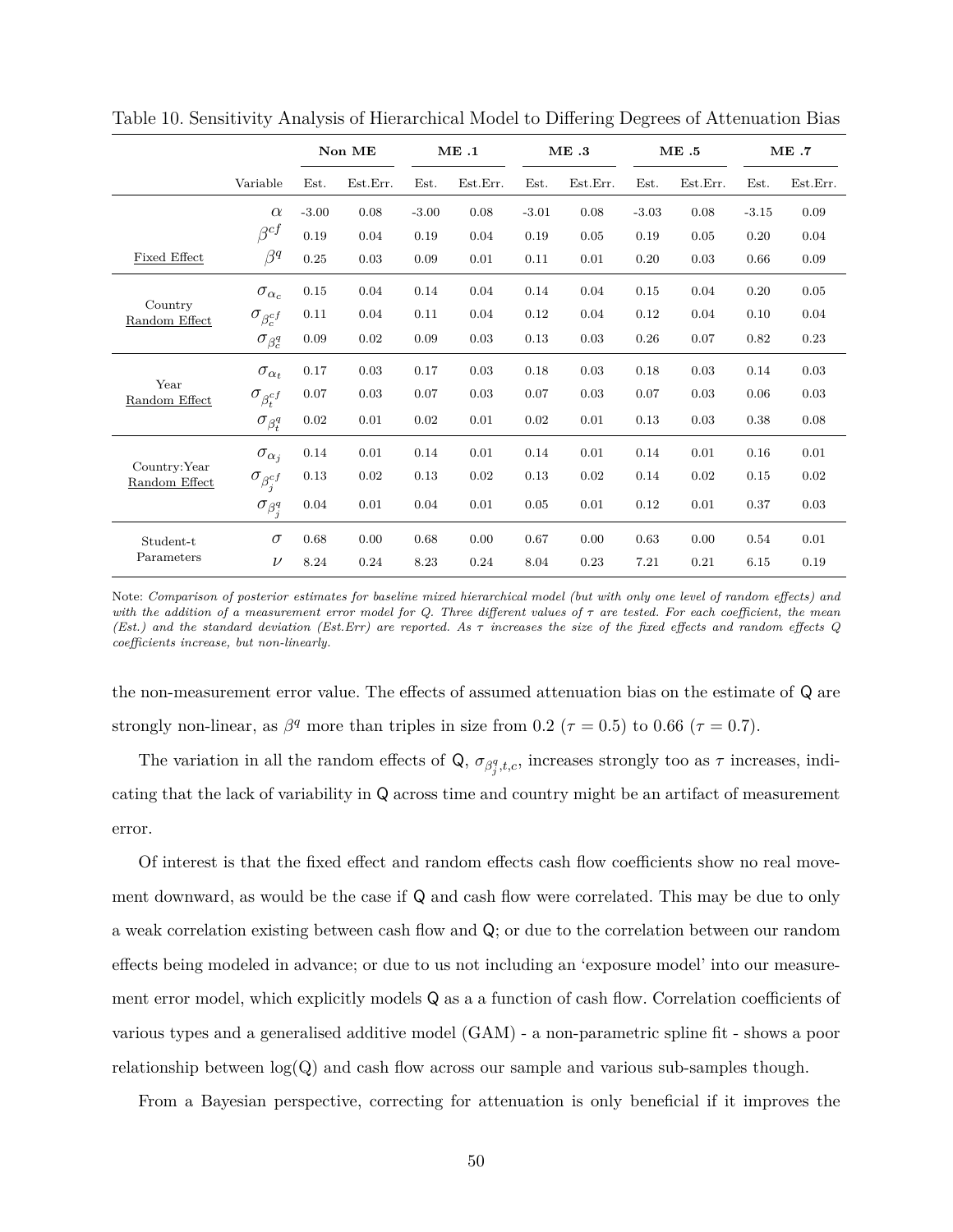|                                |                         |         | Non ME   |         | ME.1     |         | ME.3     |         | ME.5     |         | ME.7     |  |
|--------------------------------|-------------------------|---------|----------|---------|----------|---------|----------|---------|----------|---------|----------|--|
|                                | Variable                | Est.    | Est.Err. | Est.    | Est.Err. | Est.    | Est.Err. | Est.    | Est.Err. | Est.    | Est.Err. |  |
|                                | $\alpha$                | $-3.00$ | 0.08     | $-3.00$ | 0.08     | $-3.01$ | 0.08     | $-3.03$ | 0.08     | $-3.15$ | 0.09     |  |
|                                | $\beta^{cf}$            | 0.19    | 0.04     | 0.19    | 0.04     | 0.19    | 0.05     | 0.19    | 0.05     | 0.20    | 0.04     |  |
| <b>Fixed Effect</b>            | $\beta^q$               | 0.25    | 0.03     | 0.09    | 0.01     | 0.11    | 0.01     | 0.20    | 0.03     | 0.66    | 0.09     |  |
|                                | $\sigma_{\alpha_c}$     | 0.15    | 0.04     | 0.14    | 0.04     | 0.14    | 0.04     | 0.15    | 0.04     | 0.20    | 0.05     |  |
| Country<br>Random Effect       | $\sigma_{\beta_c^{cf}}$ | 0.11    | 0.04     | 0.11    | 0.04     | 0.12    | 0.04     | 0.12    | 0.04     | 0.10    | 0.04     |  |
|                                | $\sigma_{\beta_c^q}$    | 0.09    | 0.02     | 0.09    | 0.03     | 0.13    | 0.03     | 0.26    | 0.07     | 0.82    | 0.23     |  |
|                                | $\sigma_{\alpha_t}$     | 0.17    | 0.03     | 0.17    | 0.03     | 0.18    | 0.03     | 0.18    | 0.03     | 0.14    | 0.03     |  |
| Year<br>Random Effect          | $\sigma_{\beta_t^{cf}}$ | 0.07    | 0.03     | 0.07    | 0.03     | 0.07    | 0.03     | 0.07    | 0.03     | 0.06    | 0.03     |  |
|                                | $\sigma_{\beta_t^q}$    | 0.02    | 0.01     | 0.02    | 0.01     | 0.02    | 0.01     | 0.13    | 0.03     | 0.38    | 0.08     |  |
|                                | $\sigma_{\alpha_j}$     | 0.14    | 0.01     | 0.14    | 0.01     | 0.14    | 0.01     | 0.14    | 0.01     | 0.16    | $0.01\,$ |  |
| Country: Year<br>Random Effect | $\sigma_{\beta_j^{cf}}$ | 0.13    | 0.02     | 0.13    | 0.02     | 0.13    | 0.02     | 0.14    | 0.02     | 0.15    | 0.02     |  |
|                                | $\sigma_{\beta_j^q}$    | 0.04    | 0.01     | 0.04    | 0.01     | 0.05    | 0.01     | 0.12    | 0.01     | 0.37    | 0.03     |  |
| Student-t                      | $\sigma$                | 0.68    | 0.00     | 0.68    | 0.00     | 0.67    | 0.00     | 0.63    | 0.00     | 0.54    | 0.01     |  |
| Parameters                     | $\nu$                   | 8.24    | 0.24     | 8.23    | 0.24     | 8.04    | 0.23     | 7.21    | 0.21     | 6.15    | 0.19     |  |

<span id="page-50-0"></span>Table 10. Sensitivity Analysis of Hierarchical Model to Differing Degrees of Attenuation Bias

Note: *Comparison of posterior estimates for baseline mixed hierarchical model (but with only one level of random effects) and with the addition of a measurement error model for Q. Three different values of τ are tested. For each coefficient, the mean (Est.) and the standard deviation (Est.Err) are reported. As τ increases the size of the fixed effects and random effects Q coefficients increase, but non-linearly.*

the non-measurement error value. The effects of assumed attenuation bias on the estimate of Q are strongly non-linear, as  $\beta^q$  more than triples in size from 0.2 ( $\tau = 0.5$ ) to 0.66 ( $\tau = 0.7$ ).

The variation in all the random effects of Q,  $\sigma_{\beta_j^q,t,c}$ , increases strongly too as  $\tau$  increases, indicating that the lack of variability in Q across time and country might be an artifact of measurement error.

Of interest is that the fixed effect and random effects cash flow coefficients show no real movement downward, as would be the case if Q and cash flow were correlated. This may be due to only a weak correlation existing between cash flow and Q; or due to the correlation between our random effects being modeled in advance; or due to us not including an 'exposure model' into our measurement error model, which explicitly models Q as a a function of cash flow. Correlation coefficients of various types and a generalised additive model (GAM) - a non-parametric spline fit - shows a poor relationship between  $log(Q)$  and cash flow across our sample and various sub-samples though.

From a Bayesian perspective, correcting for attenuation is only beneficial if it improves the